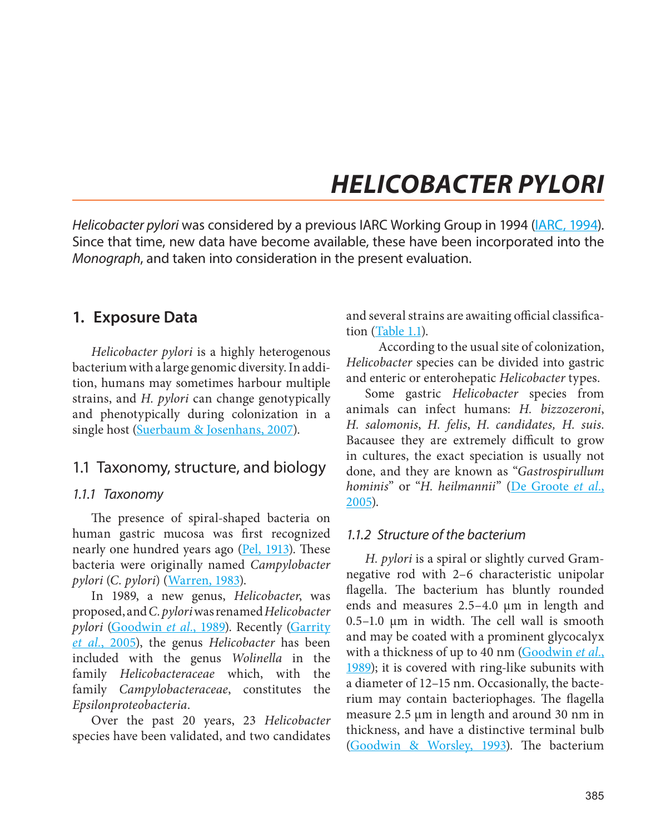# *HELICOBACTER PYLORI*

*Helicobacter pylori* was considered by a previous IARC Working Group in 1994 (IARC, 1994). Since that time, new data have become available, these have been incorporated into the *Monograph*, and taken into consideration in the present evaluation.

### **1. Exposure Data**

*Helicobacter pylori* is a highly heterogenous bacterium with a large genomic diversity. In addition, humans may sometimes harbour multiple strains, and *H. pylori* can change genotypically and phenotypically during colonization in a single host (Suerbaum & Josenhans, 2007).

### 1.1 Taxonomy, structure, and biology

#### *1.1.1 Taxonomy*

The presence of spiral-shaped bacteria on human gastric mucosa was first recognized nearly one hundred years ago  $($ <u>Pel, 1913</u> $)$ . These bacteria were originally named *Campylobacter pylori* (*C. pylori*) (Warren, 1983).

In 1989, a new genus, *Helicobacter*, was proposed, and *C. pylori* was renamed *Helicobacter pylori* (Goodwin *et al.*, 1989). Recently (Garrity *et al.*, 2005), the genus *Helicobacter* has been included with the genus *Wolinella* in the family *Helicobacteraceae* which, with the family *Campylobacteraceae*, constitutes the *Epsilonproteobacteria*.

Over the past 20 years, 23 *Helicobacter* species have been validated, and two candidates

and several strains are awaiting official classification (Table 1.1).

According to the usual site of colonization, *Helicobacter* species can be divided into gastric and enteric or enterohepatic *Helicobacter* types.

Some gastric *Helicobacter* species from animals can infect humans: *H. bizzozeroni*, *H. salomonis*, *H. felis*, *H*. *candidates, H. suis*. Bacausee they are extremely difficult to grow in cultures, the exact speciation is usually not done, and they are known as "*Gastrospirullum hominis*" or "*H. heilmannii*" (De Groote *et al.*, 2005).

#### *1.1.2 Structure of the bacterium*

*H. pylori* is a spiral or slightly curved Gramnegative rod with 2–6 characteristic unipolar flagella. The bacterium has bluntly rounded ends and measures 2.5-4.0 µm in length and 0.5–1.0  $\mu$ m in width. The cell wall is smooth and may be coated with a prominent glycocalyx with a thickness of up to 40 nm (Goodwin *et al.*, 1989); it is covered with ring-like subunits with a diameter of 12–15 nm. Occasionally, the bacterium may contain bacteriophages. The flagella measure 2.5 µm in length and around 30 nm in thickness, and have a distinctive terminal bulb (Goodwin & Worsley, 1993). The bacterium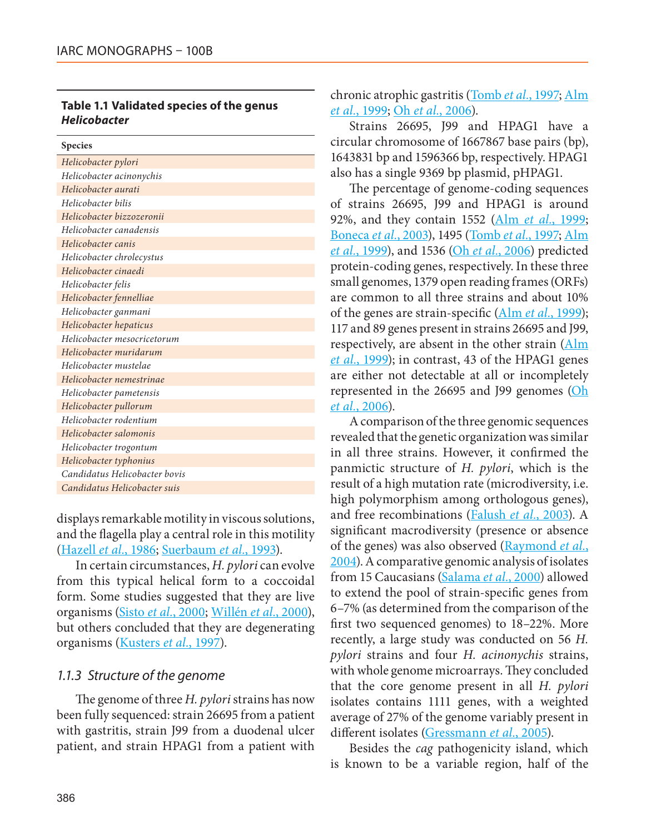#### **Table 1.1 Validated species of the genus**  *Helicobacter*

| <b>Species</b>                |
|-------------------------------|
| Helicobacter pylori           |
| Helicobacter acinonychis      |
| Helicobacter aurati           |
| Helicobacter bilis            |
| Helicobacter bizzozeronii     |
| Helicobacter canadensis       |
| Helicobacter canis            |
| Helicobacter chrolecystus     |
| Helicobacter cinaedi          |
| Helicobacter felis            |
| Helicobacter fennelliae       |
| Helicobacter ganmani          |
| Helicobacter hepaticus        |
| Helicobacter mesocricetorum   |
| Helicobacter muridarum        |
| Helicobacter mustelae         |
| Helicobacter nemestrinae      |
| Helicobacter pametensis       |
| Helicobacter pullorum         |
| Helicobacter rodentium        |
| Helicobacter salomonis        |
| Helicobacter trogontum        |
| Helicobacter typhonius        |
| Candidatus Helicobacter bovis |
| Candidatus Helicobacter suis  |

displays remarkable motility in viscous solutions, and the flagella play a central role in this motility (Hazell *et al.*, 1986; Suerbaum *et al.*, 1993).

In certain circumstances, *H. pylori* can evolve from this typical helical form to a coccoidal form. Some studies suggested that they are live organisms (Sisto *et al.*, 2000; Willén *et al.*, 2000), but others concluded that they are degenerating organisms (Kusters *et al.*, 1997).

#### *1.1.3 Structure of the genome*

The genome of three *H. pylori* strains has now been fully sequenced: strain 26695 from a patient with gastritis, strain J99 from a duodenal ulcer patient, and strain HPAG1 from a patient with chronic atrophic gastritis (Tomb *et al.*, 1997; Alm *et al.*, 1999; Oh *et al.*, 2006).

Strains 26695, J99 and HPAG1 have a circular chromosome of 1667867 base pairs (bp), 1643831 bp and 1596366 bp, respectively. HPAG1 also has a single 9369 bp plasmid, pHPAG1.

The percentage of genome-coding sequences of strains 26695, J99 and HPAG1 is around 92%, and they contain 1552 (Alm *et al.*, 1999; Boneca *et al.*, 2003), 1495 (Tomb *et al.*, 1997; Alm *et al.*, 1999), and 1536 (Oh *et al.*, 2006) predicted protein-coding genes, respectively. In these three small genomes, 1379 open reading frames (ORFs) are common to all three strains and about 10% of the genes are strain-specific (Alm *et al.*, 1999); 117 and 89 genes present in strains 26695 and J99, respectively, are absent in the other strain  $(\text{Alm})$ *et al.*, 1999); in contrast, 43 of the HPAG1 genes are either not detectable at all or incompletely represented in the 26695 and J99 genomes (Oh *et al.*, 2006).

A comparison of the three genomic sequences revealed that the genetic organization was similar in all three strains. However, it confirmed the panmictic structure of *H. pylori*, which is the result of a high mutation rate (microdiversity, i.e. high polymorphism among orthologous genes), and free recombinations (Falush *et al.*, 2003). A significant macrodiversity (presence or absence of the genes) was also observed (Raymond *et al.*, 2004). A comparative genomic analysis of isolates from 15 Caucasians (Salama *et al.*, 2000) allowed to extend the pool of strain-specific genes from 6–7% (as determined from the comparison of the first two sequenced genomes) to 18–22%. More recently, a large study was conducted on 56 *H. pylori* strains and four *H. acinonychis* strains, with whole genome microarrays. They concluded that the core genome present in all *H. pylori* isolates contains 1111 genes, with a weighted average of 27% of the genome variably present in different isolates (Gressmann *et al.*, 2005).

Besides the *cag* pathogenicity island, which is known to be a variable region, half of the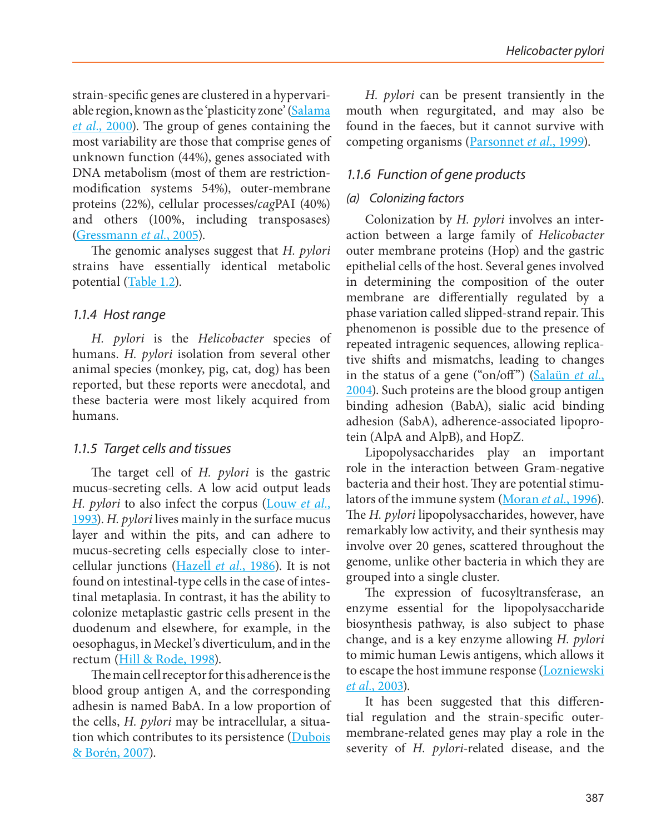strain-specific genes are clustered in a hypervariable region, known as the 'plasticity zone' (Salama *et al.*, 2000). The group of genes containing the most variability are those that comprise genes of unknown function (44%), genes associated with DNA metabolism (most of them are restrictionmodification systems 54%), outer-membrane proteins (22%), cellular processes/*cag*PAI (40%) and others (100%, including transposases) (Gressmann *et al.*, 2005).

The genomic analyses suggest that *H. pylori* strains have essentially identical metabolic potential (Table 1.2).

#### *1.1.4 Host range*

*H. pylori* is the *Helicobacter* species of humans. *H. pylori* isolation from several other animal species (monkey, pig, cat, dog) has been reported, but these reports were anecdotal, and these bacteria were most likely acquired from humans.

#### *1.1.5 Target cells and tissues*

The target cell of *H. pylori* is the gastric mucus-secreting cells. A low acid output leads *H. pylori* to also infect the corpus (Louw *et al.*, 1993). *H. pylori* lives mainly in the surface mucus layer and within the pits, and can adhere to mucus-secreting cells especially close to intercellular junctions (Hazell *et al.*, 1986). It is not found on intestinal-type cells in the case of intestinal metaplasia. In contrast, it has the ability to colonize metaplastic gastric cells present in the duodenum and elsewhere, for example, in the oesophagus, in Meckel's diverticulum, and in the rectum (Hill & Rode, 1998).

The main cell receptor for this adherence is the blood group antigen A, and the corresponding adhesin is named BabA. In a low proportion of the cells, *H. pylori* may be intracellular, a situation which contributes to its persistence (Dubois & Borén, 2007).

*H. pylori* can be present transiently in the mouth when regurgitated, and may also be found in the faeces, but it cannot survive with competing organisms (Parsonnet *et al.*, 1999).

#### *1.1.6 Function of gene products*

#### *(a) Colonizing factors*

Colonization by *H. pylori* involves an interaction between a large family of *Helicobacter* outer membrane proteins (Hop) and the gastric epithelial cells of the host. Several genes involved in determining the composition of the outer membrane are differentially regulated by a phase variation called slipped-strand repair. This phenomenon is possible due to the presence of repeated intragenic sequences, allowing replicative shifts and mismatchs, leading to changes in the status of a gene ("on/off") (Salaün *et al.*, 2004). Such proteins are the blood group antigen binding adhesion (BabA), sialic acid binding adhesion (SabA), adherence-associated lipoprotein (AlpA and AlpB), and HopZ.

Lipopolysaccharides play an important role in the interaction between Gram-negative bacteria and their host. They are potential stimulators of the immune system (Moran *et al.*, 1996). The *H. pylori* lipopolysaccharides, however, have remarkably low activity, and their synthesis may involve over 20 genes, scattered throughout the genome, unlike other bacteria in which they are grouped into a single cluster.

The expression of fucosyltransferase, an enzyme essential for the lipopolysaccharide biosynthesis pathway, is also subject to phase change, and is a key enzyme allowing *H. pylori* to mimic human Lewis antigens, which allows it to escape the host immune response (Lozniewski *et al.*, 2003).

It has been suggested that this differential regulation and the strain-specific outermembrane-related genes may play a role in the severity of *H. pylori*-related disease, and the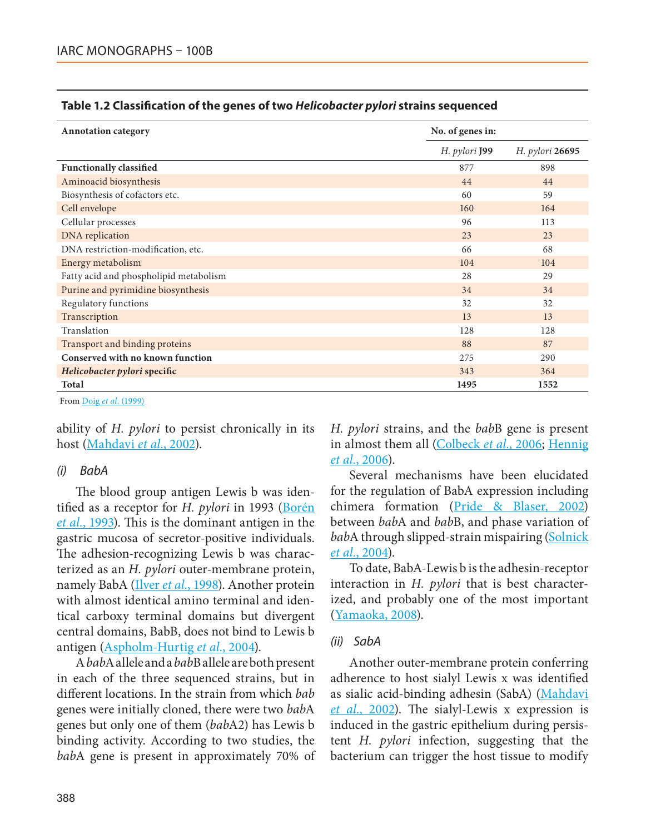| <b>Annotation category</b>             | No. of genes in: |                 |
|----------------------------------------|------------------|-----------------|
|                                        | H. pylori J99    | H. pylori 26695 |
| <b>Functionally classified</b>         | 877              | 898             |
| Aminoacid biosynthesis                 | 44               | 44              |
| Biosynthesis of cofactors etc.         | 60               | 59              |
| Cell envelope                          | 160              | 164             |
| Cellular processes                     | 96               | 113             |
| DNA replication                        | 23               | 23              |
| DNA restriction-modification, etc.     | 66               | 68              |
| Energy metabolism                      | 104              | 104             |
| Fatty acid and phospholipid metabolism | 28               | 29              |
| Purine and pyrimidine biosynthesis     | 34               | 34              |
| Regulatory functions                   | 32               | 32              |
| Transcription                          | 13               | 13              |
| Translation                            | 128              | 128             |
| Transport and binding proteins         | 88               | 87              |
| Conserved with no known function       | 275              | 290             |
| Helicobacter pylori specific           | 343              | 364             |
| Total                                  | 1495             | 1552            |

#### **Table 1.2 Classification of the genes of two** *Helicobacter pylori* **strains sequenced**

From Doig *et al.* (1999)

ability of *H. pylori* to persist chronically in its host (Mahdavi *et al.*, 2002).

#### *(i) BabA*

The blood group antigen Lewis b was identified as a receptor for *H. pylori* in 1993 (Borén *et al.*, 1993). This is the dominant antigen in the gastric mucosa of secretor-positive individuals. The adhesion-recognizing Lewis b was characterized as an *H. pylori* outer-membrane protein, namely BabA (Ilver *et al.*, 1998). Another protein with almost identical amino terminal and identical carboxy terminal domains but divergent central domains, BabB, does not bind to Lewis b antigen (Aspholm-Hurtig *et al.*, 2004).

A *bab*A allele and a *bab*B allele are both present in each of the three sequenced strains, but in different locations. In the strain from which *bab* genes were initially cloned, there were two *bab*A genes but only one of them (*bab*A2) has Lewis b binding activity. According to two studies, the *bab*A gene is present in approximately 70% of *H. pylori* strains, and the *bab*B gene is present in almost them all (Colbeck *et al.*, 2006; Hennig *et al.*, 2006).

Several mechanisms have been elucidated for the regulation of BabA expression including chimera formation (Pride & Blaser, 2002) between *bab*A and *bab*B, and phase variation of babA through slipped-strain mispairing (Solnick *et al.*, 2004).

To date, BabA-Lewis b is the adhesin-receptor interaction in *H. pylori* that is best characterized, and probably one of the most important (Yamaoka, 2008).

#### *(ii) SabA*

Another outer-membrane protein conferring adherence to host sialyl Lewis x was identified as sialic acid-binding adhesin (SabA) (Mahdavi *et al.*, 2002). The sialyl-Lewis x expression is induced in the gastric epithelium during persistent *H. pylori* infection, suggesting that the bacterium can trigger the host tissue to modify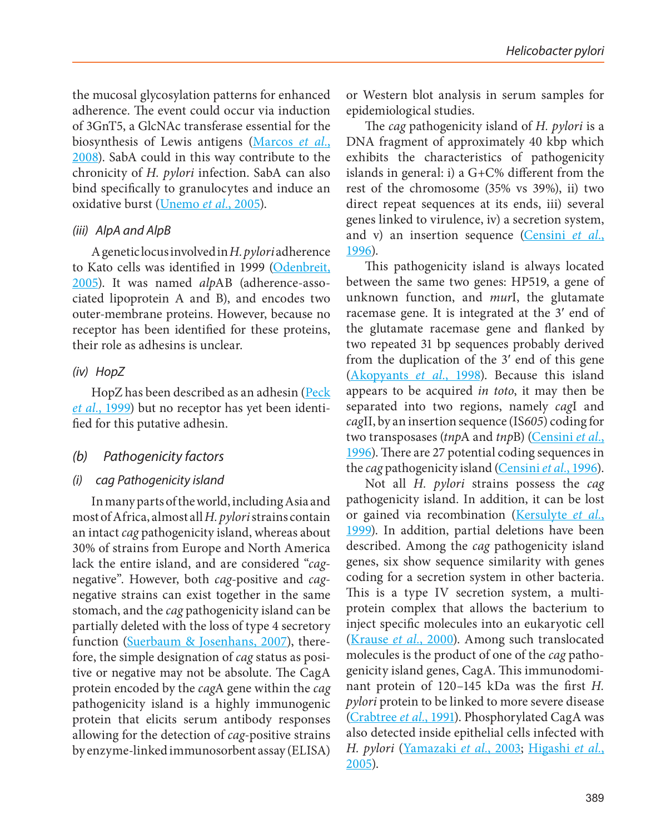the mucosal glycosylation patterns for enhanced adherence. The event could occur via induction of 3GnT5, a GlcNAc transferase essential for the biosynthesis of Lewis antigens (Marcos *et al.*, 2008). SabA could in this way contribute to the chronicity of *H. pylori* infection. SabA can also bind specifically to granulocytes and induce an oxidative burst (Unemo *et al.*, 2005).

#### *(iii) AlpA and AlpB*

A genetic locus involved in *H. pylori* adherence to Kato cells was identified in 1999 (Odenbreit, 2005). It was named *alp*AB (adherence-associated lipoprotein A and B), and encodes two outer-membrane proteins. However, because no receptor has been identified for these proteins, their role as adhesins is unclear.

#### *(iv) HopZ*

HopZ has been described as an adhesin (Peck *et al.*, 1999) but no receptor has yet been identified for this putative adhesin.

#### *(b) Pathogenicity factors*

#### *(i) cag Pathogenicity island*

In many parts of the world, including Asia and most of Africa, almost all *H. pylori* strains contain an intact *cag* pathogenicity island, whereas about 30% of strains from Europe and North America lack the entire island, and are considered "*cag*negative". However, both *cag*-positive and *cag*negative strains can exist together in the same stomach, and the *cag* pathogenicity island can be partially deleted with the loss of type 4 secretory function (Suerbaum & Josenhans, 2007), therefore, the simple designation of *cag* status as positive or negative may not be absolute. The CagA protein encoded by the *cag*A gene within the *cag* pathogenicity island is a highly immunogenic protein that elicits serum antibody responses allowing for the detection of *cag*-positive strains by enzyme-linked immunosorbent assay (ELISA) or Western blot analysis in serum samples for epidemiological studies.

The *cag* pathogenicity island of *H. pylori* is a DNA fragment of approximately 40 kbp which exhibits the characteristics of pathogenicity islands in general: i) a G+C% different from the rest of the chromosome (35% vs 39%), ii) two direct repeat sequences at its ends, iii) several genes linked to virulence, iv) a secretion system, and v) an insertion sequence (Censini *et al.*, 1996).

This pathogenicity island is always located between the same two genes: HP519, a gene of unknown function, and *mur*I, the glutamate racemase gene. It is integrated at the 3′ end of the glutamate racemase gene and flanked by two repeated 31 bp sequences probably derived from the duplication of the 3′ end of this gene (Akopyants *et al.*, 1998). Because this island appears to be acquired *in toto*, it may then be separated into two regions, namely *cag*I and *cag*II, by an insertion sequence (IS*605*) coding for two transposases (*tnp*A and *tnp*B) (Censini *et al.*, 1996). There are 27 potential coding sequences in the *cag* pathogenicity island (Censini *et al.*, 1996).

Not all *H. pylori* strains possess the *cag* pathogenicity island. In addition, it can be lost or gained via recombination (Kersulyte *et al.*, 1999). In addition, partial deletions have been described. Among the *cag* pathogenicity island genes, six show sequence similarity with genes coding for a secretion system in other bacteria. This is a type IV secretion system, a multiprotein complex that allows the bacterium to inject specific molecules into an eukaryotic cell (Krause *et al.*, 2000). Among such translocated molecules is the product of one of the *cag* pathogenicity island genes, CagA. This immunodominant protein of 120–145 kDa was the first *H. pylori* protein to be linked to more severe disease (Crabtree *et al.*, 1991). Phosphorylated CagA was also detected inside epithelial cells infected with *H. pylori* (Yamazaki *et al.*, 2003; Higashi *et al.*, 2005).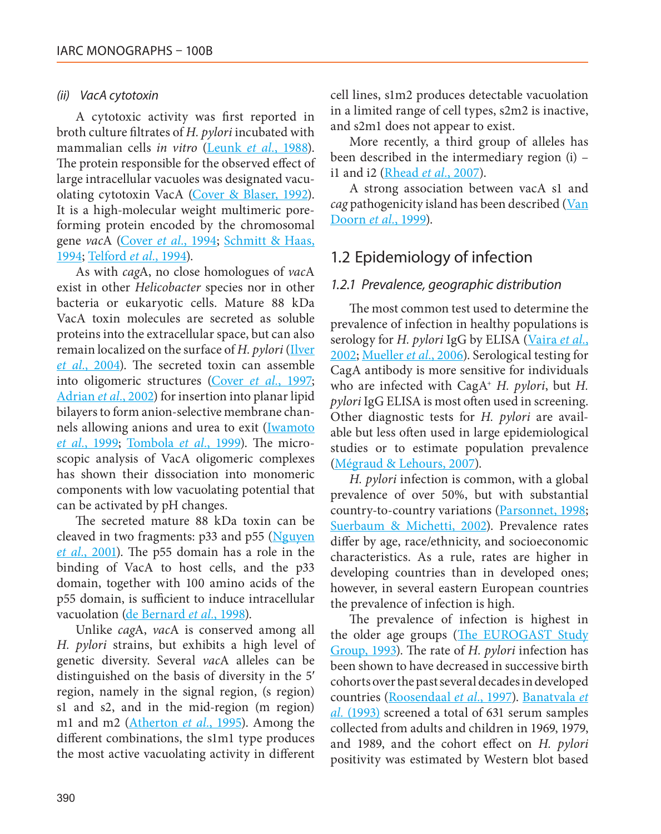#### *(ii) VacA cytotoxin*

A cytotoxic activity was first reported in broth culture filtrates of *H. pylori* incubated with mammalian cells *in vitro* (Leunk *et al.*, 1988). The protein responsible for the observed effect of large intracellular vacuoles was designated vacuolating cytotoxin VacA (Cover & Blaser, 1992). It is a high-molecular weight multimeric poreforming protein encoded by the chromosomal gene *vac*A (Cover *et al.*, 1994; Schmitt & Haas, 1994; Telford *et al.*, 1994).

As with *cag*A, no close homologues of *vac*A exist in other *Helicobacter* species nor in other bacteria or eukaryotic cells. Mature 88 kDa VacA toxin molecules are secreted as soluble proteins into the extracellular space, but can also remain localized on the surface of *H. pylori* (Ilver *et al.*, 2004). The secreted toxin can assemble into oligomeric structures (Cover *et al.*, 1997; Adrian *et al.*, 2002) for insertion into planar lipid bilayers to form anion-selective membrane channels allowing anions and urea to exit (Iwamoto *et al.*, 1999; Tombola *et al.*, 1999). The microscopic analysis of VacA oligomeric complexes has shown their dissociation into monomeric components with low vacuolating potential that can be activated by pH changes.

The secreted mature 88 kDa toxin can be cleaved in two fragments: p33 and p55 (Nguyen *et al.*, 2001). The p55 domain has a role in the binding of VacA to host cells, and the p33 domain, together with 100 amino acids of the p55 domain, is sufficient to induce intracellular vacuolation (de Bernard *et al.*, 1998).

Unlike *cag*A, *vac*A is conserved among all *H. pylori* strains, but exhibits a high level of genetic diversity. Several *vac*A alleles can be distinguished on the basis of diversity in the 5′ region, namely in the signal region, (s region) s1 and s2, and in the mid-region (m region) m1 and m2 (Atherton *et al.*, 1995). Among the different combinations, the s1m1 type produces the most active vacuolating activity in different

cell lines, s1m2 produces detectable vacuolation in a limited range of cell types, s2m2 is inactive, and s2m1 does not appear to exist.

More recently, a third group of alleles has been described in the intermediary region (i) – i1 and i2 (Rhead *et al.*, 2007).

A strong association between vacA s1 and *cag* pathogenicity island has been described (Van Doorn *et al.*, 1999).

## 1.2 Epidemiology of infection

#### *1.2.1 Prevalence, geographic distribution*

The most common test used to determine the prevalence of infection in healthy populations is serology for *H. pylori* IgG by ELISA (Vaira *et al.*, 2002; Mueller *et al.*, 2006). Serological testing for CagA antibody is more sensitive for individuals who are infected with CagA+ *H. pylori*, but *H. pylori* IgG ELISA is most often used in screening. Other diagnostic tests for *H. pylori* are available but less often used in large epidemiological studies or to estimate population prevalence (Mégraud & Lehours, 2007).

*H. pylori* infection is common, with a global prevalence of over 50%, but with substantial country-to-country variations (Parsonnet, 1998; Suerbaum & Michetti, 2002). Prevalence rates differ by age, race/ethnicity, and socioeconomic characteristics. As a rule, rates are higher in developing countries than in developed ones; however, in several eastern European countries the prevalence of infection is high.

The prevalence of infection is highest in the older age groups (The EUROGAST Study Group, 1993). The rate of *H. pylori* infection has been shown to have decreased in successive birth cohorts over the past several decades in developed countries (Roosendaal *et al.*, 1997). Banatvala *et al.* (1993) screened a total of 631 serum samples collected from adults and children in 1969, 1979, and 1989, and the cohort effect on *H. pylori* positivity was estimated by Western blot based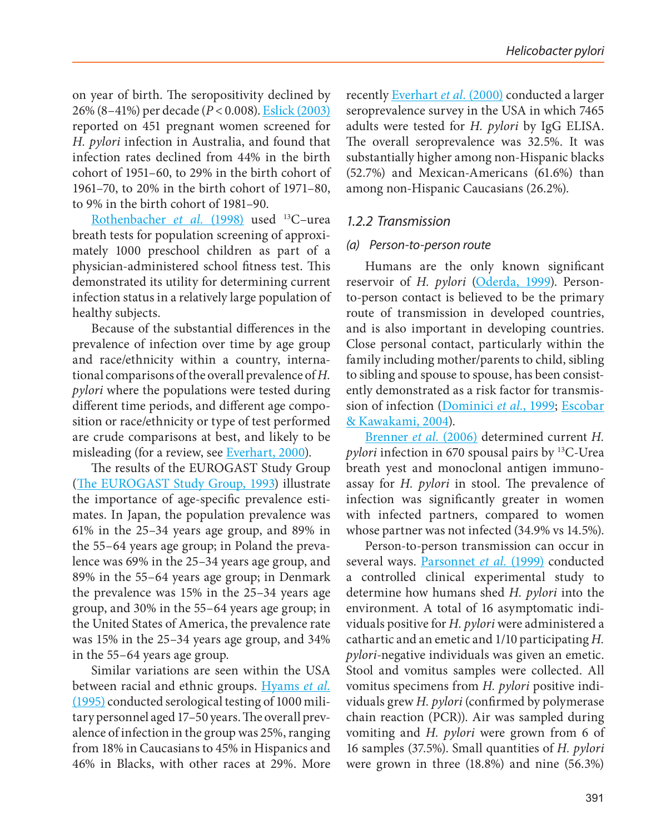on year of birth. The seropositivity declined by 26% (8–41%) per decade (*P* < 0.008). Eslick (2003) reported on 451 pregnant women screened for *H. pylori* infection in Australia, and found that infection rates declined from 44% in the birth cohort of 1951–60, to 29% in the birth cohort of 1961–70, to 20% in the birth cohort of 1971–80, to 9% in the birth cohort of 1981–90.

Rothenbacher *et al.* (1998) used <sup>13</sup>C-urea breath tests for population screening of approximately 1000 preschool children as part of a physician-administered school fitness test. This demonstrated its utility for determining current infection status in a relatively large population of healthy subjects.

Because of the substantial differences in the prevalence of infection over time by age group and race/ethnicity within a country, international comparisons of the overall prevalence of *H. pylori* where the populations were tested during different time periods, and different age composition or race/ethnicity or type of test performed are crude comparisons at best, and likely to be misleading (for a review, see Everhart, 2000).

The results of the EUROGAST Study Group (The EUROGAST Study Group, 1993) illustrate the importance of age-specific prevalence estimates. In Japan, the population prevalence was 61% in the 25–34 years age group, and 89% in the 55–64 years age group; in Poland the prevalence was 69% in the 25–34 years age group, and 89% in the 55–64 years age group; in Denmark the prevalence was 15% in the 25–34 years age group, and 30% in the 55–64 years age group; in the United States of America, the prevalence rate was 15% in the 25–34 years age group, and 34% in the 55–64 years age group.

Similar variations are seen within the USA between racial and ethnic groups. Hyams *et al.* (1995) conducted serological testing of 1000 military personnel aged 17–50 years. The overall prevalence of infection in the group was 25%, ranging from 18% in Caucasians to 45% in Hispanics and 46% in Blacks, with other races at 29%. More recently Everhart *et al.* (2000) conducted a larger seroprevalence survey in the USA in which 7465 adults were tested for *H. pylori* by IgG ELISA. The overall seroprevalence was 32.5%. It was substantially higher among non-Hispanic blacks (52.7%) and Mexican-Americans (61.6%) than among non-Hispanic Caucasians (26.2%).

#### *1.2.2 Transmission*

#### *(a) Person-to-person route*

Humans are the only known significant reservoir of *H. pylori* (Oderda, 1999). Personto-person contact is believed to be the primary route of transmission in developed countries, and is also important in developing countries. Close personal contact, particularly within the family including mother/parents to child, sibling to sibling and spouse to spouse, has been consistently demonstrated as a risk factor for transmission of infection (Dominici *et al.*, 1999; Escobar & Kawakami, 2004).

Brenner *et al.* (2006) determined current *H. pylori* infection in 670 spousal pairs by 13C-Urea breath yest and monoclonal antigen immunoassay for *H. pylori* in stool. The prevalence of infection was significantly greater in women with infected partners, compared to women whose partner was not infected (34.9% vs 14.5%).

Person-to-person transmission can occur in several ways. Parsonnet *et al.* (1999) conducted a controlled clinical experimental study to determine how humans shed *H. pylori* into the environment. A total of 16 asymptomatic individuals positive for *H. pylori* were administered a cathartic and an emetic and 1/10 participating *H. pylori*-negative individuals was given an emetic. Stool and vomitus samples were collected. All vomitus specimens from *H. pylori* positive individuals grew *H. pylori* (confirmed by polymerase chain reaction (PCR)). Air was sampled during vomiting and *H. pylori* were grown from 6 of 16 samples (37.5%). Small quantities of *H. pylori* were grown in three (18.8%) and nine (56.3%)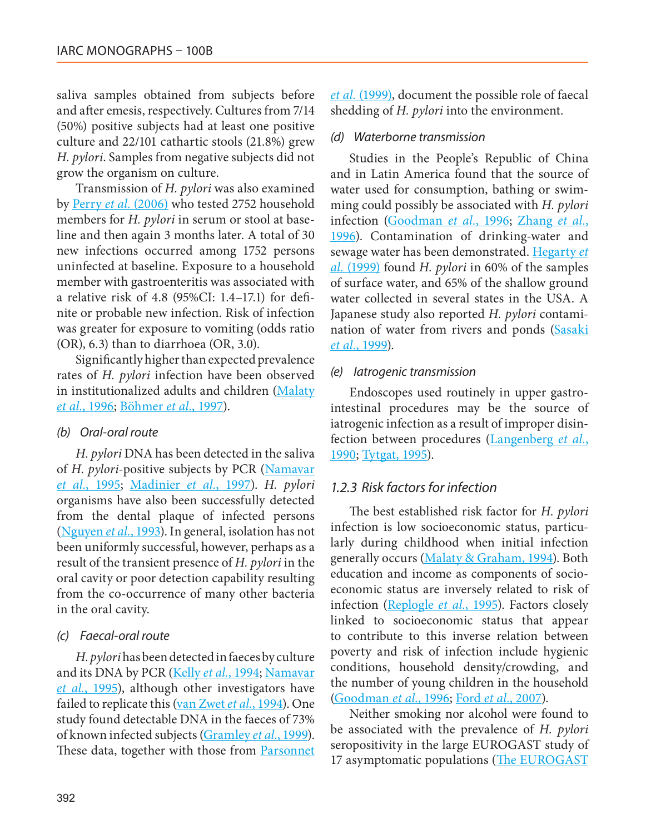saliva samples obtained from subjects before and after emesis, respectively. Cultures from 7/14 (50%) positive subjects had at least one positive culture and 22/101 cathartic stools (21.8%) grew *H. pylori*. Samples from negative subjects did not grow the organism on culture.

Transmission of *H. pylori* was also examined by Perry *et al.* (2006) who tested 2752 household members for *H. pylori* in serum or stool at baseline and then again 3 months later. A total of 30 new infections occurred among 1752 persons uninfected at baseline. Exposure to a household member with gastroenteritis was associated with a relative risk of 4.8 (95%CI: 1.4–17.1) for definite or probable new infection. Risk of infection was greater for exposure to vomiting (odds ratio (OR), 6.3) than to diarrhoea (OR, 3.0).

Significantly higher than expected prevalence rates of *H. pylori* infection have been observed in institutionalized adults and children (Malaty *et al.*, 1996; Böhmer *et al.*, 1997).

#### *(b) Oral-oral route*

*H. pylori* DNA has been detected in the saliva of *H*. *pylori*-positive subjects by PCR (Namavar *et al.*, 1995; Madinier *et al.*, 1997). *H. pylori* organisms have also been successfully detected from the dental plaque of infected persons (Nguyen *et al.*, 1993). In general, isolation has not been uniformly successful, however, perhaps as a result of the transient presence of *H. pylori* in the oral cavity or poor detection capability resulting from the co-occurrence of many other bacteria in the oral cavity.

#### *(c) Faecal-oral route*

*H. pylori* has been detected in faeces by culture and its DNA by PCR (Kelly *et al.*, 1994; Namavar *et al.*, 1995), although other investigators have failed to replicate this (van Zwet *et al.*, 1994). One study found detectable DNA in the faeces of 73% of known infected subjects (Gramley *et al.*, 1999). These data, together with those from **Parsonnet**  *et al.* (1999), document the possible role of faecal shedding of *H. pylori* into the environment.

#### *(d) Waterborne transmission*

Studies in the People's Republic of China and in Latin America found that the source of water used for consumption, bathing or swimming could possibly be associated with *H. pylori* infection (Goodman *et al.*, 1996; Zhang *et al.*, 1996). Contamination of drinking-water and sewage water has been demonstrated. Hegarty *et al.* (1999) found *H. pylori* in 60% of the samples of surface water, and 65% of the shallow ground water collected in several states in the USA. A Japanese study also reported *H. pylori* contamination of water from rivers and ponds (Sasaki *et al.*, 1999).

#### *(e) Iatrogenic transmission*

Endoscopes used routinely in upper gastrointestinal procedures may be the source of iatrogenic infection as a result of improper disinfection between procedures (Langenberg *et al.*, 1990; Tytgat, 1995).

#### *1.2.3 Risk factors for infection*

The best established risk factor for *H. pylori* infection is low socioeconomic status, particularly during childhood when initial infection generally occurs (Malaty & Graham, 1994). Both education and income as components of socioeconomic status are inversely related to risk of infection (Replogle *et al.*, 1995). Factors closely linked to socioeconomic status that appear to contribute to this inverse relation between poverty and risk of infection include hygienic conditions, household density/crowding, and the number of young children in the household (Goodman *et al.*, 1996; Ford *et al.*, 2007).

Neither smoking nor alcohol were found to be associated with the prevalence of *H. pylori* seropositivity in the large EUROGAST study of 17 asymptomatic populations (The EUROGAST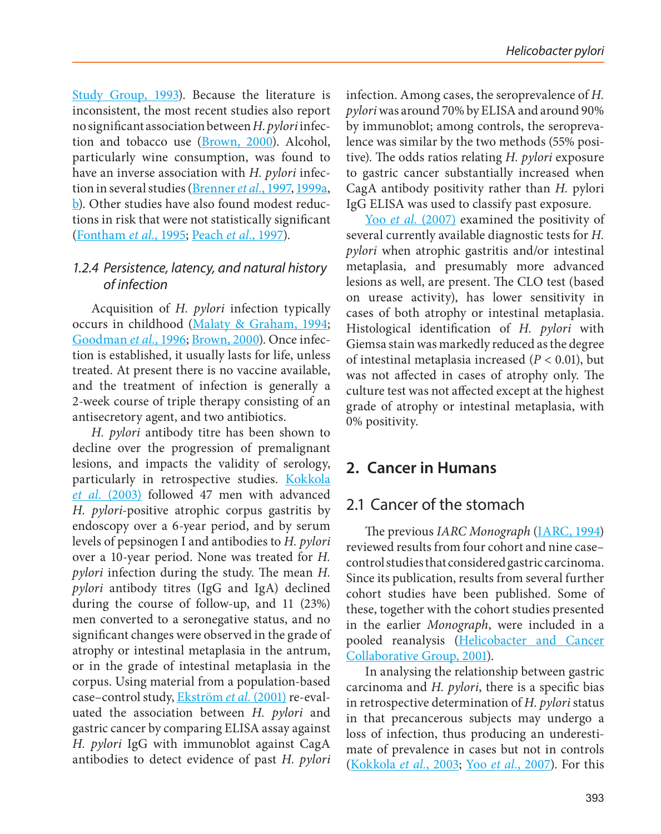Study Group, 1993). Because the literature is inconsistent, the most recent studies also report no significant association between *H. pylori* infection and tobacco use (Brown, 2000). Alcohol, particularly wine consumption, was found to have an inverse association with *H. pylori* infection in several studies (Brenner *et al.*, 1997, 1999a, b). Other studies have also found modest reductions in risk that were not statistically significant (Fontham *et al.*, 1995; Peach *et al.*, 1997).

#### *1.2.4 Persistence, latency, and natural history of infection*

Acquisition of *H. pylori* infection typically occurs in childhood (Malaty & Graham, 1994; Goodman *et al.*, 1996; Brown, 2000). Once infection is established, it usually lasts for life, unless treated. At present there is no vaccine available, and the treatment of infection is generally a 2-week course of triple therapy consisting of an antisecretory agent, and two antibiotics.

*H. pylori* antibody titre has been shown to decline over the progression of premalignant lesions, and impacts the validity of serology, particularly in retrospective studies. Kokkola *et al.* (2003) followed 47 men with advanced *H. pylori*-positive atrophic corpus gastritis by endoscopy over a 6-year period, and by serum levels of pepsinogen I and antibodies to *H. pylori* over a 10-year period. None was treated for *H. pylori* infection during the study. The mean *H. pylori* antibody titres (IgG and IgA) declined during the course of follow-up, and 11 (23%) men converted to a seronegative status, and no significant changes were observed in the grade of atrophy or intestinal metaplasia in the antrum, or in the grade of intestinal metaplasia in the corpus. Using material from a population-based case–control study, Ekström *et al.* (2001) re-evaluated the association between *H. pylori* and gastric cancer by comparing ELISA assay against *H. pylori* IgG with immunoblot against CagA antibodies to detect evidence of past *H. pylori*

infection. Among cases, the seroprevalence of *H. pylori* was around 70% by ELISA and around 90% by immunoblot; among controls, the seroprevalence was similar by the two methods (55% positive). The odds ratios relating *H. pylori* exposure to gastric cancer substantially increased when CagA antibody positivity rather than *H.* pylori IgG ELISA was used to classify past exposure.

Yoo *et al.* (2007) examined the positivity of several currently available diagnostic tests for *H. pylori* when atrophic gastritis and/or intestinal metaplasia, and presumably more advanced lesions as well, are present. The CLO test (based on urease activity), has lower sensitivity in cases of both atrophy or intestinal metaplasia. Histological identification of *H. pylori* with Giemsa stain was markedly reduced as the degree of intestinal metaplasia increased (*P* < 0.01), but was not affected in cases of atrophy only. The culture test was not affected except at the highest grade of atrophy or intestinal metaplasia, with 0% positivity.

## **2. Cancer in Humans**

## 2.1 Cancer of the stomach

The previous *IARC Monograph* (IARC, 1994) reviewed results from four cohort and nine case– control studies that considered gastric carcinoma. Since its publication, results from several further cohort studies have been published. Some of these, together with the cohort studies presented in the earlier *Monograph*, were included in a pooled reanalysis (Helicobacter and Cancer Collaborative Group, 2001).

In analysing the relationship between gastric carcinoma and *H. pylori*, there is a specific bias in retrospective determination of *H. pylori* status in that precancerous subjects may undergo a loss of infection, thus producing an underestimate of prevalence in cases but not in controls (Kokkola *et al.*, 2003; Yoo *et al.*, 2007). For this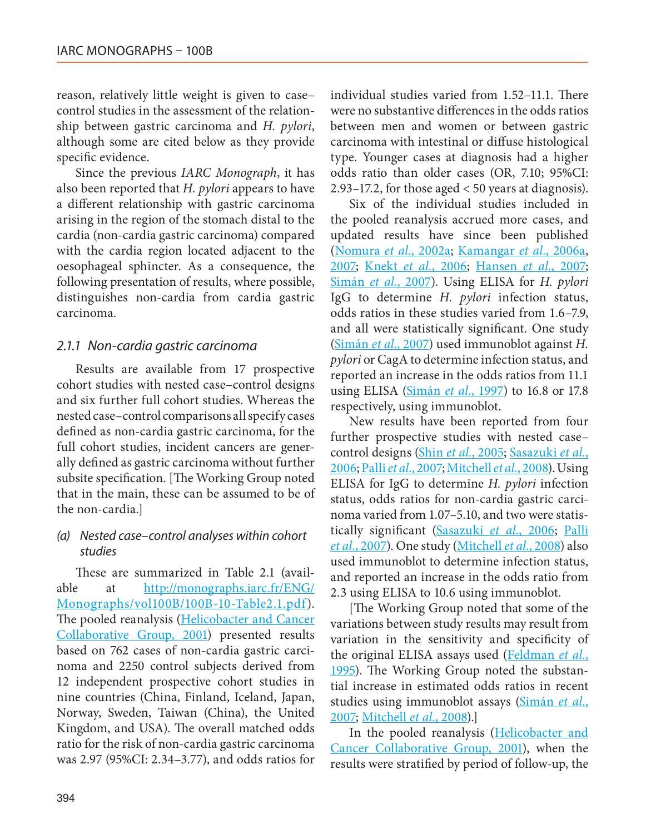reason, relatively little weight is given to case– control studies in the assessment of the relationship between gastric carcinoma and *H. pylori*, although some are cited below as they provide specific evidence.

Since the previous *IARC Monograph*, it has also been reported that *H. pylori* appears to have a different relationship with gastric carcinoma arising in the region of the stomach distal to the cardia (non-cardia gastric carcinoma) compared with the cardia region located adjacent to the oesophageal sphincter. As a consequence, the following presentation of results, where possible, distinguishes non-cardia from cardia gastric carcinoma.

#### *2.1.1 Non-cardia gastric carcinoma*

Results are available from 17 prospective cohort studies with nested case–control designs and six further full cohort studies. Whereas the nested case–control comparisons all specify cases defined as non-cardia gastric carcinoma, for the full cohort studies, incident cancers are generally defined as gastric carcinoma without further subsite specification. [The Working Group noted that in the main, these can be assumed to be of the non-cardia.]

#### *(a) Nested case–control analyses within cohort studies*

These are summarized in Table 2.1 (available at [http://monographs.iarc.fr/ENG/](http://monographs.iarc.fr/ENG/Monographs/vol100B/100B-10-Table2.1.pdf) [Monographs/vol100B/100B-10-Table2.1.pdf](http://monographs.iarc.fr/ENG/Monographs/vol100B/100B-10-Table2.1.pdf)). The pooled reanalysis (Helicobacter and Cancer Collaborative Group, 2001) presented results based on 762 cases of non-cardia gastric carcinoma and 2250 control subjects derived from 12 independent prospective cohort studies in nine countries (China, Finland, Iceland, Japan, Norway, Sweden, Taiwan (China), the United Kingdom, and USA). The overall matched odds ratio for the risk of non-cardia gastric carcinoma was 2.97 (95%CI: 2.34–3.77), and odds ratios for

individual studies varied from 1.52–11.1. There were no substantive differences in the odds ratios between men and women or between gastric carcinoma with intestinal or diffuse histological type. Younger cases at diagnosis had a higher odds ratio than older cases (OR, 7.10; 95%CI: 2.93–17.2, for those aged < 50 years at diagnosis).

Six of the individual studies included in the pooled reanalysis accrued more cases, and updated results have since been published (Nomura *et al.*, 2002a; Kamangar *et al.*, 2006a, 2007; Knekt *et al.*, 2006; Hansen *et al.*, 2007; Simán *et al.*, 2007). Using ELISA for *H. pylori* IgG to determine *H. pylori* infection status, odds ratios in these studies varied from 1.6–7.9, and all were statistically significant. One study (Simán *et al.*, 2007) used immunoblot against *H. pylori* or CagA to determine infection status, and reported an increase in the odds ratios from 11.1 using ELISA (Simán *et al.*, 1997) to 16.8 or 17.8 respectively, using immunoblot.

New results have been reported from four further prospective studies with nested case– control designs (Shin *et al.*, 2005; Sasazuki *et al.*, 2006; Palli *et al.*, 2007; Mitchell *et al.*, 2008). Using ELISA for IgG to determine *H. pylori* infection status, odds ratios for non-cardia gastric carcinoma varied from 1.07–5.10, and two were statistically significant (Sasazuki *et al.*, 2006; Palli *et al.*, 2007). One study (Mitchell *et al.*, 2008) also used immunoblot to determine infection status, and reported an increase in the odds ratio from 2.3 using ELISA to 10.6 using immunoblot.

[The Working Group noted that some of the variations between study results may result from variation in the sensitivity and specificity of the original ELISA assays used (Feldman *et al.*, 1995). The Working Group noted the substantial increase in estimated odds ratios in recent studies using immunoblot assays (Simán *et al.*, 2007; Mitchell *et al.*, 2008).]

In the pooled reanalysis (Helicobacter and Cancer Collaborative Group, 2001), when the results were stratified by period of follow-up, the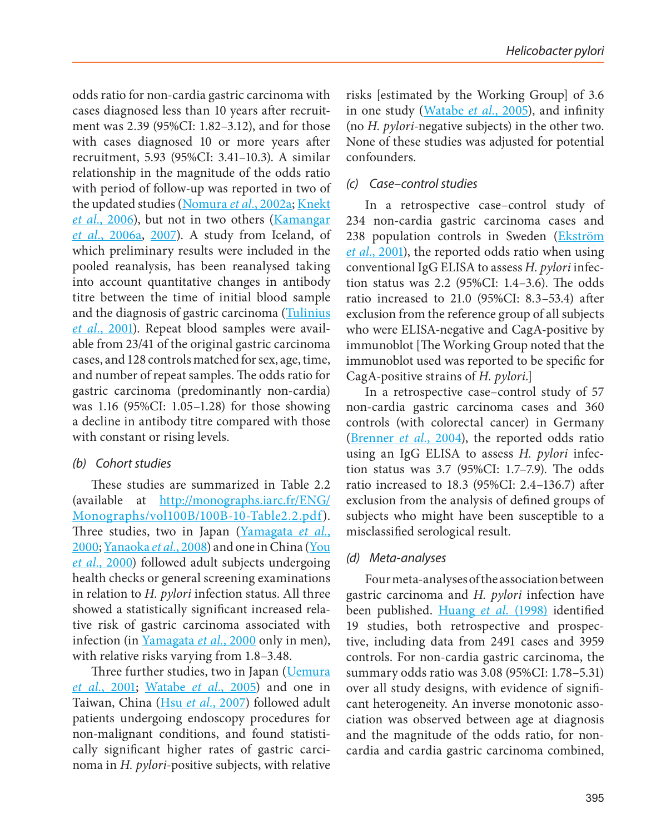odds ratio for non-cardia gastric carcinoma with cases diagnosed less than 10 years after recruitment was 2.39 (95%CI: 1.82–3.12), and for those with cases diagnosed 10 or more years after recruitment, 5.93 (95%CI: 3.41–10.3). A similar relationship in the magnitude of the odds ratio with period of follow-up was reported in two of the updated studies (Nomura *et al.*, 2002a; Knekt *et al.*, 2006), but not in two others (Kamangar *et al.*, 2006a, 2007). A study from Iceland, of which preliminary results were included in the pooled reanalysis, has been reanalysed taking into account quantitative changes in antibody titre between the time of initial blood sample and the diagnosis of gastric carcinoma (Tulinius *et al.*, 2001). Repeat blood samples were available from 23/41 of the original gastric carcinoma cases, and 128 controls matched for sex, age, time, and number of repeat samples. The odds ratio for gastric carcinoma (predominantly non-cardia) was 1.16 (95%CI: 1.05–1.28) for those showing a decline in antibody titre compared with those with constant or rising levels.

#### *(b) Cohort studies*

These studies are summarized in Table 2.2 (available at [http://monographs.iarc.fr/ENG/](http://monographs.iarc.fr/ENG/Monographs/vol100B/100B-10-Table2.2.pdf) [Monographs/vol100B/100B-10-Table2.2.pdf\)](http://monographs.iarc.fr/ENG/Monographs/vol100B/100B-10-Table2.2.pdf). Three studies, two in Japan (Yamagata *et al.*, 2000; Yanaoka *et al.*, 2008) and one in China (You *et al.*, 2000) followed adult subjects undergoing health checks or general screening examinations in relation to *H. pylori* infection status. All three showed a statistically significant increased relative risk of gastric carcinoma associated with infection (in Yamagata *et al.*, 2000 only in men), with relative risks varying from 1.8–3.48.

Three further studies, two in Japan (*Uemura et al.*, 2001; Watabe *et al.*, 2005) and one in Taiwan, China (Hsu *et al.*, 2007) followed adult patients undergoing endoscopy procedures for non-malignant conditions, and found statistically significant higher rates of gastric carcinoma in *H. pylori*-positive subjects, with relative risks [estimated by the Working Group] of 3.6 in one study (Watabe *et al.*, 2005), and infinity (no *H. pylori*-negative subjects) in the other two. None of these studies was adjusted for potential confounders.

#### *(c) Case–control studies*

In a retrospective case–control study of 234 non-cardia gastric carcinoma cases and 238 population controls in Sweden (Ekström *et al.*, 2001), the reported odds ratio when using conventional IgG ELISA to assess *H. pylori* infection status was 2.2 (95%CI: 1.4–3.6). The odds ratio increased to 21.0 (95%CI: 8.3–53.4) after exclusion from the reference group of all subjects who were ELISA-negative and CagA-positive by immunoblot [The Working Group noted that the immunoblot used was reported to be specific for CagA-positive strains of *H. pylori*.]

In a retrospective case–control study of 57 non-cardia gastric carcinoma cases and 360 controls (with colorectal cancer) in Germany (Brenner *et al.*, 2004), the reported odds ratio using an IgG ELISA to assess *H. pylori* infection status was 3.7 (95%CI: 1.7–7.9). The odds ratio increased to 18.3 (95%CI: 2.4–136.7) after exclusion from the analysis of defined groups of subjects who might have been susceptible to a misclassified serological result.

#### *(d) Meta-analyses*

Four meta-analyses of the association between gastric carcinoma and *H. pylori* infection have been published. Huang *et al.* (1998) identified 19 studies, both retrospective and prospective, including data from 2491 cases and 3959 controls. For non-cardia gastric carcinoma, the summary odds ratio was 3.08 (95%CI: 1.78–5.31) over all study designs, with evidence of significant heterogeneity. An inverse monotonic association was observed between age at diagnosis and the magnitude of the odds ratio, for noncardia and cardia gastric carcinoma combined,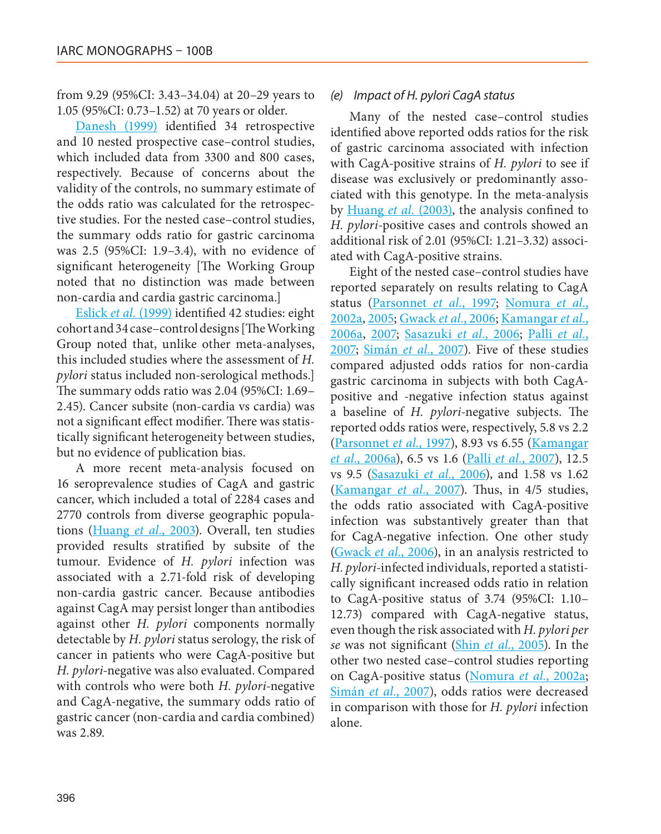from 9.29 (95%CI: 3.43–34.04) at 20–29 years to 1.05 (95%CI: 0.73–1.52) at 70 years or older.

Danesh (1999) identified 34 retrospective and 10 nested prospective case–control studies, which included data from 3300 and 800 cases, respectively. Because of concerns about the validity of the controls, no summary estimate of the odds ratio was calculated for the retrospective studies. For the nested case–control studies, the summary odds ratio for gastric carcinoma was 2.5 (95%CI: 1.9–3.4), with no evidence of significant heterogeneity [The Working Group noted that no distinction was made between non-cardia and cardia gastric carcinoma.]

Eslick *et al.* (1999) identified 42 studies: eight cohort and 34 case–control designs [The Working Group noted that, unlike other meta-analyses, this included studies where the assessment of *H. pylori* status included non-serological methods.] The summary odds ratio was 2.04 (95%CI: 1.69– 2.45). Cancer subsite (non-cardia vs cardia) was not a significant effect modifier. There was statistically significant heterogeneity between studies, but no evidence of publication bias.

A more recent meta-analysis focused on 16 seroprevalence studies of CagA and gastric cancer, which included a total of 2284 cases and 2770 controls from diverse geographic populations (Huang *et al.*, 2003). Overall, ten studies provided results stratified by subsite of the tumour. Evidence of *H. pylori* infection was associated with a 2.71-fold risk of developing non-cardia gastric cancer. Because antibodies against CagA may persist longer than antibodies against other *H. pylori* components normally detectable by *H. pylori* status serology, the risk of cancer in patients who were CagA-positive but *H. pylori*-negative was also evaluated. Compared with controls who were both *H. pylori*-negative and CagA-negative, the summary odds ratio of gastric cancer (non-cardia and cardia combined) was 2.89.

#### *(e) Impact of H. pylori CagA status*

Many of the nested case–control studies identified above reported odds ratios for the risk of gastric carcinoma associated with infection with CagA-positive strains of *H. pylori* to see if disease was exclusively or predominantly associated with this genotype. In the meta-analysis by Huang *et al.* (2003), the analysis confined to *H. pylori*-positive cases and controls showed an additional risk of 2.01 (95%CI: 1.21–3.32) associated with CagA-positive strains.

Eight of the nested case–control studies have reported separately on results relating to CagA status (Parsonnet *et al.*, 1997; Nomura *et al.*, 2002a, 2005; Gwack *et al.*, 2006; Kamangar *et al.*, 2006a, 2007; Sasazuki *et al.*, 2006; Palli *et al.*, 2007; Simán *et al.*, 2007). Five of these studies compared adjusted odds ratios for non-cardia gastric carcinoma in subjects with both CagApositive and -negative infection status against a baseline of *H. pylori*-negative subjects. The reported odds ratios were, respectively, 5.8 vs 2.2 (Parsonnet *et al.*, 1997), 8.93 vs 6.55 (Kamangar *et al.*, 2006a), 6.5 vs 1.6 (Palli *et al.*, 2007), 12.5 vs 9.5 (Sasazuki *et al.*, 2006), and 1.58 vs 1.62 (Kamangar *et al.*, 2007). Thus, in 4/5 studies, the odds ratio associated with CagA-positive infection was substantively greater than that for CagA-negative infection. One other study (Gwack *et al.*, 2006), in an analysis restricted to *H. pylori*-infected individuals, reported a statistically significant increased odds ratio in relation to CagA-positive status of 3.74 (95%CI: 1.10– 12.73) compared with CagA-negative status, even though the risk associated with *H. pylori per se* was not significant (Shin *et al.*, 2005). In the other two nested case–control studies reporting on CagA-positive status (Nomura *et al.*, 2002a; Simán *et al.*, 2007), odds ratios were decreased in comparison with those for *H. pylori* infection alone.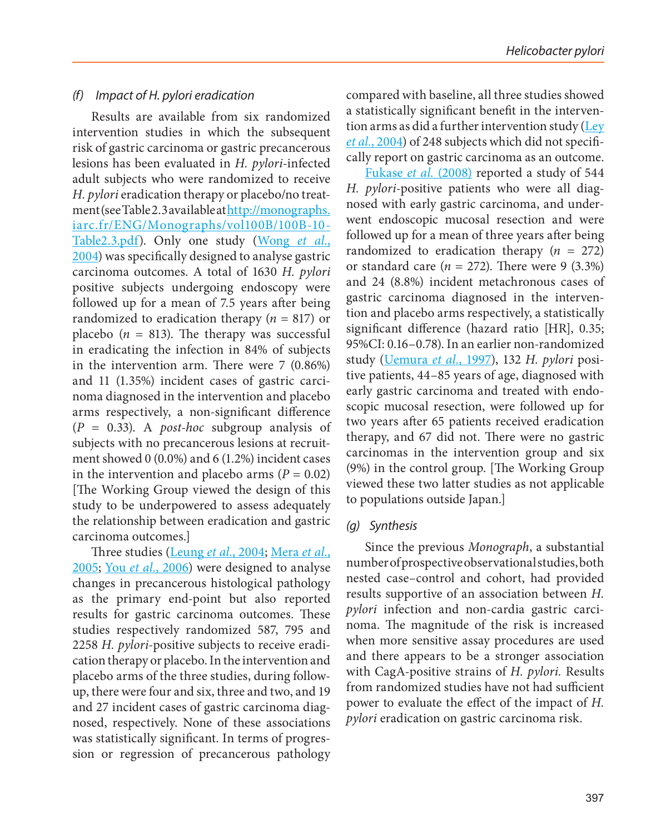#### *(f) Impact of H. pylori eradication*

Results are available from six randomized intervention studies in which the subsequent risk of gastric carcinoma or gastric precancerous lesions has been evaluated in *H. pylori*-infected adult subjects who were randomized to receive *H. pylori* eradication therapy or placebo/no treatment (see Table 2.3 available at [http://monographs.](http://monographs.iarc.fr/ENG/Monographs/vol100B/100B-10-Table2.3.pdf) [iarc.fr/ENG/Monographs/vol100B/100B-10-](http://monographs.iarc.fr/ENG/Monographs/vol100B/100B-10-Table2.3.pdf) [Table2.3.pdf](http://monographs.iarc.fr/ENG/Monographs/vol100B/100B-10-Table2.3.pdf)). Only one study (Wong *et al.*, 2004) was specifically designed to analyse gastric carcinoma outcomes. A total of 1630 *H. pylori* positive subjects undergoing endoscopy were followed up for a mean of 7.5 years after being randomized to eradication therapy (*n* = 817) or placebo  $(n = 813)$ . The therapy was successful in eradicating the infection in 84% of subjects in the intervention arm. There were 7 (0.86%) and 11 (1.35%) incident cases of gastric carcinoma diagnosed in the intervention and placebo arms respectively, a non-significant difference (*P* = 0.33). A *post-hoc* subgroup analysis of subjects with no precancerous lesions at recruitment showed 0 (0.0%) and 6 (1.2%) incident cases in the intervention and placebo arms  $(P = 0.02)$ [The Working Group viewed the design of this study to be underpowered to assess adequately the relationship between eradication and gastric carcinoma outcomes.]

Three studies (Leung *et al.*, 2004; Mera *et al.*, 2005; You *et al.*, 2006) were designed to analyse changes in precancerous histological pathology as the primary end-point but also reported results for gastric carcinoma outcomes. These studies respectively randomized 587, 795 and 2258 *H. pylori*-positive subjects to receive eradication therapy or placebo. In the intervention and placebo arms of the three studies, during followup, there were four and six, three and two, and 19 and 27 incident cases of gastric carcinoma diagnosed, respectively. None of these associations was statistically significant. In terms of progression or regression of precancerous pathology compared with baseline, all three studies showed a statistically significant benefit in the intervention arms as did a further intervention study (Ley *et al.*, 2004) of 248 subjects which did not specifically report on gastric carcinoma as an outcome.

Fukase *et al.* (2008) reported a study of 544 *H. pylori*-positive patients who were all diagnosed with early gastric carcinoma, and underwent endoscopic mucosal resection and were followed up for a mean of three years after being randomized to eradication therapy  $(n = 272)$ or standard care  $(n = 272)$ . There were 9  $(3.3\%)$ and 24 (8.8%) incident metachronous cases of gastric carcinoma diagnosed in the intervention and placebo arms respectively, a statistically significant difference (hazard ratio [HR], 0.35; 95%CI: 0.16–0.78). In an earlier non-randomized study (Uemura *et al.*, 1997), 132 *H. pylori* positive patients, 44–85 years of age, diagnosed with early gastric carcinoma and treated with endoscopic mucosal resection, were followed up for two years after 65 patients received eradication therapy, and 67 did not. There were no gastric carcinomas in the intervention group and six (9%) in the control group. [The Working Group viewed these two latter studies as not applicable to populations outside Japan.]

#### *(g) Synthesis*

Since the previous *Monograph*, a substantial number of prospective observational studies, both nested case–control and cohort, had provided results supportive of an association between *H. pylori* infection and non-cardia gastric carcinoma. The magnitude of the risk is increased when more sensitive assay procedures are used and there appears to be a stronger association with CagA-positive strains of *H. pylori.* Results from randomized studies have not had sufficient power to evaluate the effect of the impact of *H. pylori* eradication on gastric carcinoma risk.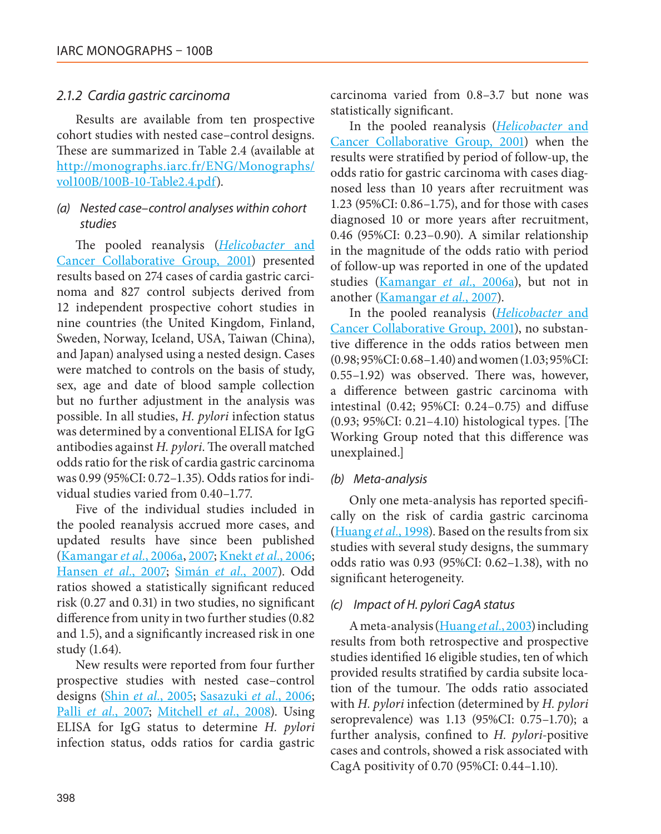#### *2.1.2 Cardia gastric carcinoma*

Results are available from ten prospective cohort studies with nested case–control designs. These are summarized in Table 2.4 (available at [http://monographs.iarc.fr/ENG/Monographs/](http://monographs.iarc.fr/ENG/Monographs/vol100B/100B-10-Table2.4.pdf) [vol100B/100B-10-Table2.4.pdf\)](http://monographs.iarc.fr/ENG/Monographs/vol100B/100B-10-Table2.4.pdf).

#### *(a) Nested case–control analyses within cohort studies*

The pooled reanalysis (*Helicobacter* and Cancer Collaborative Group, 2001) presented results based on 274 cases of cardia gastric carcinoma and 827 control subjects derived from 12 independent prospective cohort studies in nine countries (the United Kingdom, Finland, Sweden, Norway, Iceland, USA, Taiwan (China), and Japan) analysed using a nested design. Cases were matched to controls on the basis of study, sex, age and date of blood sample collection but no further adjustment in the analysis was possible. In all studies, *H. pylori* infection status was determined by a conventional ELISA for IgG antibodies against *H. pylori*. The overall matched odds ratio for the risk of cardia gastric carcinoma was 0.99 (95%CI: 0.72–1.35). Odds ratios for individual studies varied from 0.40–1.77.

Five of the individual studies included in the pooled reanalysis accrued more cases, and updated results have since been published (Kamangar *et al.*, 2006a, 2007; Knekt *et al.*, 2006; Hansen *et al.*, 2007; Simán *et al.*, 2007). Odd ratios showed a statistically significant reduced risk (0.27 and 0.31) in two studies, no significant difference from unity in two further studies (0.82 and 1.5), and a significantly increased risk in one study (1.64).

New results were reported from four further prospective studies with nested case–control designs (Shin *et al.*, 2005; Sasazuki *et al.*, 2006; Palli *et al.*, 2007; Mitchell *et al.*, 2008). Using ELISA for IgG status to determine *H. pylori* infection status, odds ratios for cardia gastric

carcinoma varied from 0.8–3.7 but none was statistically significant.

In the pooled reanalysis (*Helicobacter* and Cancer Collaborative Group, 2001) when the results were stratified by period of follow-up, the odds ratio for gastric carcinoma with cases diagnosed less than 10 years after recruitment was 1.23 (95%CI: 0.86–1.75), and for those with cases diagnosed 10 or more years after recruitment, 0.46 (95%CI: 0.23–0.90). A similar relationship in the magnitude of the odds ratio with period of follow-up was reported in one of the updated studies (Kamangar *et al.*, 2006a), but not in another (Kamangar *et al.*, 2007).

In the pooled reanalysis (*Helicobacter* and Cancer Collaborative Group, 2001), no substantive difference in the odds ratios between men (0.98; 95%CI: 0.68–1.40) and women (1.03; 95%CI: 0.55–1.92) was observed. There was, however, a difference between gastric carcinoma with intestinal (0.42; 95%CI: 0.24–0.75) and diffuse (0.93; 95%CI: 0.21–4.10) histological types. [The Working Group noted that this difference was unexplained.]

#### *(b) Meta-analysis*

Only one meta-analysis has reported specifically on the risk of cardia gastric carcinoma (Huang *et al.*, 1998). Based on the results from six studies with several study designs, the summary odds ratio was 0.93 (95%CI: 0.62–1.38), with no significant heterogeneity.

#### *(c) Impact of H. pylori CagA status*

A meta-analysis (Huang *et al.*, 2003) including results from both retrospective and prospective studies identified 16 eligible studies, ten of which provided results stratified by cardia subsite location of the tumour. The odds ratio associated with *H. pylori* infection (determined by *H. pylori* seroprevalence) was 1.13 (95%CI: 0.75–1.70); a further analysis, confined to *H. pylori*-positive cases and controls, showed a risk associated with CagA positivity of 0.70 (95%CI: 0.44–1.10).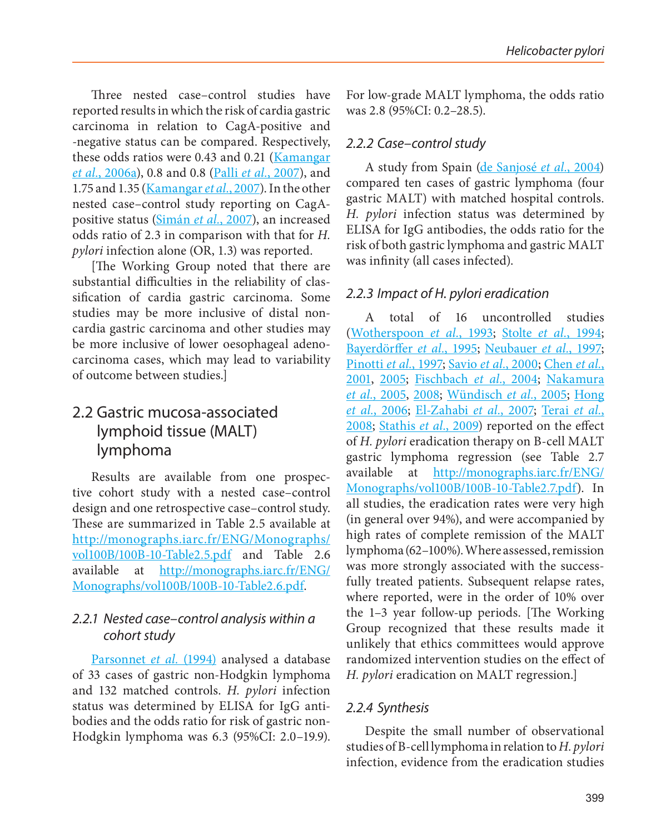Three nested case–control studies have reported results in which the risk of cardia gastric carcinoma in relation to CagA-positive and -negative status can be compared. Respectively, these odds ratios were 0.43 and 0.21 (Kamangar *et al.*, 2006a), 0.8 and 0.8 (Palli *et al.*, 2007), and 1.75 and 1.35 (Kamangar *et al.*, 2007). In the other nested case–control study reporting on CagApositive status (Simán *et al.*, 2007), an increased odds ratio of 2.3 in comparison with that for *H. pylori* infection alone (OR, 1.3) was reported.

[The Working Group noted that there are substantial difficulties in the reliability of classification of cardia gastric carcinoma. Some studies may be more inclusive of distal noncardia gastric carcinoma and other studies may be more inclusive of lower oesophageal adenocarcinoma cases, which may lead to variability of outcome between studies.]

## 2.2 Gastric mucosa-associated lymphoid tissue (MALT) lymphoma

Results are available from one prospective cohort study with a nested case–control design and one retrospective case–control study. These are summarized in Table 2.5 available at [http://monographs.iarc.fr/ENG/Monographs/](http://monographs.iarc.fr/ENG/Monographs/vol100B/100B-10-Table2.5.pdf) [vol100B/100B-10-Table2.5.pdf](http://monographs.iarc.fr/ENG/Monographs/vol100B/100B-10-Table2.5.pdf) and Table 2.6 available at [http://monographs.iarc.fr/ENG/](http://monographs.iarc.fr/ENG/Monographs/vol100B/100B-10-Table2.6.pdf) [Monographs/vol100B/100B-10-Table2.6.pdf.](http://monographs.iarc.fr/ENG/Monographs/vol100B/100B-10-Table2.6.pdf)

#### *2.2.1 Nested case–control analysis within a cohort study*

Parsonnet *et al.* (1994) analysed a database of 33 cases of gastric non-Hodgkin lymphoma and 132 matched controls. *H. pylori* infection status was determined by ELISA for IgG antibodies and the odds ratio for risk of gastric non-Hodgkin lymphoma was 6.3 (95%CI: 2.0–19.9). For low-grade MALT lymphoma, the odds ratio was 2.8 (95%CI: 0.2–28.5).

#### *2.2.2 Case–control study*

A study from Spain (de Sanjosé *et al.*, 2004) compared ten cases of gastric lymphoma (four gastric MALT) with matched hospital controls. *H. pylori* infection status was determined by ELISA for IgG antibodies, the odds ratio for the risk of both gastric lymphoma and gastric MALT was infinity (all cases infected).

#### *2.2.3 Impact of H. pylori eradication*

A total of 16 uncontrolled studies (Wotherspoon *et al.*, 1993; Stolte *et al.*, 1994; Bayerdörffer *et al.*, 1995; Neubauer *et al.*, 1997; Pinotti *et al.*, 1997; Savio *et al.*, 2000; Chen *et al.*, 2001, 2005; Fischbach *et al.*, 2004; Nakamura *et al.*, 2005, 2008; Wündisch *et al.*, 2005; Hong *et al.*, 2006; El-Zahabi *et al.*, 2007; Terai *et al.*, 2008; Stathis *et al.*, 2009) reported on the effect of *H. pylori* eradication therapy on B-cell MALT gastric lymphoma regression (see Table 2.7 available at [http://monographs.iarc.fr/ENG/](http://monographs.iarc.fr/ENG/Monographs/vol100B/100B-10-Table2.7.pdf) [Monographs/vol100B/100B-10-Table2.7.pdf\)](http://monographs.iarc.fr/ENG/Monographs/vol100B/100B-10-Table2.7.pdf). In all studies, the eradication rates were very high (in general over 94%), and were accompanied by high rates of complete remission of the MALT lymphoma (62–100%). Where assessed, remission was more strongly associated with the successfully treated patients. Subsequent relapse rates, where reported, were in the order of 10% over the 1–3 year follow-up periods. [The Working Group recognized that these results made it unlikely that ethics committees would approve randomized intervention studies on the effect of *H. pylori* eradication on MALT regression.]

#### *2.2.4 Synthesis*

Despite the small number of observational studies of B-cell lymphoma in relation to *H. pylori* infection, evidence from the eradication studies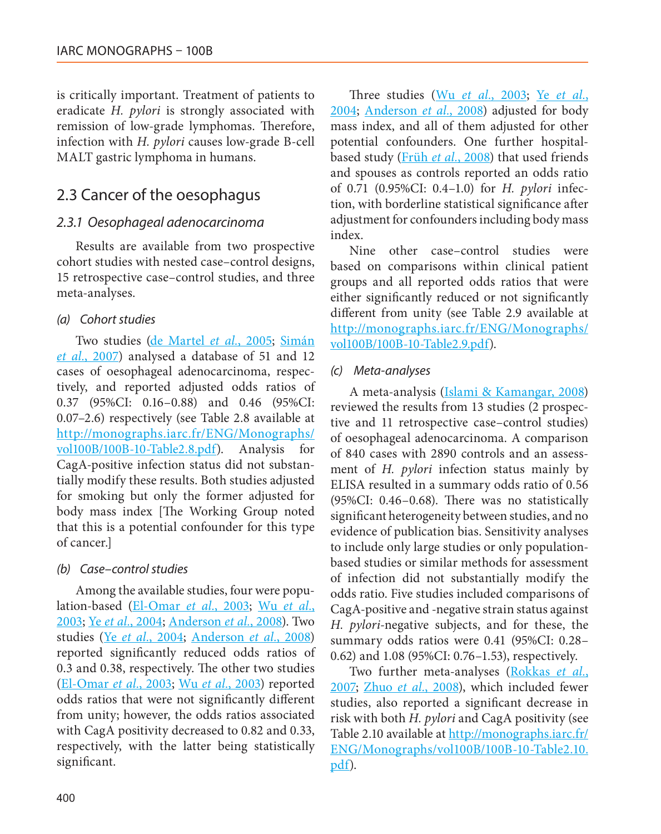is critically important. Treatment of patients to eradicate *H. pylori* is strongly associated with remission of low-grade lymphomas. Therefore, infection with *H. pylori* causes low-grade B-cell MALT gastric lymphoma in humans.

## 2.3 Cancer of the oesophagus

#### *2.3.1 Oesophageal adenocarcinoma*

Results are available from two prospective cohort studies with nested case–control designs, 15 retrospective case–control studies, and three meta-analyses.

#### *(a) Cohort studies*

Two studies (de Martel *et al.*, 2005; Simán *et al.*, 2007) analysed a database of 51 and 12 cases of oesophageal adenocarcinoma, respectively, and reported adjusted odds ratios of 0.37 (95%CI: 0.16–0.88) and 0.46 (95%CI: 0.07–2.6) respectively (see Table 2.8 available at [http://monographs.iarc.fr/ENG/Monographs/](http://monographs.iarc.fr/ENG/Monographs/vol100B/100B-10-Table2.8.pdf) [vol100B/100B-10-Table2.8.pdf\)](http://monographs.iarc.fr/ENG/Monographs/vol100B/100B-10-Table2.8.pdf). Analysis for CagA-positive infection status did not substantially modify these results. Both studies adjusted for smoking but only the former adjusted for body mass index [The Working Group noted that this is a potential confounder for this type of cancer.]

#### *(b) Case–control studies*

Among the available studies, four were population-based (El-Omar *et al.*, 2003; Wu *et al.*, 2003; Ye *et al.*, 2004; Anderson *et al.*, 2008). Two studies (Ye *et al.*, 2004; Anderson *et al.*, 2008) reported significantly reduced odds ratios of 0.3 and 0.38, respectively. The other two studies (El-Omar *et al.*, 2003; Wu *et al.*, 2003) reported odds ratios that were not significantly different from unity; however, the odds ratios associated with CagA positivity decreased to 0.82 and 0.33, respectively, with the latter being statistically significant.

Three studies (Wu *et al.*, 2003; Ye *et al.*, 2004; Anderson *et al.*, 2008) adjusted for body mass index, and all of them adjusted for other potential confounders. One further hospitalbased study (Früh *et al.*, 2008) that used friends and spouses as controls reported an odds ratio of 0.71 (0.95%CI: 0.4–1.0) for *H. pylori* infection, with borderline statistical significance after adjustment for confounders including body mass index.

Nine other case–control studies were based on comparisons within clinical patient groups and all reported odds ratios that were either significantly reduced or not significantly different from unity (see Table 2.9 available at [http://monographs.iarc.fr/ENG/Monographs/](http://monographs.iarc.fr/ENG/Monographs/vol100B/100B-10-Table2.9.pdf) [vol100B/100B-10-Table2.9.pdf\)](http://monographs.iarc.fr/ENG/Monographs/vol100B/100B-10-Table2.9.pdf).

#### *(c) Meta-analyses*

A meta-analysis (Islami & Kamangar, 2008) reviewed the results from 13 studies (2 prospective and 11 retrospective case–control studies) of oesophageal adenocarcinoma. A comparison of 840 cases with 2890 controls and an assessment of *H. pylori* infection status mainly by ELISA resulted in a summary odds ratio of 0.56 (95%CI: 0.46–0.68). There was no statistically significant heterogeneity between studies, and no evidence of publication bias. Sensitivity analyses to include only large studies or only populationbased studies or similar methods for assessment of infection did not substantially modify the odds ratio. Five studies included comparisons of CagA-positive and -negative strain status against *H. pylori*-negative subjects, and for these, the summary odds ratios were 0.41 (95%CI: 0.28– 0.62) and 1.08 (95%CI: 0.76–1.53), respectively.

Two further meta-analyses (Rokkas *et al.*, 2007; Zhuo *et al.*, 2008), which included fewer studies, also reported a significant decrease in risk with both *H. pylori* and CagA positivity (see Table 2.10 available at [http://monographs.iarc.fr/](http://monographs.iarc.fr/ENG/Monographs/vol100B/100B-10-Table2.10.pdf) [ENG/Monographs/vol100B/100B-10-Table2.10.](http://monographs.iarc.fr/ENG/Monographs/vol100B/100B-10-Table2.10.pdf) [pdf\)](http://monographs.iarc.fr/ENG/Monographs/vol100B/100B-10-Table2.10.pdf).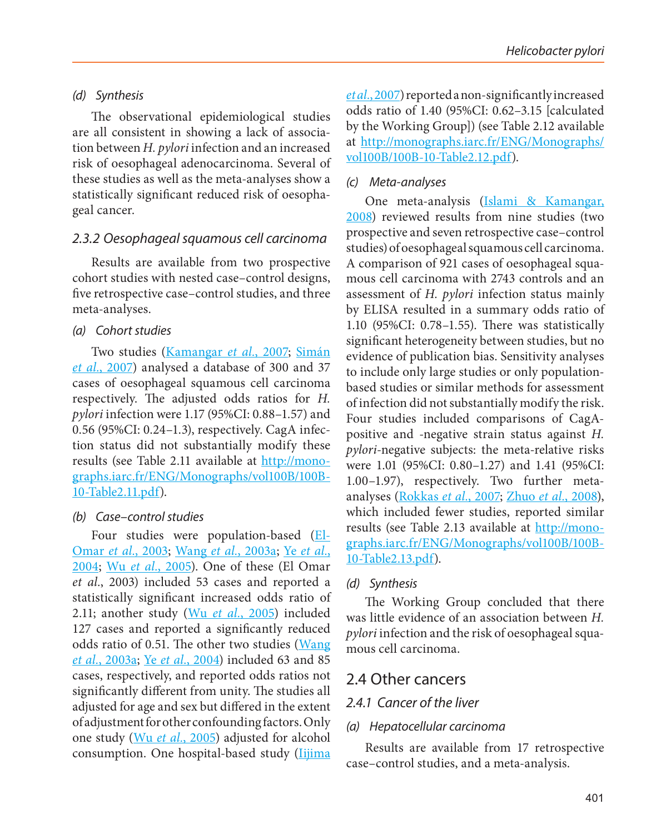#### *(d) Synthesis*

The observational epidemiological studies are all consistent in showing a lack of association between *H. pylori* infection and an increased risk of oesophageal adenocarcinoma. Several of these studies as well as the meta-analyses show a statistically significant reduced risk of oesophageal cancer.

#### *2.3.2 Oesophageal squamous cell carcinoma*

Results are available from two prospective cohort studies with nested case–control designs, five retrospective case–control studies, and three meta-analyses.

#### *(a) Cohort studies*

Two studies (Kamangar *et al.*, 2007; Simán *et al.*, 2007) analysed a database of 300 and 37 cases of oesophageal squamous cell carcinoma respectively. The adjusted odds ratios for *H. pylori* infection were 1.17 (95%CI: 0.88–1.57) and 0.56 (95%CI: 0.24–1.3), respectively. CagA infection status did not substantially modify these results (see Table 2.11 available at [http://mono](http://monographs.iarc.fr/ENG/Monographs/vol100B/100B-10-Table2.11.pdf)[graphs.iarc.fr/ENG/Monographs/vol100B/100B-](http://monographs.iarc.fr/ENG/Monographs/vol100B/100B-10-Table2.11.pdf)[10-Table2.11.pdf\)](http://monographs.iarc.fr/ENG/Monographs/vol100B/100B-10-Table2.11.pdf).

#### *(b) Case–control studies*

Four studies were population-based (El-Omar *et al.*, 2003; Wang *et al.*, 2003a; Ye *et al.*, 2004; Wu *et al.*, 2005). One of these (El Omar *et al.*, 2003) included 53 cases and reported a statistically significant increased odds ratio of 2.11; another study (Wu *et al.*, 2005) included 127 cases and reported a significantly reduced odds ratio of 0.51. The other two studies (Wang *et al.*, 2003a; Ye *et al.*, 2004) included 63 and 85 cases, respectively, and reported odds ratios not significantly different from unity. The studies all adjusted for age and sex but differed in the extent of adjustment for other confounding factors. Only one study (Wu *et al.*, 2005) adjusted for alcohol consumption. One hospital-based study (Iijima

*et al.*, 2007) reported a non-significantly increased odds ratio of 1.40 (95%CI: 0.62–3.15 [calculated by the Working Group]) (see Table 2.12 available at [http://monographs.iarc.fr/ENG/Monographs/](http://monographs.iarc.fr/ENG/Monographs/vol100B/100B-10-Table2.12.pdf) [vol100B/100B-10-Table2.12.pdf\)](http://monographs.iarc.fr/ENG/Monographs/vol100B/100B-10-Table2.12.pdf).

#### *(c) Meta-analyses*

One meta-analysis (Islami & Kamangar, 2008) reviewed results from nine studies (two prospective and seven retrospective case–control studies) of oesophageal squamous cell carcinoma. A comparison of 921 cases of oesophageal squamous cell carcinoma with 2743 controls and an assessment of *H. pylori* infection status mainly by ELISA resulted in a summary odds ratio of 1.10 (95%CI: 0.78–1.55). There was statistically significant heterogeneity between studies, but no evidence of publication bias. Sensitivity analyses to include only large studies or only populationbased studies or similar methods for assessment of infection did not substantially modify the risk. Four studies included comparisons of CagApositive and -negative strain status against *H. pylori*-negative subjects: the meta-relative risks were 1.01 (95%CI: 0.80–1.27) and 1.41 (95%CI: 1.00–1.97), respectively. Two further metaanalyses (Rokkas *et al.*, 2007; Zhuo *et al.*, 2008), which included fewer studies, reported similar results (see Table 2.13 available at [http://mono](http://monographs.iarc.fr/ENG/Monographs/vol100B/100B-10-Table2.13.pdf)[graphs.iarc.fr/ENG/Monographs/vol100B/100B-](http://monographs.iarc.fr/ENG/Monographs/vol100B/100B-10-Table2.13.pdf)[10-Table2.13.pdf](http://monographs.iarc.fr/ENG/Monographs/vol100B/100B-10-Table2.13.pdf)).

#### *(d) Synthesis*

The Working Group concluded that there was little evidence of an association between *H. pylori* infection and the risk of oesophageal squamous cell carcinoma.

## 2.4 Other cancers

### *2.4.1 Cancer of the liver*

#### *(a) Hepatocellular carcinoma*

Results are available from 17 retrospective case–control studies, and a meta-analysis.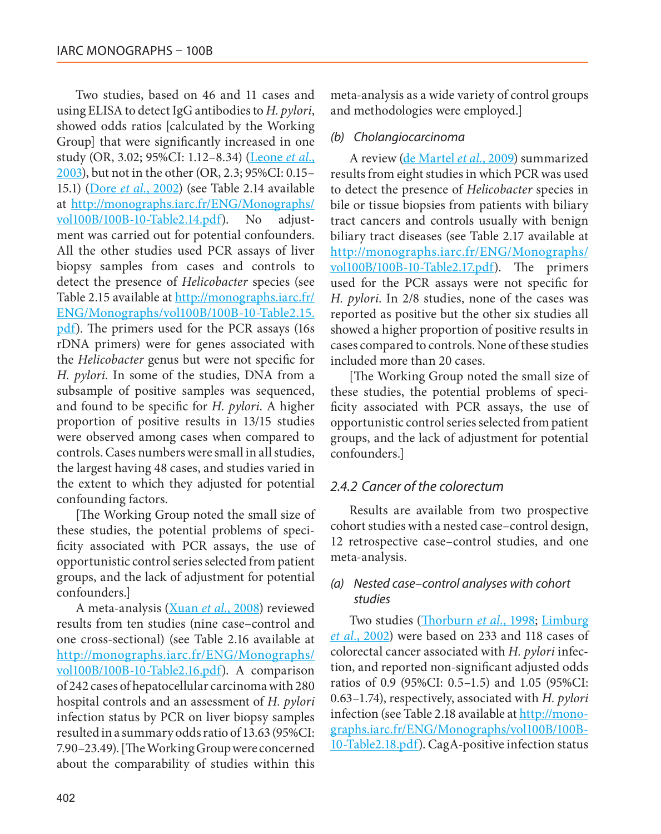Two studies, based on 46 and 11 cases and using ELISA to detect IgG antibodies to *H. pylori*, showed odds ratios [calculated by the Working Group] that were significantly increased in one study (OR, 3.02; 95%CI: 1.12–8.34) (Leone *et al.*, 2003), but not in the other (OR, 2.3; 95%CI: 0.15– 15.1) (Dore *et al.*, 2002) (see Table 2.14 available at [http://monographs.iarc.fr/ENG/Monographs/](http://monographs.iarc.fr/ENG/Monographs/vol100B/100B-10-Table2.14.pdf) [vol100B/100B-10-Table2.14.pdf\)](http://monographs.iarc.fr/ENG/Monographs/vol100B/100B-10-Table2.14.pdf). No adjustment was carried out for potential confounders. All the other studies used PCR assays of liver biopsy samples from cases and controls to detect the presence of *Helicobacter* species (see Table 2.15 available at [http://monographs.iarc.fr/](http://monographs.iarc.fr/ENG/Monographs/vol100B/100B-10-Table2.15.pdf) [ENG/Monographs/vol100B/100B-10-Table2.15.](http://monographs.iarc.fr/ENG/Monographs/vol100B/100B-10-Table2.15.pdf) [pdf](http://monographs.iarc.fr/ENG/Monographs/vol100B/100B-10-Table2.15.pdf)). The primers used for the PCR assays (16s rDNA primers) were for genes associated with the *Helicobacter* genus but were not specific for *H. pylori*. In some of the studies, DNA from a subsample of positive samples was sequenced, and found to be specific for *H. pylori*. A higher proportion of positive results in 13/15 studies were observed among cases when compared to controls. Cases numbers were small in all studies, the largest having 48 cases, and studies varied in the extent to which they adjusted for potential confounding factors.

[The Working Group noted the small size of these studies, the potential problems of specificity associated with PCR assays, the use of opportunistic control series selected from patient groups, and the lack of adjustment for potential confounders.]

A meta-analysis (Xuan *et al.*, 2008) reviewed results from ten studies (nine case–control and one cross-sectional) (see Table 2.16 available at [http://monographs.iarc.fr/ENG/Monographs/](http://monographs.iarc.fr/ENG/Monographs/vol100B/100B-10-Table2.16.pdf) [vol100B/100B-10-Table2.16.pdf\)](http://monographs.iarc.fr/ENG/Monographs/vol100B/100B-10-Table2.16.pdf). A comparison of 242 cases of hepatocellular carcinoma with 280 hospital controls and an assessment of *H. pylori* infection status by PCR on liver biopsy samples resulted in a summary odds ratio of 13.63 (95%CI: 7.90–23.49). [The Working Group were concerned about the comparability of studies within this meta-analysis as a wide variety of control groups and methodologies were employed.]

#### *(b) Cholangiocarcinoma*

A review (de Martel *et al.*, 2009) summarized results from eight studies in which PCR was used to detect the presence of *Helicobacter* species in bile or tissue biopsies from patients with biliary tract cancers and controls usually with benign biliary tract diseases (see Table 2.17 available at [http://monographs.iarc.fr/ENG/Monographs/](http://monographs.iarc.fr/ENG/Monographs/vol100B/100B-10-Table2.17.pdf) [vol100B/100B-10-Table2.17.pdf](http://monographs.iarc.fr/ENG/Monographs/vol100B/100B-10-Table2.17.pdf)). The primers used for the PCR assays were not specific for *H. pylori*. In 2/8 studies, none of the cases was reported as positive but the other six studies all showed a higher proportion of positive results in cases compared to controls. None of these studies included more than 20 cases.

[The Working Group noted the small size of these studies, the potential problems of specificity associated with PCR assays, the use of opportunistic control series selected from patient groups, and the lack of adjustment for potential confounders.]

#### *2.4.2 Cancer of the colorectum*

Results are available from two prospective cohort studies with a nested case–control design, 12 retrospective case–control studies, and one meta-analysis.

#### *(a) Nested case–control analyses with cohort studies*

Two studies (Thorburn *et al.*, 1998; Limburg *et al.*, 2002) were based on 233 and 118 cases of colorectal cancer associated with *H. pylori* infection, and reported non-significant adjusted odds ratios of 0.9 (95%CI: 0.5–1.5) and 1.05 (95%CI: 0.63–1.74), respectively, associated with *H. pylori* infection (see Table 2.18 available at [http://mono](http://monographs.iarc.fr/ENG/Monographs/vol100B/100B-10-Table2.18.pdf)[graphs.iarc.fr/ENG/Monographs/vol100B/100B-](http://monographs.iarc.fr/ENG/Monographs/vol100B/100B-10-Table2.18.pdf)[10-Table2.18.pdf\)](http://monographs.iarc.fr/ENG/Monographs/vol100B/100B-10-Table2.18.pdf). CagA-positive infection status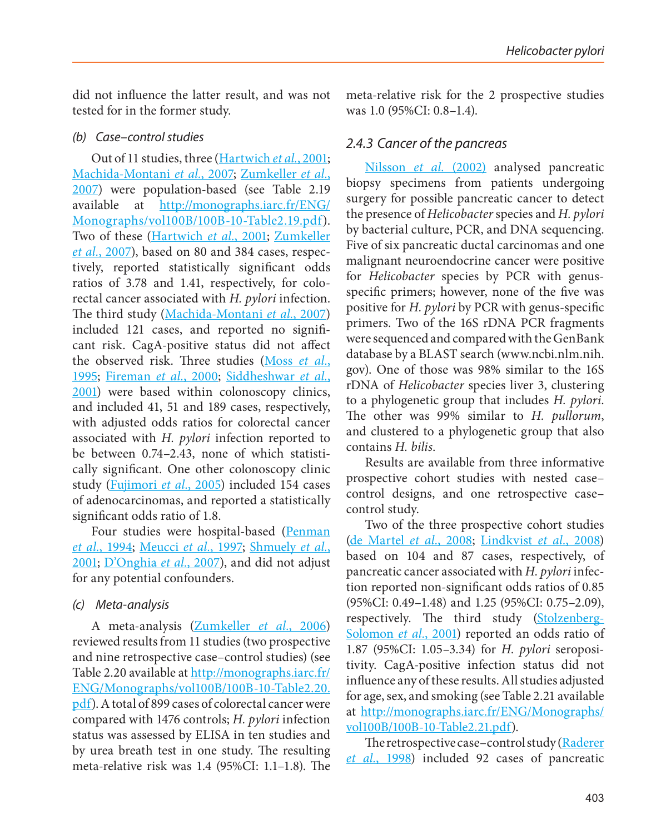did not influence the latter result, and was not tested for in the former study.

## *(b) Case–control studies*

Out of 11 studies, three (Hartwich *et al.*, 2001; Machida-Montani *et al.*, 2007; Zumkeller *et al.*, 2007) were population-based (see Table 2.19 available at [http://monographs.iarc.fr/ENG/](http://monographs.iarc.fr/ENG/Monographs/vol100B/100B-10-Table2.19.pdf) [Monographs/vol100B/100B-10-Table2.19.pdf\)](http://monographs.iarc.fr/ENG/Monographs/vol100B/100B-10-Table2.19.pdf). Two of these (Hartwich *et al.*, 2001; Zumkeller *et al.*, 2007), based on 80 and 384 cases, respectively, reported statistically significant odds ratios of 3.78 and 1.41, respectively, for colorectal cancer associated with *H. pylori* infection. The third study (Machida-Montani *et al.*, 2007) included 121 cases, and reported no significant risk. CagA-positive status did not affect the observed risk. Three studies (Moss *et al.*, 1995; Fireman *et al.*, 2000; Siddheshwar *et al.*, 2001) were based within colonoscopy clinics, and included 41, 51 and 189 cases, respectively, with adjusted odds ratios for colorectal cancer associated with *H. pylori* infection reported to be between 0.74–2.43, none of which statistically significant. One other colonoscopy clinic study (Fujimori *et al.*, 2005) included 154 cases of adenocarcinomas, and reported a statistically significant odds ratio of 1.8.

Four studies were hospital-based (Penman *et al.*, 1994; Meucci *et al.*, 1997; Shmuely *et al.*, 2001; D'Onghia *et al.*, 2007), and did not adjust for any potential confounders.

## *(c) Meta-analysis*

A meta-analysis (Zumkeller *et al.*, 2006) reviewed results from 11 studies (two prospective and nine retrospective case–control studies) (see Table 2.20 available at [http://monographs.iarc.fr/](http://monographs.iarc.fr/ENG/Monographs/vol100B/100B-10-Table2.20.pdf) [ENG/Monographs/vol100B/100B-10-Table2.20.](http://monographs.iarc.fr/ENG/Monographs/vol100B/100B-10-Table2.20.pdf) [pdf](http://monographs.iarc.fr/ENG/Monographs/vol100B/100B-10-Table2.20.pdf)). A total of 899 cases of colorectal cancer were compared with 1476 controls; *H. pylori* infection status was assessed by ELISA in ten studies and by urea breath test in one study. The resulting meta-relative risk was 1.4 (95%CI: 1.1–1.8). The

meta-relative risk for the 2 prospective studies was 1.0 (95%CI: 0.8–1.4).

## *2.4.3 Cancer of the pancreas*

Nilsson *et al.* (2002) analysed pancreatic biopsy specimens from patients undergoing surgery for possible pancreatic cancer to detect the presence of *Helicobacter* species and *H. pylori* by bacterial culture, PCR, and DNA sequencing. Five of six pancreatic ductal carcinomas and one malignant neuroendocrine cancer were positive for *Helicobacter* species by PCR with genusspecific primers; however, none of the five was positive for *H. pylori* by PCR with genus-specific primers. Two of the 16S rDNA PCR fragments were sequenced and compared with the GenBank database by a BLAST search [\(www.ncbi.nlm.nih.](http://www.ncbi.nlm.nih.gov) [gov](http://www.ncbi.nlm.nih.gov)). One of those was 98% similar to the 16S rDNA of *Helicobacter* species liver 3, clustering to a phylogenetic group that includes *H. pylori*. The other was 99% similar to *H. pullorum*, and clustered to a phylogenetic group that also contains *H. bilis*.

Results are available from three informative prospective cohort studies with nested case– control designs, and one retrospective case– control study.

Two of the three prospective cohort studies (de Martel *et al.*, 2008; Lindkvist *et al.*, 2008) based on 104 and 87 cases, respectively, of pancreatic cancer associated with *H. pylori* infection reported non-significant odds ratios of 0.85 (95%CI: 0.49–1.48) and 1.25 (95%CI: 0.75–2.09), respectively. The third study (Stolzenberg-Solomon *et al.*, 2001) reported an odds ratio of 1.87 (95%CI: 1.05–3.34) for *H. pylori* seropositivity. CagA-positive infection status did not influence any of these results. All studies adjusted for age, sex, and smoking (see Table 2.21 available at [http://monographs.iarc.fr/ENG/Monographs/](http://monographs.iarc.fr/ENG/Monographs/vol100B/100B-10-Table2.21.pdf) [vol100B/100B-10-Table2.21.pdf\)](http://monographs.iarc.fr/ENG/Monographs/vol100B/100B-10-Table2.21.pdf).

The retrospective case–control study (Raderer *et al.*, 1998) included 92 cases of pancreatic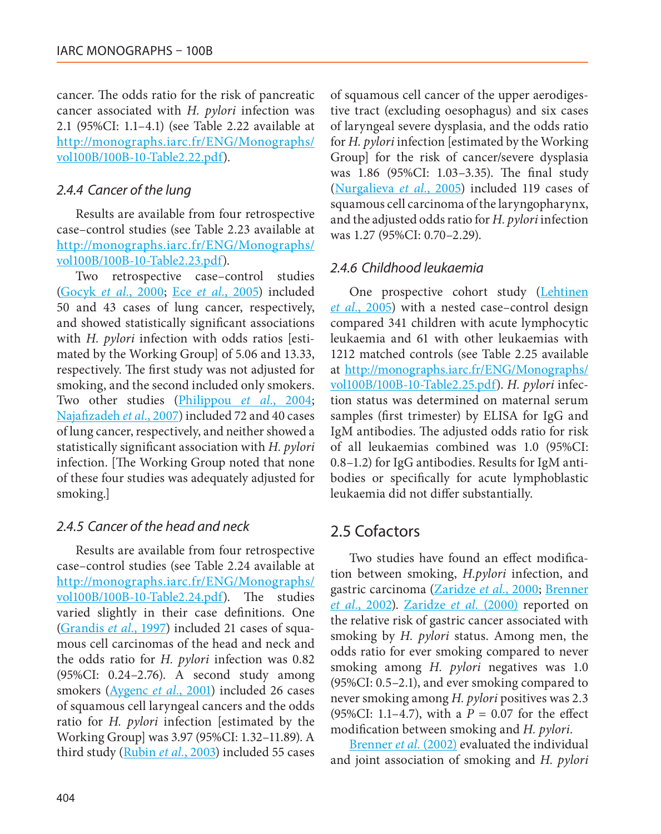cancer. The odds ratio for the risk of pancreatic cancer associated with *H. pylori* infection was 2.1 (95%CI: 1.1–4.1) (see Table 2.22 available at [http://monographs.iarc.fr/ENG/Monographs/](http://monographs.iarc.fr/ENG/Monographs/vol100B/100B-10-Table2.22.pdf) [vol100B/100B-10-Table2.22.pdf\)](http://monographs.iarc.fr/ENG/Monographs/vol100B/100B-10-Table2.22.pdf).

#### *2.4.4 Cancer of the lung*

Results are available from four retrospective case–control studies (see Table 2.23 available at [http://monographs.iarc.fr/ENG/Monographs/](http://monographs.iarc.fr/ENG/Monographs/vol100B/100B-10-Table2.23.pdf) [vol100B/100B-10-Table2.23.pdf](http://monographs.iarc.fr/ENG/Monographs/vol100B/100B-10-Table2.23.pdf)).

Two retrospective case–control studies (Gocyk *et al.*, 2000; Ece *et al.*, 2005) included 50 and 43 cases of lung cancer, respectively, and showed statistically significant associations with *H. pylori* infection with odds ratios [estimated by the Working Group] of 5.06 and 13.33, respectively. The first study was not adjusted for smoking, and the second included only smokers. Two other studies (Philippou *et al.*, 2004; Najafizadeh *et al.*, 2007) included 72 and 40 cases of lung cancer, respectively, and neither showed a statistically significant association with *H. pylori* infection. [The Working Group noted that none of these four studies was adequately adjusted for smoking.]

### *2.4.5 Cancer of the head and neck*

Results are available from four retrospective case–control studies (see Table 2.24 available at [http://monographs.iarc.fr/ENG/Monographs/](http://monographs.iarc.fr/ENG/Monographs/vol100B/100B-10-Table2.24.pdf) [vol100B/100B-10-Table2.24.pdf\)](http://monographs.iarc.fr/ENG/Monographs/vol100B/100B-10-Table2.24.pdf). The studies varied slightly in their case definitions. One (Grandis *et al.*, 1997) included 21 cases of squamous cell carcinomas of the head and neck and the odds ratio for *H. pylori* infection was 0.82 (95%CI: 0.24–2.76). A second study among smokers (Aygenc *et al.*, 2001) included 26 cases of squamous cell laryngeal cancers and the odds ratio for *H. pylori* infection [estimated by the Working Group] was 3.97 (95%CI: 1.32–11.89). A third study (Rubin *et al.*, 2003) included 55 cases

of squamous cell cancer of the upper aerodigestive tract (excluding oesophagus) and six cases of laryngeal severe dysplasia, and the odds ratio for *H. pylori* infection [estimated by the Working Group] for the risk of cancer/severe dysplasia was 1.86 (95%CI: 1.03–3.35). The final study (Nurgalieva *et al.*, 2005) included 119 cases of squamous cell carcinoma of the laryngopharynx, and the adjusted odds ratio for *H. pylori* infection was 1.27 (95%CI: 0.70–2.29).

### *2.4.6 Childhood leukaemia*

One prospective cohort study (Lehtinen *et al.*, 2005) with a nested case–control design compared 341 children with acute lymphocytic leukaemia and 61 with other leukaemias with 1212 matched controls (see Table 2.25 available at [http://monographs.iarc.fr/ENG/Monographs/](http://monographs.iarc.fr/ENG/Monographs/vol100B/100B-10-Table2.25.pdf) [vol100B/100B-10-Table2.25.pdf](http://monographs.iarc.fr/ENG/Monographs/vol100B/100B-10-Table2.25.pdf)). *H. pylori* infection status was determined on maternal serum samples (first trimester) by ELISA for IgG and IgM antibodies. The adjusted odds ratio for risk of all leukaemias combined was 1.0 (95%CI: 0.8–1.2) for IgG antibodies. Results for IgM antibodies or specifically for acute lymphoblastic leukaemia did not differ substantially.

## 2.5 Cofactors

Two studies have found an effect modification between smoking, *H.pylori* infection, and gastric carcinoma (Zaridze *et al.*, 2000; Brenner *et al.*, 2002). Zaridze *et al.* (2000) reported on the relative risk of gastric cancer associated with smoking by *H. pylori* status. Among men, the odds ratio for ever smoking compared to never smoking among *H. pylori* negatives was 1.0 (95%CI: 0.5–2.1), and ever smoking compared to never smoking among *H. pylori* positives was 2.3 (95%CI: 1.1–4.7), with a  $P = 0.07$  for the effect modification between smoking and *H. pylori*.

Brenner *et al.* (2002) evaluated the individual and joint association of smoking and *H. pylori*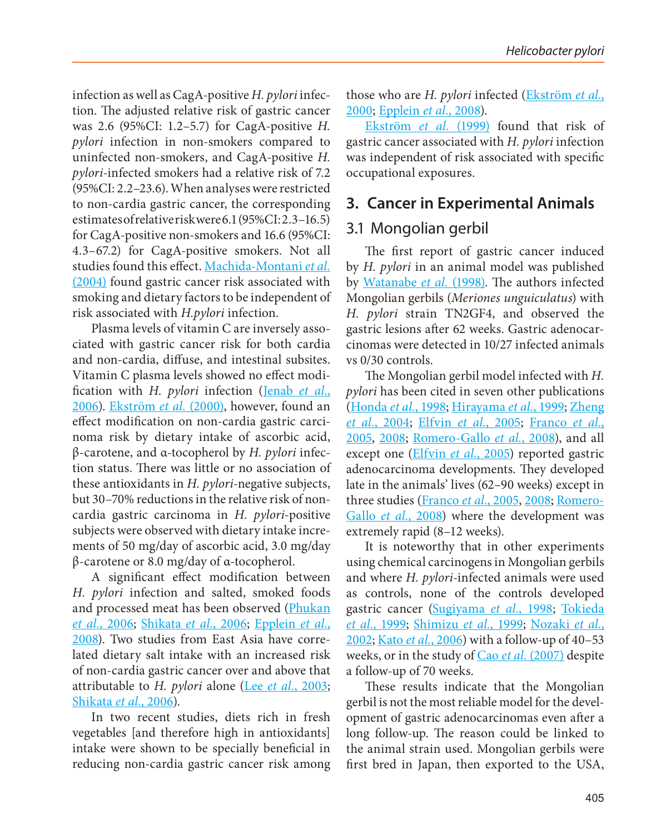infection as well as CagA-positive *H. pylori* infection. The adjusted relative risk of gastric cancer was 2.6 (95%CI: 1.2–5.7) for CagA-positive *H. pylori* infection in non-smokers compared to uninfected non-smokers, and CagA-positive *H. pylori*-infected smokers had a relative risk of 7.2 (95%CI: 2.2–23.6). When analyses were restricted to non-cardia gastric cancer, the corresponding estimates of relative risk were 6.1 (95%CI: 2.3–16.5) for CagA-positive non-smokers and 16.6 (95%CI: 4.3–67.2) for CagA-positive smokers. Not all studies found this effect. Machida-Montani *et al.* (2004) found gastric cancer risk associated with smoking and dietary factors to be independent of risk associated with *H.pylori* infection.

Plasma levels of vitamin C are inversely associated with gastric cancer risk for both cardia and non-cardia, diffuse, and intestinal subsites. Vitamin C plasma levels showed no effect modification with *H. pylori* infection (Jenab *et al.*, 2006). Ekström *et al.* (2000), however, found an effect modification on non-cardia gastric carcinoma risk by dietary intake of ascorbic acid, β-carotene, and α-tocopherol by *H. pylori* infection status. There was little or no association of these antioxidants in *H. pylori*-negative subjects, but 30–70% reductions in the relative risk of noncardia gastric carcinoma in *H. pylori*-positive subjects were observed with dietary intake increments of 50 mg/day of ascorbic acid, 3.0 mg/day β-carotene or 8.0 mg/day of α-tocopherol.

A significant effect modification between *H. pylori* infection and salted, smoked foods and processed meat has been observed (Phukan *et al.*, 2006; Shikata *et al.*, 2006; Epplein *et al.*, 2008). Two studies from East Asia have correlated dietary salt intake with an increased risk of non-cardia gastric cancer over and above that attributable to *H. pylori* alone (Lee *et al.*, 2003; Shikata *et al.*, 2006).

In two recent studies, diets rich in fresh vegetables [and therefore high in antioxidants] intake were shown to be specially beneficial in reducing non-cardia gastric cancer risk among those who are *H. pylori* infected (Ekström *et al.*, 2000; Epplein *et al.*, 2008).

Ekström *et al.* (1999) found that risk of gastric cancer associated with *H. pylori* infection was independent of risk associated with specific occupational exposures.

## **3. Cancer in Experimental Animals**

## 3.1 Mongolian gerbil

The first report of gastric cancer induced by *H. pylori* in an animal model was published by Watanabe *et al.* (1998). The authors infected Mongolian gerbils (*Meriones unguiculatus*) with *H. pylori* strain TN2GF4, and observed the gastric lesions after 62 weeks. Gastric adenocarcinomas were detected in 10/27 infected animals vs 0/30 controls.

The Mongolian gerbil model infected with *H. pylori* has been cited in seven other publications (Honda *et al.*, 1998; Hirayama *et al.*, 1999; Zheng *et al.*, 2004; Elfvin *et al.*, 2005; Franco *et al.*, 2005, 2008; Romero-Gallo *et al.*, 2008), and all except one (Elfvin *et al.*, 2005) reported gastric adenocarcinoma developments. They developed late in the animals' lives (62–90 weeks) except in three studies (Franco *et al.*, 2005, 2008; Romero-Gallo *et al.*, 2008) where the development was extremely rapid (8–12 weeks).

It is noteworthy that in other experiments using chemical carcinogens in Mongolian gerbils and where *H. pylori*-infected animals were used as controls, none of the controls developed gastric cancer (Sugiyama *et al.*, 1998; Tokieda *et al.*, 1999; Shimizu *et al.*, 1999; Nozaki *et al.*, 2002; Kato *et al.*, 2006) with a follow-up of 40–53 weeks, or in the study of Cao *et al.* (2007) despite a follow-up of 70 weeks.

These results indicate that the Mongolian gerbil is not the most reliable model for the development of gastric adenocarcinomas even after a long follow-up. The reason could be linked to the animal strain used. Mongolian gerbils were first bred in Japan, then exported to the USA,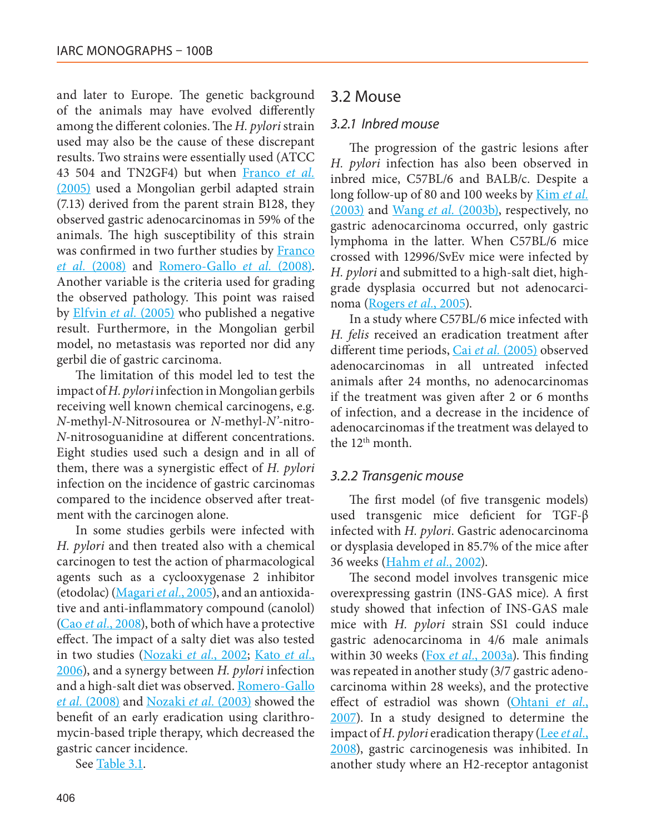and later to Europe. The genetic background of the animals may have evolved differently among the different colonies. The *H. pylori* strain used may also be the cause of these discrepant results. Two strains were essentially used (ATCC 43 504 and TN2GF4) but when Franco *et al.* (2005) used a Mongolian gerbil adapted strain (7.13) derived from the parent strain B128, they observed gastric adenocarcinomas in 59% of the animals. The high susceptibility of this strain was confirmed in two further studies by Franco *et al.* (2008) and Romero-Gallo *et al.* (2008). Another variable is the criteria used for grading the observed pathology. This point was raised by Elfvin *et al.* (2005) who published a negative result. Furthermore, in the Mongolian gerbil model, no metastasis was reported nor did any gerbil die of gastric carcinoma.

The limitation of this model led to test the impact of *H. pylori* infection in Mongolian gerbils receiving well known chemical carcinogens, e.g. *N*-methyl-*N*-Nitrosourea or *N*-methyl-*N'*-nitro-*N*-nitrosoguanidine at different concentrations. Eight studies used such a design and in all of them, there was a synergistic effect of *H. pylori* infection on the incidence of gastric carcinomas compared to the incidence observed after treatment with the carcinogen alone.

In some studies gerbils were infected with *H. pylori* and then treated also with a chemical carcinogen to test the action of pharmacological agents such as a cyclooxygenase 2 inhibitor (etodolac) (Magari *et al.*, 2005), and an antioxidative and anti-inflammatory compound (canolol) (Cao *et al.*, 2008), both of which have a protective effect. The impact of a salty diet was also tested in two studies (Nozaki *et al.*, 2002; Kato *et al.*, 2006), and a synergy between *H. pylori* infection and a high-salt diet was observed. Romero-Gallo *et al.* (2008) and Nozaki *et al.* (2003) showed the benefit of an early eradication using clarithromycin-based triple therapy, which decreased the gastric cancer incidence.

See Table 3.1.

#### 3.2 Mouse

#### *3.2.1 Inbred mouse*

The progression of the gastric lesions after *H. pylori* infection has also been observed in inbred mice, C57BL/6 and BALB/c. Despite a long follow-up of 80 and 100 weeks by Kim *et al.* (2003) and Wang *et al.* (2003b), respectively, no gastric adenocarcinoma occurred, only gastric lymphoma in the latter. When C57BL/6 mice crossed with 12996/SvEv mice were infected by *H. pylori* and submitted to a high-salt diet, highgrade dysplasia occurred but not adenocarcinoma (Rogers *et al.*, 2005).

In a study where C57BL/6 mice infected with *H. felis* received an eradication treatment after different time periods, Cai *et al.* (2005) observed adenocarcinomas in all untreated infected animals after 24 months, no adenocarcinomas if the treatment was given after 2 or 6 months of infection, and a decrease in the incidence of adenocarcinomas if the treatment was delayed to the 12th month.

#### *3.2.2 Transgenic mouse*

The first model (of five transgenic models) used transgenic mice deficient for TGF-β infected with *H. pylori*. Gastric adenocarcinoma or dysplasia developed in 85.7% of the mice after 36 weeks (Hahm *et al.*, 2002).

The second model involves transgenic mice overexpressing gastrin (INS-GAS mice). A first study showed that infection of INS-GAS male mice with *H. pylori* strain SS1 could induce gastric adenocarcinoma in 4/6 male animals within 30 weeks (Fox *et al.*, 2003a). This finding was repeated in another study (3/7 gastric adenocarcinoma within 28 weeks), and the protective effect of estradiol was shown (Ohtani *et al.*, 2007). In a study designed to determine the impact of *H. pylori* eradication therapy (Lee *et al.*, 2008), gastric carcinogenesis was inhibited. In another study where an H2-receptor antagonist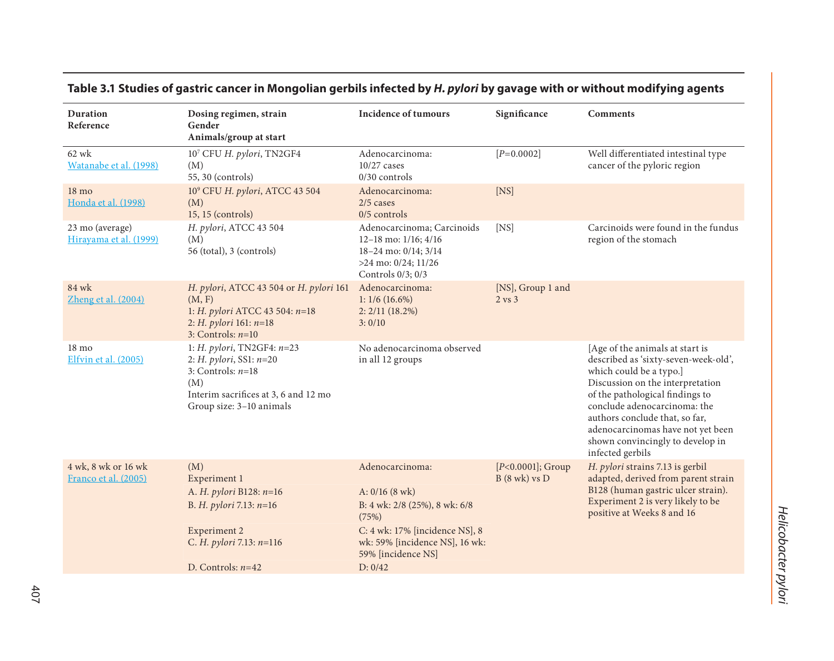| Table 3.1 Studies of gastric cancer in Mongolian gerbils infected by H. pylori by gavage with or without modifying agents |  |
|---------------------------------------------------------------------------------------------------------------------------|--|
|---------------------------------------------------------------------------------------------------------------------------|--|

| <b>Duration</b><br>Reference                | Dosing regimen, strain<br>Gender<br>Animals/group at start                                                                                                                          | <b>Incidence of tumours</b>                                                                                                 | Significance                             | <b>Comments</b>                                                                                                                                                                                                                                                                                                                          |
|---------------------------------------------|-------------------------------------------------------------------------------------------------------------------------------------------------------------------------------------|-----------------------------------------------------------------------------------------------------------------------------|------------------------------------------|------------------------------------------------------------------------------------------------------------------------------------------------------------------------------------------------------------------------------------------------------------------------------------------------------------------------------------------|
| 62 wk<br>Watanabe et al. (1998)             | 107 CFU H. pylori, TN2GF4<br>(M)<br>55, 30 (controls)                                                                                                                               | Adenocarcinoma:<br>$10/27$ cases<br>$0/30$ controls                                                                         | $[P=0.0002]$                             | Well differentiated intestinal type<br>cancer of the pyloric region                                                                                                                                                                                                                                                                      |
| $18 \text{ mo}$<br>Honda et al. (1998)      | 10 <sup>9</sup> CFU H. pylori, ATCC 43 504<br>(M)<br>$15, 15$ (controls)                                                                                                            | Adenocarcinoma:<br>$2/5$ cases<br>$0/5$ controls                                                                            | [NS]                                     |                                                                                                                                                                                                                                                                                                                                          |
| 23 mo (average)<br>Hirayama et al. (1999)   | H. pylori, ATCC 43 504<br>(M)<br>56 (total), 3 (controls)                                                                                                                           | Adenocarcinoma; Carcinoids<br>12-18 mo: $1/16$ ; $4/16$<br>18-24 mo: 0/14; 3/14<br>>24 mo: 0/24; 11/26<br>Controls 0/3; 0/3 | [NS]                                     | Carcinoids were found in the fundus<br>region of the stomach                                                                                                                                                                                                                                                                             |
| 84 wk<br>Zheng et al. (2004)                | H. pylori, ATCC 43 504 or H. pylori 161<br>(M, F)<br>1: H. pylori ATCC 43 504: n=18<br>2: H. pylori 161: $n=18$<br>3: Controls: $n=10$                                              | Adenocarcinoma:<br>$1: 1/6(16.6\%)$<br>2:2/11(18.2%)<br>3:0/10                                                              | [NS], Group 1 and<br>$2 \text{ vs } 3$   |                                                                                                                                                                                                                                                                                                                                          |
| 18 mo<br>Elfvin et al. (2005)               | 1: <i>H. pylori</i> , TN2GF4: $n=23$<br>2: <i>H. pylori</i> , <i>SS1</i> : $n=20$<br>3: Controls: $n=18$<br>(M)<br>Interim sacrifices at 3, 6 and 12 mo<br>Group size: 3-10 animals | No adenocarcinoma observed<br>in all 12 groups                                                                              |                                          | [Age of the animals at start is<br>described as 'sixty-seven-week-old',<br>which could be a typo.]<br>Discussion on the interpretation<br>of the pathological findings to<br>conclude adenocarcinoma: the<br>authors conclude that, so far,<br>adenocarcinomas have not yet been<br>shown convincingly to develop in<br>infected gerbils |
| 4 wk, 8 wk or 16 wk<br>Franco et al. (2005) | (M)<br>Experiment 1                                                                                                                                                                 | Adenocarcinoma:                                                                                                             | $[P<0.0001]$ ; Group<br>$B(8$ wk) vs $D$ | H. pylori strains 7.13 is gerbil<br>adapted, derived from parent strain                                                                                                                                                                                                                                                                  |
|                                             | A. H. pylori B128: n=16<br>B. H. pylori 7.13: n=16                                                                                                                                  | $A: 0/16 (8$ wk)<br>B: 4 wk: 2/8 (25%), 8 wk: 6/8<br>(75%)                                                                  |                                          | B128 (human gastric ulcer strain).<br>Experiment 2 is very likely to be<br>positive at Weeks 8 and 16                                                                                                                                                                                                                                    |
|                                             | Experiment 2<br>C. H. pylori 7.13: n=116                                                                                                                                            | C: 4 wk: 17% [incidence NS], 8<br>wk: 59% [incidence NS], 16 wk:<br>59% [incidence NS]                                      |                                          |                                                                                                                                                                                                                                                                                                                                          |
|                                             | D. Controls: $n=42$                                                                                                                                                                 | D: 0/42                                                                                                                     |                                          |                                                                                                                                                                                                                                                                                                                                          |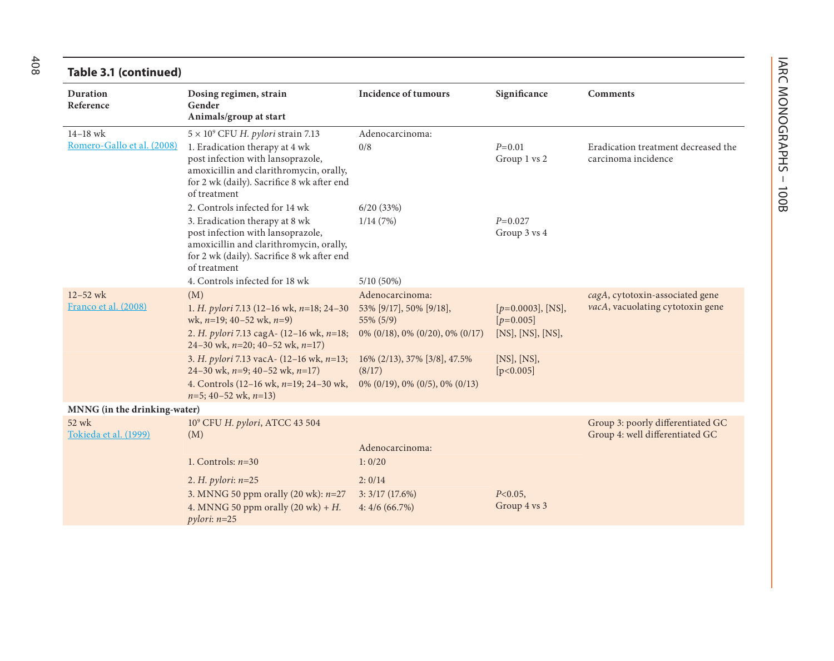| Table 3.1 (continued)          |                                                                                                                                                                              |                                        |                                     |                                                                      |  |
|--------------------------------|------------------------------------------------------------------------------------------------------------------------------------------------------------------------------|----------------------------------------|-------------------------------------|----------------------------------------------------------------------|--|
| <b>Duration</b><br>Reference   | Dosing regimen, strain<br>Gender<br>Animals/group at start                                                                                                                   | <b>Incidence of tumours</b>            | Significance                        | <b>Comments</b>                                                      |  |
| $14 - 18$ wk                   | $5 \times 10^9$ CFU H. pylori strain 7.13                                                                                                                                    | Adenocarcinoma:                        |                                     |                                                                      |  |
| Romero-Gallo et al. (2008)     | 1. Eradication therapy at 4 wk<br>post infection with lansoprazole,<br>amoxicillin and clarithromycin, orally,<br>for 2 wk (daily). Sacrifice 8 wk after end<br>of treatment | 0/8                                    | $P=0.01$<br>Group 1 vs 2            | Eradication treatment decreased the<br>carcinoma incidence           |  |
|                                | 2. Controls infected for 14 wk                                                                                                                                               | 6/20(33%)                              |                                     |                                                                      |  |
|                                | 3. Eradication therapy at 8 wk<br>post infection with lansoprazole,<br>amoxicillin and clarithromycin, orally,<br>for 2 wk (daily). Sacrifice 8 wk after end<br>of treatment | 1/14(7%)                               | $P=0.027$<br>Group 3 vs 4           |                                                                      |  |
|                                | 4. Controls infected for 18 wk                                                                                                                                               | $5/10(50\%)$                           |                                     |                                                                      |  |
| $12 - 52$ wk                   | (M)                                                                                                                                                                          | Adenocarcinoma:                        |                                     | cagA, cytotoxin-associated gene                                      |  |
| Franco et al. (2008)           | 1. H. pylori 7.13 (12-16 wk, $n=18$ ; 24-30<br>wk, $n=19$ ; 40-52 wk, $n=9$ )                                                                                                | 53% [9/17], 50% [9/18],<br>55% (5/9)   | $[p=0.0003]$ , [NS],<br>$[p=0.005]$ | vacA, vacuolating cytotoxin gene                                     |  |
|                                | 2. H. pylori 7.13 cagA- (12-16 wk, n=18;<br>24-30 wk, $n=20$ ; 40-52 wk, $n=17$ )                                                                                            | $0\%$ (0/18), 0% (0/20), 0% (0/17)     | [NS], [NS], [NS],                   |                                                                      |  |
|                                | 3. H. pylori 7.13 vacA- (12-16 wk, n=13;<br>24-30 wk, $n=9$ ; 40-52 wk, $n=17$ )                                                                                             | 16% (2/13), 37% [3/8], 47.5%<br>(8/17) | [NS], [NS],<br>[p<0.005]            |                                                                      |  |
|                                | 4. Controls $(12-16 \text{ wk}, n=19; 24-30 \text{ wk},$<br>$n=5$ ; 40-52 wk, $n=13$ )                                                                                       | 0% (0/19), 0% (0/5), 0% (0/13)         |                                     |                                                                      |  |
| MNNG (in the drinking-water)   |                                                                                                                                                                              |                                        |                                     |                                                                      |  |
| 52 wk<br>Tokieda et al. (1999) | 10° CFU H. pylori, ATCC 43 504<br>(M)                                                                                                                                        |                                        |                                     | Group 3: poorly differentiated GC<br>Group 4: well differentiated GC |  |
|                                |                                                                                                                                                                              | Adenocarcinoma:                        |                                     |                                                                      |  |
|                                | 1. Controls: $n=30$                                                                                                                                                          | 1:0/20                                 |                                     |                                                                      |  |
|                                | 2. H. pylori: $n=25$                                                                                                                                                         | 2:0/14                                 |                                     |                                                                      |  |
|                                | 3. MNNG 50 ppm orally (20 wk): $n=27$                                                                                                                                        | 3:3/17(17.6%)                          | $P<0.05$ ,                          |                                                                      |  |
|                                | 4. MNNG 50 ppm orally $(20 \text{ wk}) + H$ .<br>$pylori: n=25$                                                                                                              | 4:4/6(66.7%)                           | Group 4 vs 3                        |                                                                      |  |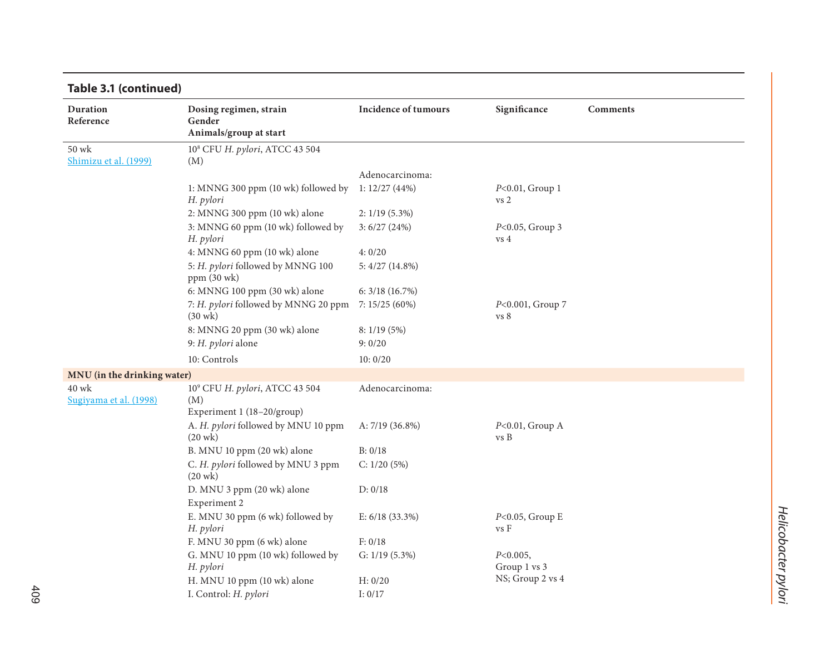| Duration<br>Reference       | Dosing regimen, strain<br>Gender                          | <b>Incidence of tumours</b>      | Significance                          | <b>Comments</b> |
|-----------------------------|-----------------------------------------------------------|----------------------------------|---------------------------------------|-----------------|
|                             | Animals/group at start                                    |                                  |                                       |                 |
| 50 wk                       | 10 <sup>8</sup> CFU H. pylori, ATCC 43 504                |                                  |                                       |                 |
| Shimizu et al. (1999)       | (M)                                                       |                                  |                                       |                 |
|                             | 1: MNNG 300 ppm (10 wk) followed by                       | Adenocarcinoma:<br>1: 12/27(44%) | $P<0.01$ , Group 1                    |                 |
|                             | H. pylori                                                 |                                  | vs <sub>2</sub>                       |                 |
|                             | 2: MNNG 300 ppm (10 wk) alone                             | $2: 1/19(5.3\%)$                 |                                       |                 |
|                             | 3: MNNG 60 ppm (10 wk) followed by<br>H. pylori           | 3: 6/27 (24%)                    | $P<0.05$ , Group 3<br>vs <sub>4</sub> |                 |
|                             | 4: MNNG 60 ppm (10 wk) alone                              | 4:0/20                           |                                       |                 |
|                             | 5: H. pylori followed by MNNG 100<br>$ppm(30$ wk $)$      | 5:4/27(14.8%)                    |                                       |                 |
|                             | 6: MNNG 100 ppm (30 wk) alone                             | 6: 3/18 (16.7%)                  |                                       |                 |
|                             | 7: H. pylori followed by MNNG 20 ppm<br>$(30 \text{ wk})$ | 7: 15/25 (60%)                   | P<0.001, Group 7<br>vs 8              |                 |
|                             | 8: MNNG 20 ppm (30 wk) alone                              | 8: 1/19(5%)                      |                                       |                 |
|                             | 9: H. pylori alone                                        | 9:0/20                           |                                       |                 |
|                             | 10: Controls                                              | 10:0/20                          |                                       |                 |
| MNU (in the drinking water) |                                                           |                                  |                                       |                 |
| $40$ wk                     | 10° CFU H. pylori, ATCC 43 504                            | Adenocarcinoma:                  |                                       |                 |
| Sugiyama et al. (1998)      | (M)                                                       |                                  |                                       |                 |
|                             | Experiment 1 (18-20/group)                                |                                  |                                       |                 |
|                             | A. H. pylori followed by MNU 10 ppm<br>$(20 \text{ wk})$  | A: $7/19$ (36.8%)                | $P<0.01$ , Group A<br>vs B            |                 |
|                             | B. MNU 10 ppm (20 wk) alone                               | B: 0/18                          |                                       |                 |
|                             | C. H. pylori followed by MNU 3 ppm<br>$(20 \text{ wk})$   | C: 1/20(5%)                      |                                       |                 |
|                             | D. MNU 3 ppm (20 wk) alone                                | D: 0/18                          |                                       |                 |
|                             | Experiment 2                                              |                                  |                                       |                 |
|                             | E. MNU 30 ppm (6 wk) followed by<br>H. pylori             | E: $6/18$ (33.3%)                | $P<0.05$ , Group E<br>vs F            |                 |
|                             | F. MNU 30 ppm (6 wk) alone                                | F: 0/18                          |                                       |                 |
|                             | G. MNU 10 ppm (10 wk) followed by                         | G: $1/19$ (5.3%)                 | $P<0.005$ ,                           |                 |
|                             | H. pylori                                                 |                                  | Group 1 vs 3                          |                 |
|                             | H. MNU 10 ppm (10 wk) alone                               | H: 0/20                          | NS; Group 2 vs 4                      |                 |
|                             | I. Control: H. pylori                                     | I: $0/17$                        |                                       |                 |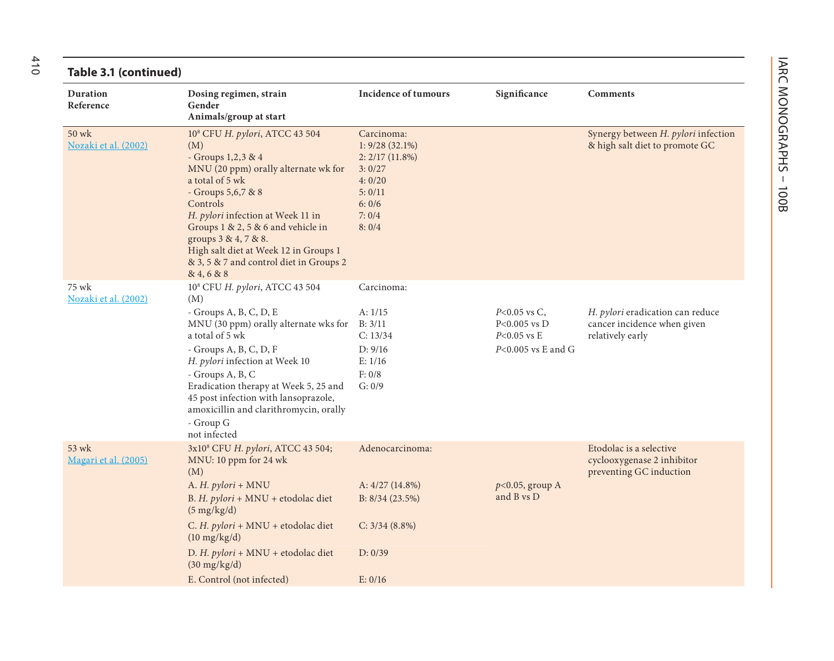#### **Table 3.1 (continued)**

| Table 3.1 (continued)         |                                                                                                                                                                                                                                                                                                                                                                       |                                                                                                             |                                                                             |                                                                                     |  |
|-------------------------------|-----------------------------------------------------------------------------------------------------------------------------------------------------------------------------------------------------------------------------------------------------------------------------------------------------------------------------------------------------------------------|-------------------------------------------------------------------------------------------------------------|-----------------------------------------------------------------------------|-------------------------------------------------------------------------------------|--|
| Duration<br>Reference         | Dosing regimen, strain<br>Gender<br>Animals/group at start                                                                                                                                                                                                                                                                                                            | <b>Incidence of tumours</b>                                                                                 | Significance                                                                | <b>Comments</b>                                                                     |  |
| 50 wk<br>Nozaki et al. (2002) | 10 <sup>8</sup> CFU H. pylori, ATCC 43 504<br>(M)<br>- Groups 1,2,3 & 4<br>MNU (20 ppm) orally alternate wk for<br>a total of 5 wk<br>- Groups 5,6,7 & 8<br>Controls<br>H. pylori infection at Week 11 in<br>Groups 1 & 2, 5 & 6 and vehicle in<br>groups 3 & 4, 7 & 8.<br>High salt diet at Week 12 in Groups 1<br>& 3, 5 & 7 and control diet in Groups 2<br>84,688 | Carcinoma:<br>$1: 9/28(32.1\%)$<br>2: 2/17 (11.8%)<br>3:0/27<br>4:0/20<br>5:0/11<br>6:0/6<br>7:0/4<br>8:0/4 |                                                                             | Synergy between H. pylori infection<br>& high salt diet to promote GC               |  |
| 75 wk<br>Nozaki et al. (2002) | 10 <sup>8</sup> CFU H. pylori, ATCC 43 504<br>(M)<br>- Groups A, B, C, D, E<br>MNU (30 ppm) orally alternate wks for<br>a total of 5 wk<br>- Groups A, B, C, D, F<br>H. pylori infection at Week 10<br>- Groups A, B, C<br>Eradication therapy at Week 5, 25 and<br>45 post infection with lansoprazole,<br>amoxicillin and clarithromycin, orally                    | Carcinoma:<br>A: 1/15<br>B: 3/11<br>C: 13/34<br>D: 9/16<br>E: 1/16<br>F: 0/8<br>G: 0/9                      | $P<0.05$ vs C,<br>$P<0.005$ vs $D$<br>$P<0.05$ vs E<br>$P<0.005$ vs E and G | H. pylori eradication can reduce<br>cancer incidence when given<br>relatively early |  |
| 53 wk<br>Magari et al. (2005) | - Group G<br>not infected<br>3x10 <sup>8</sup> CFU H. pylori, ATCC 43 504;<br>MNU: 10 ppm for 24 wk                                                                                                                                                                                                                                                                   | Adenocarcinoma:                                                                                             |                                                                             | Etodolac is a selective<br>cyclooxygenase 2 inhibitor                               |  |
|                               | (M)<br>A. H. pylori + MNU<br>B. H. pylori + MNU + etodolac diet<br>$(5 \text{ mg/kg/d})$                                                                                                                                                                                                                                                                              | A: 4/27 (14.8%)<br>B: 8/34 (23.5%)                                                                          | $p<0.05$ , group A<br>and B vs D                                            | preventing GC induction                                                             |  |
|                               | C. H. pylori + MNU + etodolac diet<br>$(10 \text{ mg/kg/d})$                                                                                                                                                                                                                                                                                                          | $C: 3/34 (8.8\%)$                                                                                           |                                                                             |                                                                                     |  |
|                               | D. H. pylori + MNU + etodolac diet<br>$(30 \text{ mg/kg/d})$                                                                                                                                                                                                                                                                                                          | D: 0/39                                                                                                     |                                                                             |                                                                                     |  |
|                               | E. Control (not infected)                                                                                                                                                                                                                                                                                                                                             | E: 0/16                                                                                                     |                                                                             |                                                                                     |  |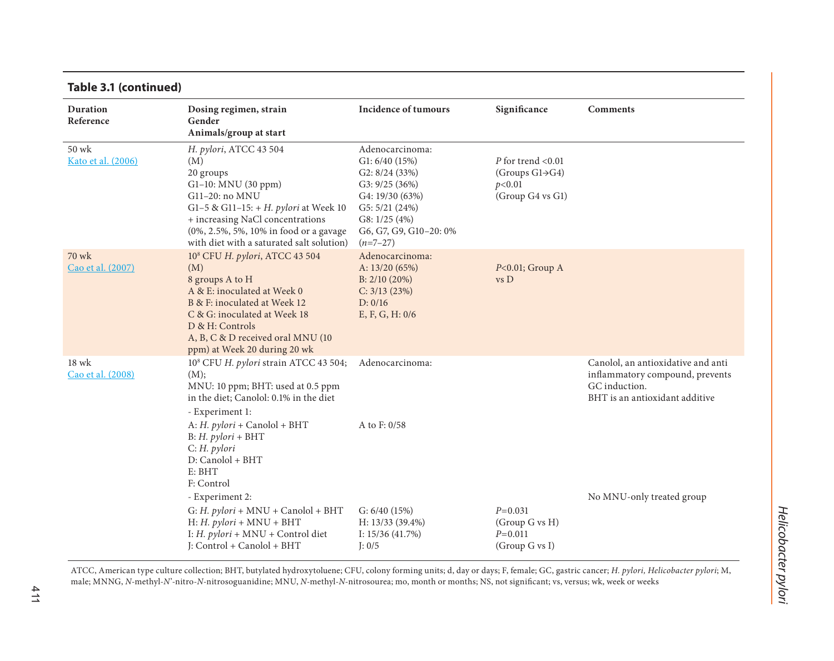| Table 3.1 (continued)        |                                                                                                                                                                                                                                                             |                                                                                                                                                                        |                                                                                     |                                                                                                                          |
|------------------------------|-------------------------------------------------------------------------------------------------------------------------------------------------------------------------------------------------------------------------------------------------------------|------------------------------------------------------------------------------------------------------------------------------------------------------------------------|-------------------------------------------------------------------------------------|--------------------------------------------------------------------------------------------------------------------------|
| <b>Duration</b><br>Reference | Dosing regimen, strain<br>Gender<br>Animals/group at start                                                                                                                                                                                                  | <b>Incidence of tumours</b>                                                                                                                                            | Significance                                                                        | <b>Comments</b>                                                                                                          |
| 50 wk<br>Kato et al. (2006)  | H. pylori, ATCC 43 504<br>(M)<br>20 groups<br>G1-10: MNU (30 ppm)<br>G11-20: no MNU<br>G1-5 & G11-15: + H. pylori at Week 10<br>+ increasing NaCl concentrations<br>(0%, 2.5%, 5%, 10% in food or a gavage<br>with diet with a saturated salt solution)     | Adenocarcinoma:<br>G1: $6/40$ (15%)<br>G2: 8/24 (33%)<br>G3: 9/25 (36%)<br>G4: 19/30 (63%)<br>G5: 5/21 (24%)<br>G8: $1/25(4%)$<br>G6, G7, G9, G10-20: 0%<br>$(n=7-27)$ | P for trend $< 0.01$<br>(Groups $G1 \rightarrow G4$ )<br>p<0.01<br>(Group G4 vs G1) |                                                                                                                          |
| 70 wk<br>Cao et al. (2007)   | 10 <sup>8</sup> CFU H. pylori, ATCC 43 504<br>(M)<br>8 groups A to H<br>A & E: inoculated at Week 0<br>B & F: inoculated at Week 12<br>C & G: inoculated at Week 18<br>D & H: Controls<br>A, B, C & D received oral MNU (10<br>ppm) at Week 20 during 20 wk | Adenocarcinoma:<br>A: $13/20(65%)$<br>B: 2/10 (20%)<br>C: 3/13 (23%)<br>D: 0/16<br>E, F, G, H: 0/6                                                                     | $P<0.01$ ; Group A<br>vs D                                                          |                                                                                                                          |
| $18$ wk<br>Cao et al. (2008) | 10 <sup>8</sup> CFU H. pylori strain ATCC 43 504;<br>(M);<br>MNU: 10 ppm; BHT: used at 0.5 ppm<br>in the diet; Canolol: 0.1% in the diet<br>- Experiment 1:                                                                                                 | Adenocarcinoma:                                                                                                                                                        |                                                                                     | Canolol, an antioxidative and anti<br>inflammatory compound, prevents<br>GC induction.<br>BHT is an antioxidant additive |
|                              | A: H. $pylori$ + Canolol + BHT<br>$B: H.$ pylori + $BHT$<br>$C: H.$ pylori<br>D: Canolol + BHT<br>E: BHT<br>F: Control                                                                                                                                      | A to F: 0/58                                                                                                                                                           |                                                                                     |                                                                                                                          |
|                              | - Experiment 2:<br>G: H. $pylori$ + MNU + Canolol + BHT<br>$H: H.$ pylori + MNU + BHT<br>I: H. pylori + MNU + Control diet<br>J: Control + Canolol + BHT                                                                                                    | G: $6/40$ (15%)<br>H: 13/33 (39.4%)<br>I: $15/36$ (41.7%)<br>J: 0/5                                                                                                    | $P=0.031$<br>(Group G vs H)<br>$P=0.011$<br>(Group G vs I)                          | No MNU-only treated group                                                                                                |

#### ATCC, American type culture collection; BHT, butylated hydroxytoluene; CFU, colony forming units; d, day or days; F, female; GC, gastric cancer; *H. pylori, Helicobacter pylori*; M, male; MNNG, *N*-methyl-*N*'-nitro-*N*-nitrosoguanidine; MNU, *N*-methyl-*N*-nitrosourea; mo, month or months; NS, not significant; vs, versus; wk, week or weeks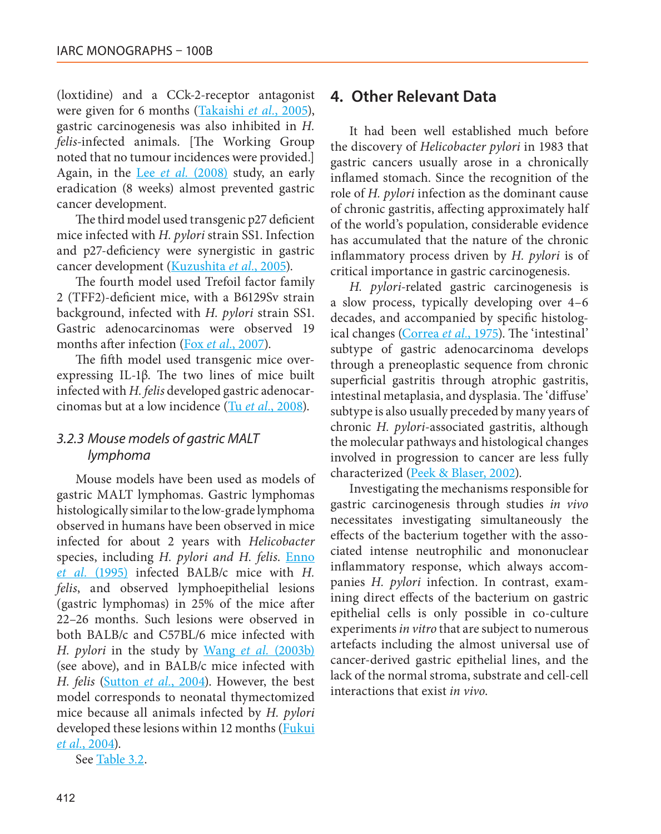(loxtidine) and a CCk-2-receptor antagonist were given for 6 months (Takaishi *et al.*, 2005), gastric carcinogenesis was also inhibited in *H. felis*-infected animals. [The Working Group noted that no tumour incidences were provided.] Again, in the Lee *et al.* (2008) study, an early eradication (8 weeks) almost prevented gastric cancer development.

The third model used transgenic p27 deficient mice infected with *H. pylori* strain SS1. Infection and p27-deficiency were synergistic in gastric cancer development (Kuzushita *et al.*, 2005).

The fourth model used Trefoil factor family 2 (TFF2)-deficient mice, with a B6129Sv strain background, infected with *H. pylori* strain SS1. Gastric adenocarcinomas were observed 19 months after infection (Fox *et al.*, 2007).

The fifth model used transgenic mice overexpressing IL-1β. The two lines of mice built infected with *H. felis* developed gastric adenocarcinomas but at a low incidence (Tu *et al.*, 2008).

#### *3.2.3 Mouse models of gastric MALT lymphoma*

Mouse models have been used as models of gastric MALT lymphomas. Gastric lymphomas histologically similar to the low-grade lymphoma observed in humans have been observed in mice infected for about 2 years with *Helicobacter* species, including *H. pylori and H. felis*. Enno *et al.* (1995) infected BALB/c mice with *H. felis*, and observed lymphoepithelial lesions (gastric lymphomas) in 25% of the mice after 22–26 months. Such lesions were observed in both BALB/c and C57BL/6 mice infected with *H. pylori* in the study by Wang *et al.* (2003b) (see above), and in BALB/c mice infected with *H. felis* (Sutton *et al.*, 2004). However, the best model corresponds to neonatal thymectomized mice because all animals infected by *H. pylori* developed these lesions within 12 months (Fukui *et al.*, 2004).

See Table 3.2.

#### **4. Other Relevant Data**

It had been well established much before the discovery of *Helicobacter pylori* in 1983 that gastric cancers usually arose in a chronically inflamed stomach. Since the recognition of the role of *H. pylori* infection as the dominant cause of chronic gastritis, affecting approximately half of the world's population, considerable evidence has accumulated that the nature of the chronic inflammatory process driven by *H. pylori* is of critical importance in gastric carcinogenesis.

*H. pylori*-related gastric carcinogenesis is a slow process, typically developing over 4–6 decades, and accompanied by specific histological changes (Correa *et al.*, 1975). The 'intestinal' subtype of gastric adenocarcinoma develops through a preneoplastic sequence from chronic superficial gastritis through atrophic gastritis, intestinal metaplasia, and dysplasia. The 'diffuse' subtype is also usually preceded by many years of chronic *H. pylori*-associated gastritis, although the molecular pathways and histological changes involved in progression to cancer are less fully characterized (Peek & Blaser, 2002).

Investigating the mechanisms responsible for gastric carcinogenesis through studies *in vivo* necessitates investigating simultaneously the effects of the bacterium together with the associated intense neutrophilic and mononuclear inflammatory response, which always accompanies *H. pylori* infection. In contrast, examining direct effects of the bacterium on gastric epithelial cells is only possible in co-culture experiments *in vitro* that are subject to numerous artefacts including the almost universal use of cancer-derived gastric epithelial lines, and the lack of the normal stroma, substrate and cell-cell interactions that exist *in vivo*.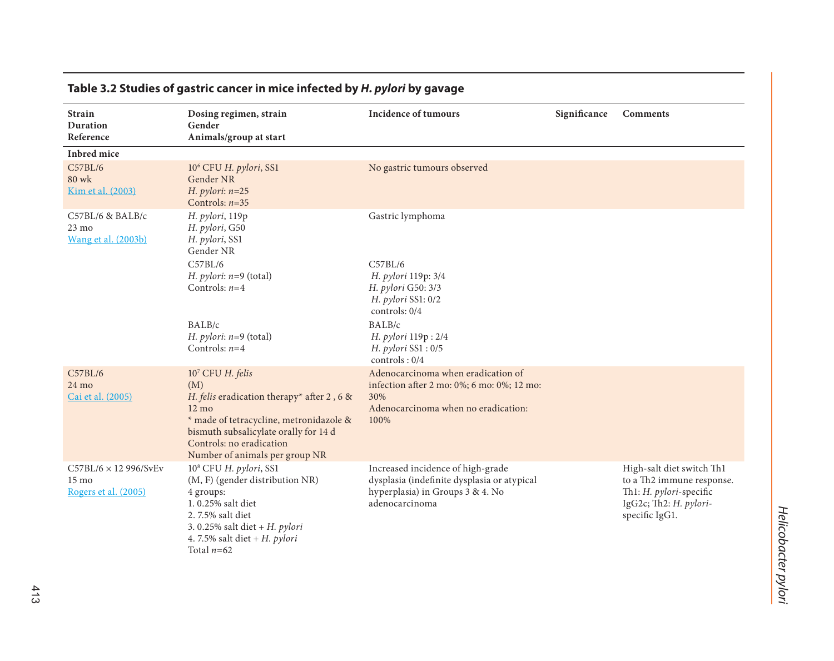| <b>Strain</b><br>Duration<br>Reference                                 | Dosing regimen, strain<br>Gender<br>Animals/group at start                                                                                                                                                                                 | <b>Incidence of tumours</b>                                                                                                            | Significance | <b>Comments</b>                                                                                                               |
|------------------------------------------------------------------------|--------------------------------------------------------------------------------------------------------------------------------------------------------------------------------------------------------------------------------------------|----------------------------------------------------------------------------------------------------------------------------------------|--------------|-------------------------------------------------------------------------------------------------------------------------------|
| Inbred mice                                                            |                                                                                                                                                                                                                                            |                                                                                                                                        |              |                                                                                                                               |
| C57BL/6<br>80 wk<br>Kim et al. (2003)                                  | 10 <sup>6</sup> CFU H. pylori, SS1<br>Gender NR<br>H. pylori: $n=25$<br>Controls: $n=35$                                                                                                                                                   | No gastric tumours observed                                                                                                            |              |                                                                                                                               |
| C57BL/6 & BALB/c<br>$23 \text{ mo}$<br><b>Wang et al.</b> (2003b)      | H. pylori, 119p<br>H. pylori, G50<br>H. pylori, SS1<br>Gender NR                                                                                                                                                                           | Gastric lymphoma                                                                                                                       |              |                                                                                                                               |
|                                                                        | C57BL/6<br>H. pylori: $n=9$ (total)<br>Controls: $n=4$                                                                                                                                                                                     | C57BL/6<br>H. pylori 119p: 3/4<br>H. pylori G50: 3/3<br>$H.$ pylori SS1: $0/2$<br>controls: 0/4                                        |              |                                                                                                                               |
|                                                                        | BALB/c<br>H. pylori: $n=9$ (total)<br>Controls: $n=4$                                                                                                                                                                                      | BALB/c<br>H. pylori 119p: 2/4<br>H. pylori SS1: 0/5<br>controls: 0/4                                                                   |              |                                                                                                                               |
| C57BL/6<br>$24 \text{ mo}$<br>Cai et al. (2005)                        | 107 CFU H. felis<br>(M)<br>H. felis eradication therapy* after 2, 6 &<br>$12 \text{ mo}$<br>* made of tetracycline, metronidazole &<br>bismuth subsalicylate orally for 14 d<br>Controls: no eradication<br>Number of animals per group NR | Adenocarcinoma when eradication of<br>infection after 2 mo: 0%; 6 mo: 0%; 12 mo:<br>30%<br>Adenocarcinoma when no eradication:<br>100% |              |                                                                                                                               |
| $C57BL/6 \times 12996/SvEv$<br>$15 \text{ mo}$<br>Rogers et al. (2005) | 10 <sup>8</sup> CFU H. pylori, SS1<br>(M, F) (gender distribution NR)<br>4 groups:<br>1.0.25% salt diet<br>2.7.5% salt diet<br>3.0.25% salt diet + $H.$ pylori<br>4.7.5% salt diet + $H.$ pylori<br>Total $n=62$                           | Increased incidence of high-grade<br>dysplasia (indefinite dysplasia or atypical<br>hyperplasia) in Groups 3 & 4. No<br>adenocarcinoma |              | High-salt diet switch Th1<br>to a Th2 immune response.<br>Th1: H. pylori-specific<br>IgG2c; Th2: H. pylori-<br>specific IgG1. |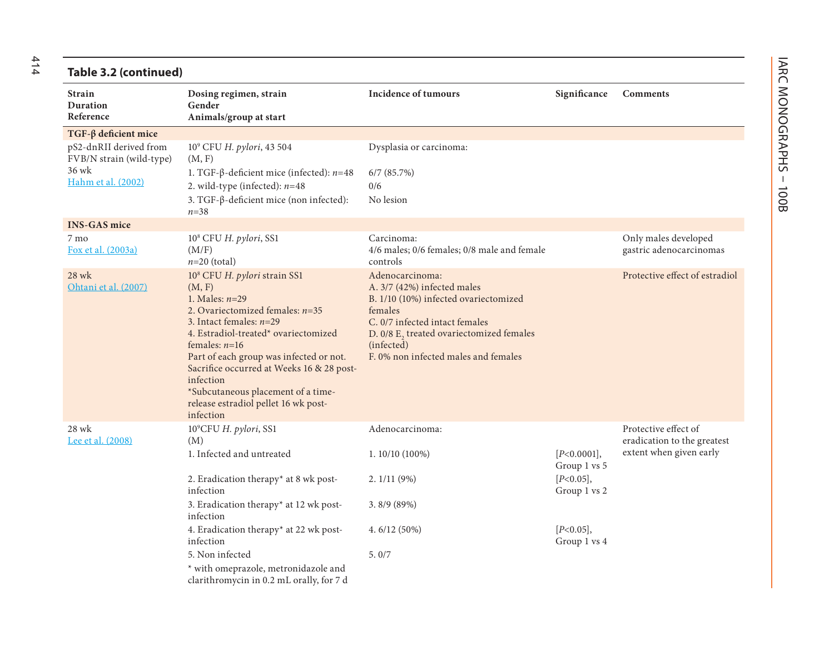414

| Table 3.2 (continued)                                                             |                                                                                                                                                                                                                                                                                                                                                                                                     |                                                                                                                                                                                                                                        |                              |                                                     |
|-----------------------------------------------------------------------------------|-----------------------------------------------------------------------------------------------------------------------------------------------------------------------------------------------------------------------------------------------------------------------------------------------------------------------------------------------------------------------------------------------------|----------------------------------------------------------------------------------------------------------------------------------------------------------------------------------------------------------------------------------------|------------------------------|-----------------------------------------------------|
| <b>Strain</b><br>Duration<br>Reference                                            | Dosing regimen, strain<br>Gender<br>Animals/group at start                                                                                                                                                                                                                                                                                                                                          | <b>Incidence of tumours</b>                                                                                                                                                                                                            | Significance                 | Comments                                            |
| $TGF-\beta$ deficient mice                                                        |                                                                                                                                                                                                                                                                                                                                                                                                     |                                                                                                                                                                                                                                        |                              |                                                     |
| pS2-dnRII derived from<br>FVB/N strain (wild-type)<br>36 wk<br>Hahm et al. (2002) | 10 <sup>9</sup> CFU H. pylori, 43 504<br>(M, F)<br>1. TGF-β-deficient mice (infected): $n=48$<br>2. wild-type (infected): $n=48$<br>3. TGF-β-deficient mice (non infected):<br>$n = 38$                                                                                                                                                                                                             | Dysplasia or carcinoma:<br>$6/7$ $(85.7%)$<br>0/6<br>No lesion                                                                                                                                                                         |                              |                                                     |
| <b>INS-GAS mice</b>                                                               |                                                                                                                                                                                                                                                                                                                                                                                                     |                                                                                                                                                                                                                                        |                              |                                                     |
| 7 mo<br>Fox et al. (2003a)                                                        | 10 <sup>8</sup> CFU H. pylori, SS1<br>(M/F)<br>$n=20$ (total)                                                                                                                                                                                                                                                                                                                                       | Carcinoma:<br>4/6 males; 0/6 females; 0/8 male and female<br>controls                                                                                                                                                                  |                              | Only males developed<br>gastric adenocarcinomas     |
| 28 wk<br>Ohtani et al. (2007)                                                     | 10 <sup>8</sup> CFU H. pylori strain SS1<br>(M, F)<br>1. Males: $n=29$<br>2. Ovariectomized females: $n=35$<br>3. Intact females: $n=29$<br>4. Estradiol-treated* ovariectomized<br>females: $n=16$<br>Part of each group was infected or not.<br>Sacrifice occurred at Weeks 16 & 28 post-<br>infection<br>*Subcutaneous placement of a time-<br>release estradiol pellet 16 wk post-<br>infection | Adenocarcinoma:<br>A. 3/7 (42%) infected males<br>B. 1/10 (10%) infected ovariectomized<br>females<br>C. 0/7 infected intact females<br>D. 0/8 E, treated ovariectomized females<br>(infected)<br>F. 0% non infected males and females |                              | Protective effect of estradiol                      |
| 28 wk<br>Lee et al. (2008)                                                        | 10°CFU H. pylori, SS1<br>(M)                                                                                                                                                                                                                                                                                                                                                                        | Adenocarcinoma:                                                                                                                                                                                                                        |                              | Protective effect of<br>eradication to the greatest |
|                                                                                   | 1. Infected and untreated                                                                                                                                                                                                                                                                                                                                                                           | $1.10/10(100\%)$                                                                                                                                                                                                                       | [P<0.0001],<br>Group 1 vs 5  | extent when given early                             |
|                                                                                   | 2. Eradication therapy* at 8 wk post-<br>infection                                                                                                                                                                                                                                                                                                                                                  | 2.1/11(9%)                                                                                                                                                                                                                             | $[P<0.05]$ ,<br>Group 1 vs 2 |                                                     |
|                                                                                   | 3. Eradication therapy* at 12 wk post-<br>infection                                                                                                                                                                                                                                                                                                                                                 | 3.8/9(89%)                                                                                                                                                                                                                             |                              |                                                     |
|                                                                                   | 4. Eradication therapy* at 22 wk post-<br>infection                                                                                                                                                                                                                                                                                                                                                 | 4.6/12(50%)                                                                                                                                                                                                                            | $[P<0.05]$ ,<br>Group 1 vs 4 |                                                     |
|                                                                                   | 5. Non infected<br>* with omeprazole, metronidazole and<br>clarithromycin in 0.2 mL orally, for 7 d                                                                                                                                                                                                                                                                                                 | 5.0/7                                                                                                                                                                                                                                  |                              |                                                     |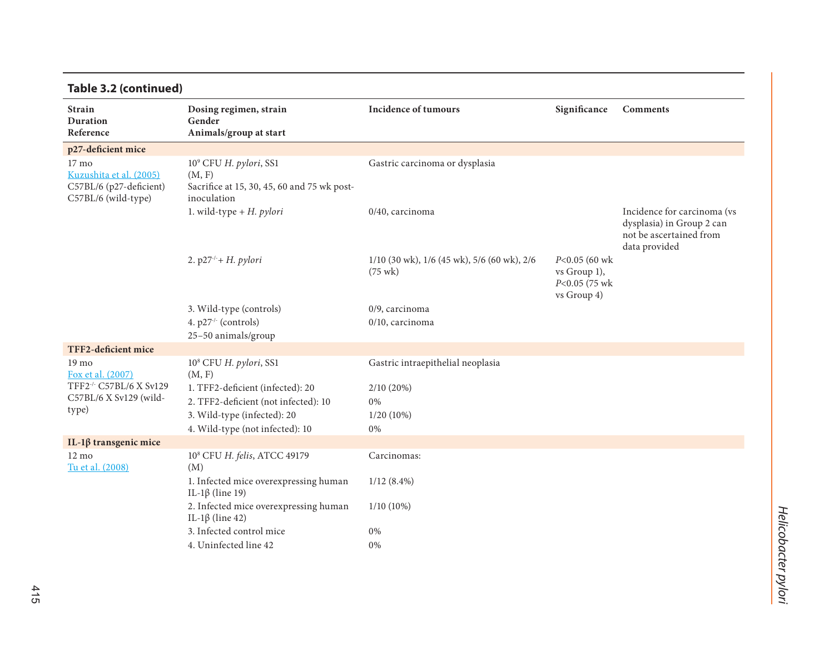| Table 3.2 (continued)                                                              |                                                                                                            |                                                                  |                                                                       |                                                                                                      |
|------------------------------------------------------------------------------------|------------------------------------------------------------------------------------------------------------|------------------------------------------------------------------|-----------------------------------------------------------------------|------------------------------------------------------------------------------------------------------|
| <b>Strain</b><br><b>Duration</b><br>Reference                                      | Dosing regimen, strain<br>Gender<br>Animals/group at start                                                 | <b>Incidence of tumours</b>                                      | Significance                                                          | <b>Comments</b>                                                                                      |
| p27-deficient mice                                                                 |                                                                                                            |                                                                  |                                                                       |                                                                                                      |
| 17 mo<br>Kuzushita et al. (2005)<br>C57BL/6 (p27-deficient)<br>C57BL/6 (wild-type) | 10 <sup>9</sup> CFU H. pylori, SS1<br>(M, F)<br>Sacrifice at 15, 30, 45, 60 and 75 wk post-<br>inoculation | Gastric carcinoma or dysplasia                                   |                                                                       |                                                                                                      |
|                                                                                    | 1. wild-type + $H$ . pylori                                                                                | 0/40, carcinoma                                                  |                                                                       | Incidence for carcinoma (vs<br>dysplasia) in Group 2 can<br>not be ascertained from<br>data provided |
|                                                                                    | 2. $p27' + H.$ pylori                                                                                      | 1/10 (30 wk), 1/6 (45 wk), 5/6 (60 wk), 2/6<br>$(75 \text{ wk})$ | $P<0.05$ (60 wk)<br>$vs$ Group 1),<br>$P<0.05$ (75 wk)<br>vs Group 4) |                                                                                                      |
|                                                                                    | 3. Wild-type (controls)                                                                                    | 0/9, carcinoma                                                   |                                                                       |                                                                                                      |
|                                                                                    | 4. p27 <sup>-/-</sup> (controls)<br>25-50 animals/group                                                    | 0/10, carcinoma                                                  |                                                                       |                                                                                                      |
| TFF2-deficient mice                                                                |                                                                                                            |                                                                  |                                                                       |                                                                                                      |
| 19 <sub>mo</sub><br>Fox et al. (2007)                                              | 10 <sup>8</sup> CFU H. pylori, SS1<br>(M, F)                                                               | Gastric intraepithelial neoplasia                                |                                                                       |                                                                                                      |
| TFF2-/- C57BL/6 X Sv129                                                            | 1. TFF2-deficient (infected): 20                                                                           | $2/10(20\%)$                                                     |                                                                       |                                                                                                      |
| C57BL/6 X Sv129 (wild-<br>type)                                                    | 2. TFF2-deficient (not infected): 10                                                                       | 0%                                                               |                                                                       |                                                                                                      |
|                                                                                    | 3. Wild-type (infected): 20                                                                                | 1/20 (10%)                                                       |                                                                       |                                                                                                      |
|                                                                                    | 4. Wild-type (not infected): 10                                                                            | 0%                                                               |                                                                       |                                                                                                      |
| IL-1β transgenic mice                                                              |                                                                                                            |                                                                  |                                                                       |                                                                                                      |
| $12 \text{ mo}$<br>Tu et al. (2008)                                                | 10 <sup>8</sup> CFU H. felis, ATCC 49179<br>(M)                                                            | Carcinomas:                                                      |                                                                       |                                                                                                      |
|                                                                                    | 1. Infected mice overexpressing human<br>IL-1β (line 19)                                                   | $1/12(8.4\%)$                                                    |                                                                       |                                                                                                      |
|                                                                                    | 2. Infected mice overexpressing human<br>IL-1β (line 42)                                                   | $1/10(10\%)$                                                     |                                                                       |                                                                                                      |
|                                                                                    | 3. Infected control mice                                                                                   | 0%                                                               |                                                                       |                                                                                                      |
|                                                                                    | 4. Uninfected line 42                                                                                      | 0%                                                               |                                                                       |                                                                                                      |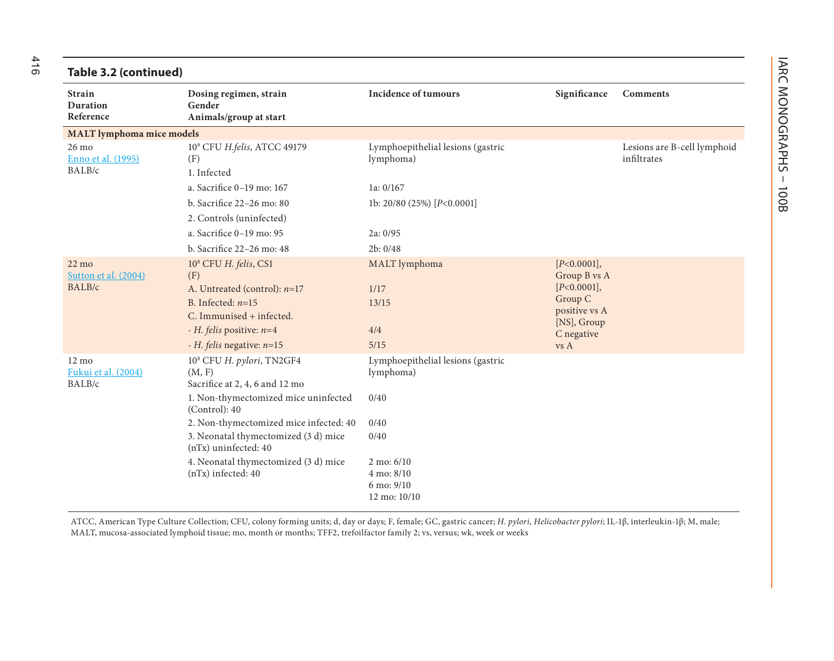| Table 3.2 (continued)                             |                                                                                                                               |                                                                             |                                                                                       |                                            |
|---------------------------------------------------|-------------------------------------------------------------------------------------------------------------------------------|-----------------------------------------------------------------------------|---------------------------------------------------------------------------------------|--------------------------------------------|
| <b>Strain</b><br><b>Duration</b><br>Reference     | Dosing regimen, strain<br>Gender<br>Animals/group at start                                                                    | <b>Incidence of tumours</b>                                                 | Significance                                                                          | <b>Comments</b>                            |
| <b>MALT</b> lymphoma mice models                  |                                                                                                                               |                                                                             |                                                                                       |                                            |
| $26 \text{ mo}$<br>Enno et al. (1995)<br>BALB/c   | 10° CFU H.felis, ATCC 49179<br>(F)<br>1. Infected                                                                             | Lymphoepithelial lesions (gastric<br>lymphoma)                              |                                                                                       | Lesions are B-cell lymphoid<br>infiltrates |
|                                                   | a. Sacrifice 0-19 mo: 167                                                                                                     | 1a: $0/167$                                                                 |                                                                                       |                                            |
|                                                   | b. Sacrifice 22-26 mo: 80<br>2. Controls (uninfected)                                                                         | 1b: 20/80 (25%) [P<0.0001]                                                  |                                                                                       |                                            |
|                                                   | a. Sacrifice 0-19 mo: 95                                                                                                      | 2a: 0/95                                                                    |                                                                                       |                                            |
|                                                   | b. Sacrifice 22-26 mo: 48                                                                                                     | 2b: 0/48                                                                    |                                                                                       |                                            |
| $22 \text{ mo}$<br>Sutton et al. (2004)<br>BALB/c | 10 <sup>8</sup> CFU H. felis, CS1<br>(F)<br>A. Untreated (control): $n=17$<br>B. Infected: $n=15$<br>C. Immunised + infected. | MALT lymphoma<br>1/17<br>13/15                                              | [P<0.0001],<br>Group B vs A<br>[P<0.0001],<br>Group C<br>positive vs A<br>[NS], Group |                                            |
|                                                   | - H. felis positive: $n=4$                                                                                                    | 4/4                                                                         | C negative                                                                            |                                            |
|                                                   | - H. felis negative: $n=15$                                                                                                   | 5/15                                                                        | vs A                                                                                  |                                            |
| $12 \text{ mo}$<br>Fukui et al. (2004)<br>BALB/c  | 10 <sup>8</sup> CFU H. pylori, TN2GF4<br>(M, F)<br>Sacrifice at 2, 4, 6 and 12 mo<br>1. Non-thymectomized mice uninfected     | Lymphoepithelial lesions (gastric<br>lymphoma)<br>0/40                      |                                                                                       |                                            |
|                                                   | (Control): 40                                                                                                                 |                                                                             |                                                                                       |                                            |
|                                                   | 2. Non-thymectomized mice infected: 40<br>3. Neonatal thymectomized (3 d) mice<br>(nTx) uninfected: 40                        | 0/40<br>0/40                                                                |                                                                                       |                                            |
|                                                   | 4. Neonatal thymectomized (3 d) mice<br>(nTx) infected: 40                                                                    | $2 \text{ mo: } 6/10$<br>$4 \text{ mo}: 8/10$<br>6 mo: 9/10<br>12 mo: 10/10 |                                                                                       |                                            |

ATCC, American Type Culture Collection; CFU, colony forming units; d, day or days; F, female; GC, gastric cancer; *H. pylori, Helicobacter pylori*; IL-1β, interleukin-1β; M, male; MALT, mucosa-associated lymphoid tissue; mo, month or months; TFF2, trefoilfactor family 2; vs, versus; wk, week or weeks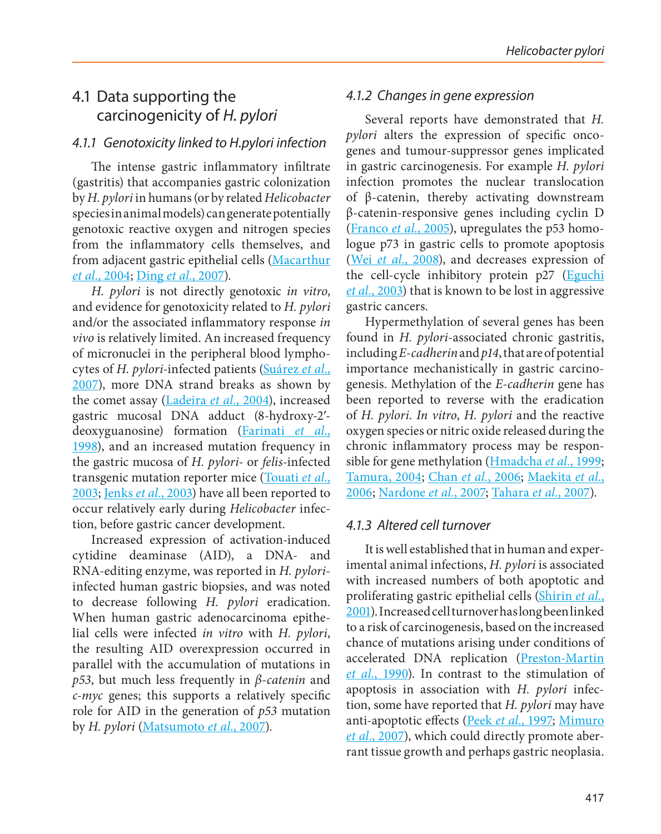## 4.1 Data supporting the carcinogenicity of *H. pylori*

#### *4.1.1 Genotoxicity linked to H.pylori infection*

The intense gastric inflammatory infiltrate (gastritis) that accompanies gastric colonization by *H. pylori* in humans (or by related *Helicobacter* species in animal models) can generate potentially genotoxic reactive oxygen and nitrogen species from the inflammatory cells themselves, and from adjacent gastric epithelial cells (Macarthur *et al.*, 2004; Ding *et al.*, 2007).

*H. pylori* is not directly genotoxic *in vitro*, and evidence for genotoxicity related to *H. pylori* and/or the associated inflammatory response *in vivo* is relatively limited. An increased frequency of micronuclei in the peripheral blood lymphocytes of *H. pylori*-infected patients (Suárez *et al.*, 2007), more DNA strand breaks as shown by the comet assay (Ladeira *et al.*, 2004), increased gastric mucosal DNA adduct (8-hydroxy-2′ deoxyguanosine) formation (Farinati *et al.*, 1998), and an increased mutation frequency in the gastric mucosa of *H. pylori-* or *felis*-infected transgenic mutation reporter mice (Touati *et al.*, 2003; Jenks *et al.*, 2003) have all been reported to occur relatively early during *Helicobacter* infection, before gastric cancer development.

Increased expression of activation-induced cytidine deaminase (AID), a DNA- and RNA-editing enzyme, was reported in *H. pylori*infected human gastric biopsies, and was noted to decrease following *H. pylori* eradication. When human gastric adenocarcinoma epithelial cells were infected *in vitro* with *H. pylori*, the resulting AID overexpression occurred in parallel with the accumulation of mutations in *p53*, but much less frequently in *β-catenin* and *c-myc* genes; this supports a relatively specific role for AID in the generation of *p53* mutation by *H. pylori* (Matsumoto *et al.*, 2007).

#### *4.1.2 Changes in gene expression*

Several reports have demonstrated that *H. pylori* alters the expression of specific oncogenes and tumour-suppressor genes implicated in gastric carcinogenesis. For example *H. pylori* infection promotes the nuclear translocation of β-catenin, thereby activating downstream β-catenin-responsive genes including cyclin D (Franco *et al.*, 2005), upregulates the p53 homologue p73 in gastric cells to promote apoptosis (Wei *et al.*, 2008), and decreases expression of the cell-cycle inhibitory protein p27 (Eguchi *et al.*, 2003) that is known to be lost in aggressive gastric cancers.

Hypermethylation of several genes has been found in *H. pylori*-associated chronic gastritis, including *E-cadherin* and *p14*, that are of potential importance mechanistically in gastric carcinogenesis. Methylation of the *E-cadherin* gene has been reported to reverse with the eradication of *H. pylori*. *In vitro*, *H. pylori* and the reactive oxygen species or nitric oxide released during the chronic inflammatory process may be responsible for gene methylation (Hmadcha *et al.*, 1999; Tamura, 2004; Chan *et al.*, 2006; Maekita *et al.*, 2006; Nardone *et al.*, 2007; Tahara *et al.*, 2007).

#### *4.1.3 Altered cell turnover*

It is well established that in human and experimental animal infections, *H. pylori* is associated with increased numbers of both apoptotic and proliferating gastric epithelial cells (Shirin *et al.*, 2001). Increased cell turnover has long been linked to a risk of carcinogenesis, based on the increased chance of mutations arising under conditions of accelerated DNA replication (Preston-Martin *et al.*, 1990). In contrast to the stimulation of apoptosis in association with *H. pylori* infection, some have reported that *H. pylori* may have anti-apoptotic effects (Peek *et al.*, 1997; Mimuro *et al.*, 2007), which could directly promote aberrant tissue growth and perhaps gastric neoplasia.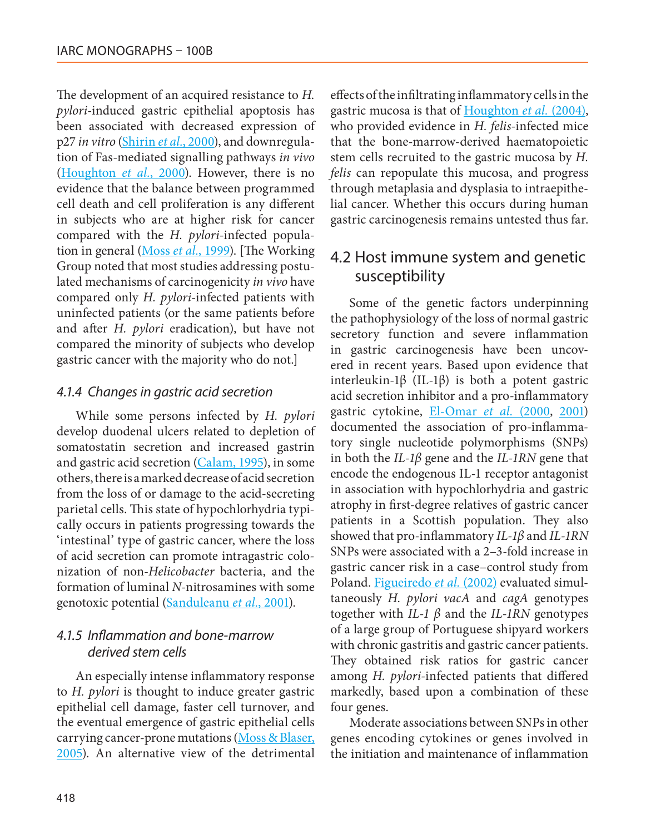The development of an acquired resistance to *H. pylori*-induced gastric epithelial apoptosis has been associated with decreased expression of p27 *in vitro* (Shirin *et al.*, 2000), and downregulation of Fas-mediated signalling pathways *in vivo* (Houghton *et al.*, 2000). However, there is no evidence that the balance between programmed cell death and cell proliferation is any different in subjects who are at higher risk for cancer compared with the *H. pylori*-infected population in general (Moss *et al.*, 1999). [The Working Group noted that most studies addressing postulated mechanisms of carcinogenicity *in vivo* have compared only *H. pylori*-infected patients with uninfected patients (or the same patients before and after *H. pylori* eradication), but have not compared the minority of subjects who develop gastric cancer with the majority who do not.]

#### *4.1.4 Changes in gastric acid secretion*

While some persons infected by *H. pylori* develop duodenal ulcers related to depletion of somatostatin secretion and increased gastrin and gastric acid secretion (Calam, 1995), in some others, there is a marked decrease of acid secretion from the loss of or damage to the acid-secreting parietal cells. This state of hypochlorhydria typically occurs in patients progressing towards the 'intestinal' type of gastric cancer, where the loss of acid secretion can promote intragastric colonization of non-*Helicobacter* bacteria, and the formation of luminal *N*-nitrosamines with some genotoxic potential (Sanduleanu *et al.*, 2001).

### *4.1.5 Inflammation and bone-marrow derived stem cells*

An especially intense inflammatory response to *H. pylori* is thought to induce greater gastric epithelial cell damage, faster cell turnover, and the eventual emergence of gastric epithelial cells carrying cancer-prone mutations (Moss & Blaser, 2005). An alternative view of the detrimental

effects of the infiltrating inflammatory cells in the gastric mucosa is that of Houghton *et al.* (2004), who provided evidence in *H. felis*-infected mice that the bone-marrow-derived haematopoietic stem cells recruited to the gastric mucosa by *H. felis* can repopulate this mucosa, and progress through metaplasia and dysplasia to intraepithelial cancer. Whether this occurs during human gastric carcinogenesis remains untested thus far.

## 4.2 Host immune system and genetic susceptibility

Some of the genetic factors underpinning the pathophysiology of the loss of normal gastric secretory function and severe inflammation in gastric carcinogenesis have been uncovered in recent years. Based upon evidence that interleukin-1β (IL-1β) is both a potent gastric acid secretion inhibitor and a pro-inflammatory gastric cytokine, El-Omar *et al.* (2000, 2001) documented the association of pro-inflammatory single nucleotide polymorphisms (SNPs) in both the *IL-1β* gene and the *IL-1RN* gene that encode the endogenous IL-1 receptor antagonist in association with hypochlorhydria and gastric atrophy in first-degree relatives of gastric cancer patients in a Scottish population. They also showed that pro-inflammatory *IL-1β* and *IL-1RN* SNPs were associated with a 2–3-fold increase in gastric cancer risk in a case–control study from Poland. Figueiredo *et al.* (2002) evaluated simultaneously *H. pylori vacA* and *cagA* genotypes together with *IL-1 β* and the *IL-1RN* genotypes of a large group of Portuguese shipyard workers with chronic gastritis and gastric cancer patients. They obtained risk ratios for gastric cancer among *H. pylori*-infected patients that differed markedly, based upon a combination of these four genes.

Moderate associations between SNPs in other genes encoding cytokines or genes involved in the initiation and maintenance of inflammation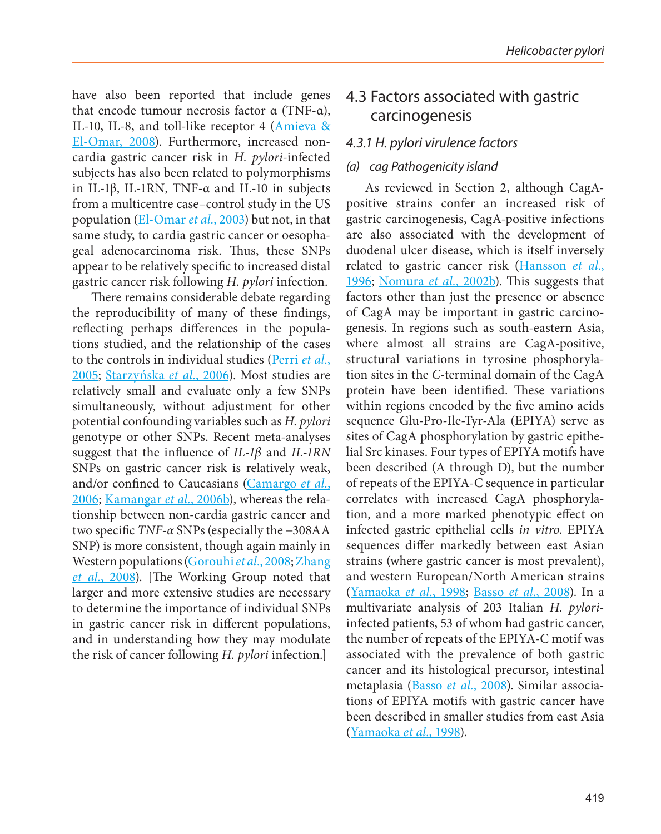have also been reported that include genes that encode tumour necrosis factor  $α$  (TNF- $α$ ), IL-10, IL-8, and toll-like receptor 4 (Amieva & El-Omar, 2008). Furthermore, increased noncardia gastric cancer risk in *H. pylori*-infected subjects has also been related to polymorphisms in IL-1β, IL-1RN, TNF-α and IL-10 in subjects from a multicentre case–control study in the US population (El-Omar *et al.*, 2003) but not, in that same study, to cardia gastric cancer or oesophageal adenocarcinoma risk. Thus, these SNPs appear to be relatively specific to increased distal gastric cancer risk following *H. pylori* infection.

There remains considerable debate regarding the reproducibility of many of these findings, reflecting perhaps differences in the populations studied, and the relationship of the cases to the controls in individual studies (Perri *et al.*, 2005; Starzyńska *et al.*, 2006). Most studies are relatively small and evaluate only a few SNPs simultaneously, without adjustment for other potential confounding variables such as *H. pylori* genotype or other SNPs. Recent meta-analyses suggest that the influence of *IL-1β* and *IL-1RN* SNPs on gastric cancer risk is relatively weak, and/or confined to Caucasians (Camargo *et al.*, 2006; Kamangar *et al.*, 2006b), whereas the relationship between non-cardia gastric cancer and two specific *TNF-α* SNPs (especially the −308AA SNP) is more consistent, though again mainly in Western populations (Gorouhi *et al.*, 2008; Zhang *et al.*, 2008). [The Working Group noted that larger and more extensive studies are necessary to determine the importance of individual SNPs in gastric cancer risk in different populations, and in understanding how they may modulate the risk of cancer following *H. pylori* infection.]

## 4.3 Factors associated with gastric carcinogenesis

#### *4.3.1 H. pylori virulence factors*

#### *(a) cag Pathogenicity island*

As reviewed in Section 2, although CagApositive strains confer an increased risk of gastric carcinogenesis, CagA-positive infections are also associated with the development of duodenal ulcer disease, which is itself inversely related to gastric cancer risk (Hansson *et al.*, 1996; Nomura *et al.*, 2002b). This suggests that factors other than just the presence or absence of CagA may be important in gastric carcinogenesis. In regions such as south-eastern Asia, where almost all strains are CagA-positive, structural variations in tyrosine phosphorylation sites in the *C*-terminal domain of the CagA protein have been identified. These variations within regions encoded by the five amino acids sequence Glu-Pro-Ile-Tyr-Ala (EPIYA) serve as sites of CagA phosphorylation by gastric epithelial Src kinases. Four types of EPIYA motifs have been described (A through D), but the number of repeats of the EPIYA-C sequence in particular correlates with increased CagA phosphorylation, and a more marked phenotypic effect on infected gastric epithelial cells *in vitro*. EPIYA sequences differ markedly between east Asian strains (where gastric cancer is most prevalent), and western European/North American strains (Yamaoka *et al.*, 1998; Basso *et al.*, 2008). In a multivariate analysis of 203 Italian *H. pylori*infected patients, 53 of whom had gastric cancer, the number of repeats of the EPIYA-C motif was associated with the prevalence of both gastric cancer and its histological precursor, intestinal metaplasia (Basso *et al.*, 2008). Similar associations of EPIYA motifs with gastric cancer have been described in smaller studies from east Asia (Yamaoka *et al.*, 1998).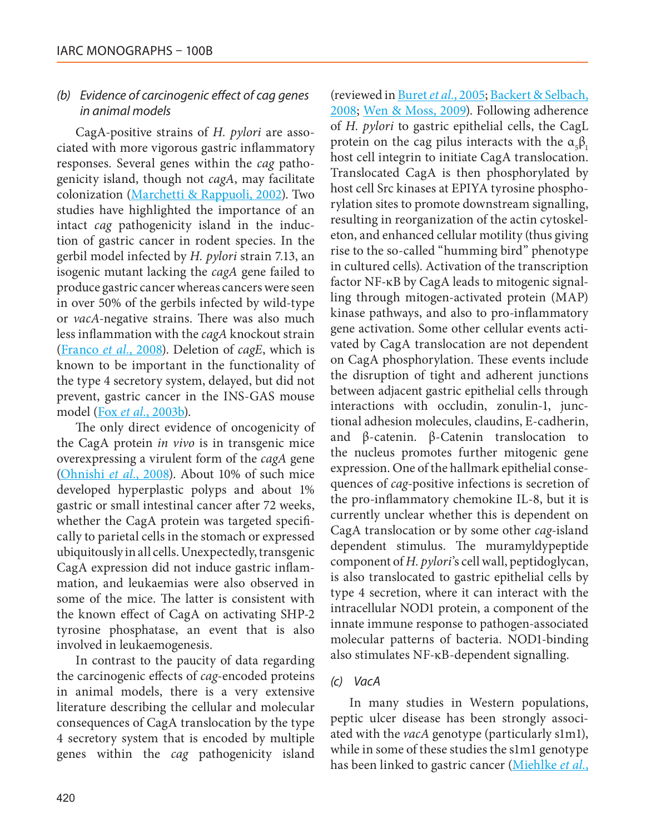#### *(b) Evidence of carcinogenic effect of cag genes in animal models*

CagA-positive strains of *H. pylori* are associated with more vigorous gastric inflammatory responses. Several genes within the *cag* pathogenicity island, though not *cagA*, may facilitate colonization (Marchetti & Rappuoli, 2002). Two studies have highlighted the importance of an intact *cag* pathogenicity island in the induction of gastric cancer in rodent species. In the gerbil model infected by *H. pylori* strain 7.13, an isogenic mutant lacking the *cagA* gene failed to produce gastric cancer whereas cancers were seen in over 50% of the gerbils infected by wild-type or *vacA*-negative strains. There was also much less inflammation with the *cagA* knockout strain (Franco *et al.*, 2008). Deletion of *cagE*, which is known to be important in the functionality of the type 4 secretory system, delayed, but did not prevent, gastric cancer in the INS-GAS mouse model (Fox *et al.*, 2003b).

The only direct evidence of oncogenicity of the CagA protein *in vivo* is in transgenic mice overexpressing a virulent form of the *cagA* gene (Ohnishi *et al.*, 2008). About 10% of such mice developed hyperplastic polyps and about 1% gastric or small intestinal cancer after 72 weeks, whether the CagA protein was targeted specifically to parietal cells in the stomach or expressed ubiquitously in all cells. Unexpectedly, transgenic CagA expression did not induce gastric inflammation, and leukaemias were also observed in some of the mice. The latter is consistent with the known effect of CagA on activating SHP-2 tyrosine phosphatase, an event that is also involved in leukaemogenesis.

In contrast to the paucity of data regarding the carcinogenic effects of *cag*-encoded proteins in animal models, there is a very extensive literature describing the cellular and molecular consequences of CagA translocation by the type 4 secretory system that is encoded by multiple genes within the *cag* pathogenicity island (reviewed in Buret *et al.*, 2005; Backert & Selbach, 2008; Wen & Moss, 2009). Following adherence of *H. pylori* to gastric epithelial cells, the CagL protein on the cag pilus interacts with the  $\alpha_{5}\beta_{1}$ host cell integrin to initiate CagA translocation. Translocated CagA is then phosphorylated by host cell Src kinases at EPIYA tyrosine phosphorylation sites to promote downstream signalling, resulting in reorganization of the actin cytoskeleton, and enhanced cellular motility (thus giving rise to the so-called "humming bird" phenotype in cultured cells). Activation of the transcription factor NF-κB by CagA leads to mitogenic signalling through mitogen-activated protein (MAP) kinase pathways, and also to pro-inflammatory gene activation. Some other cellular events activated by CagA translocation are not dependent on CagA phosphorylation. These events include the disruption of tight and adherent junctions between adjacent gastric epithelial cells through interactions with occludin, zonulin-1, junctional adhesion molecules, claudins, E-cadherin, and β-catenin. β-Catenin translocation to the nucleus promotes further mitogenic gene expression. One of the hallmark epithelial consequences of *cag-*positive infections is secretion of the pro-inflammatory chemokine IL-8, but it is currently unclear whether this is dependent on CagA translocation or by some other *cag*-island dependent stimulus. The muramyldypeptide component of *H. pylori*'s cell wall, peptidoglycan, is also translocated to gastric epithelial cells by type 4 secretion, where it can interact with the intracellular NOD1 protein, a component of the innate immune response to pathogen-associated molecular patterns of bacteria. NOD1-binding also stimulates NF-κB-dependent signalling.

#### *(c) VacA*

In many studies in Western populations, peptic ulcer disease has been strongly associated with the *vacA* genotype (particularly s1m1), while in some of these studies the s1m1 genotype has been linked to gastric cancer (Miehlke *et al.*,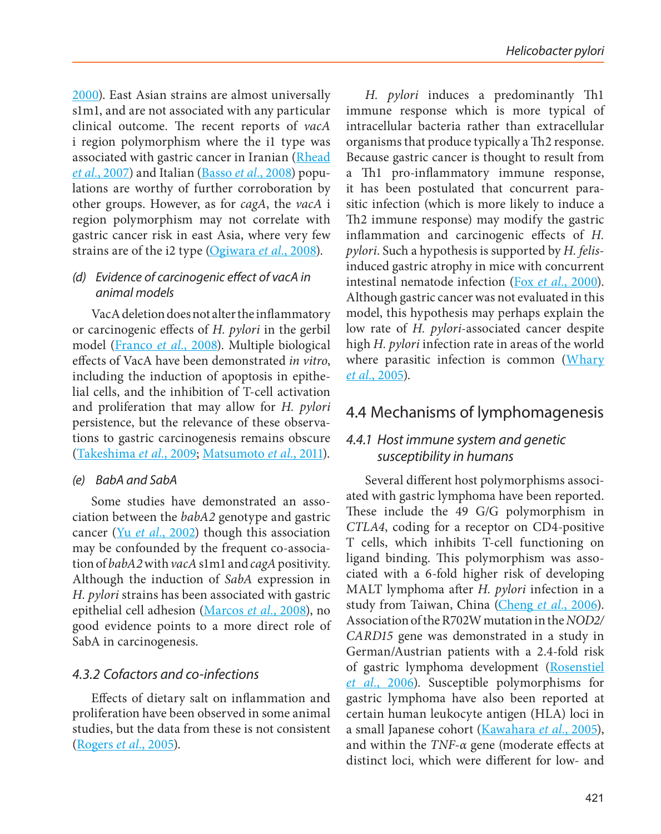2000). East Asian strains are almost universally s1m1, and are not associated with any particular clinical outcome. The recent reports of *vacA* i region polymorphism where the i1 type was associated with gastric cancer in Iranian (Rhead *et al.*, 2007) and Italian (Basso *et al.*, 2008) populations are worthy of further corroboration by other groups. However, as for *cagA*, the *vacA* i region polymorphism may not correlate with gastric cancer risk in east Asia, where very few strains are of the i2 type (Ogiwara *et al.*, 2008).

#### *(d) Evidence of carcinogenic effect of vacA in animal models*

VacA deletion does not alter the inflammatory or carcinogenic effects of *H. pylori* in the gerbil model (Franco *et al.*, 2008). Multiple biological effects of VacA have been demonstrated *in vitro*, including the induction of apoptosis in epithelial cells, and the inhibition of T-cell activation and proliferation that may allow for *H. pylori* persistence, but the relevance of these observations to gastric carcinogenesis remains obscure (Takeshima *et al.*, 2009; Matsumoto *et al.*, 2011).

#### *(e) BabA and SabA*

Some studies have demonstrated an association between the *babA2* genotype and gastric cancer (Yu *et al.*, 2002) though this association may be confounded by the frequent co-association of *babA2* with *vacA* s1m1 and *cagA* positivity. Although the induction of *SabA* expression in *H. pylori* strains has been associated with gastric epithelial cell adhesion (Marcos *et al.*, 2008), no good evidence points to a more direct role of SabA in carcinogenesis.

#### *4.3.2 Cofactors and co-infections*

Effects of dietary salt on inflammation and proliferation have been observed in some animal studies, but the data from these is not consistent (Rogers *et al.*, 2005).

*H. pylori* induces a predominantly Th1 immune response which is more typical of intracellular bacteria rather than extracellular organisms that produce typically a Th2 response. Because gastric cancer is thought to result from a Th1 pro-inflammatory immune response, it has been postulated that concurrent parasitic infection (which is more likely to induce a Th2 immune response) may modify the gastric inflammation and carcinogenic effects of *H. pylori*. Such a hypothesis is supported by *H. felis*induced gastric atrophy in mice with concurrent intestinal nematode infection (Fox *et al.*, 2000). Although gastric cancer was not evaluated in this model, this hypothesis may perhaps explain the low rate of *H. pylori*-associated cancer despite high *H. pylori* infection rate in areas of the world where parasitic infection is common (Whary *et al.*, 2005).

## 4.4 Mechanisms of lymphomagenesis

### *4.4.1 Host immune system and genetic susceptibility in humans*

Several different host polymorphisms associated with gastric lymphoma have been reported. These include the 49 G/G polymorphism in *CTLA4*, coding for a receptor on CD4-positive T cells, which inhibits T-cell functioning on ligand binding. This polymorphism was associated with a 6-fold higher risk of developing MALT lymphoma after *H. pylori* infection in a study from Taiwan, China (Cheng *et al.*, 2006). Association of the R702W mutation in the *NOD2/ CARD15* gene was demonstrated in a study in German/Austrian patients with a 2.4-fold risk of gastric lymphoma development (Rosenstiel *et al.*, 2006). Susceptible polymorphisms for gastric lymphoma have also been reported at certain human leukocyte antigen (HLA) loci in a small Japanese cohort (Kawahara *et al.*, 2005), and within the *TNF-α* gene (moderate effects at distinct loci, which were different for low- and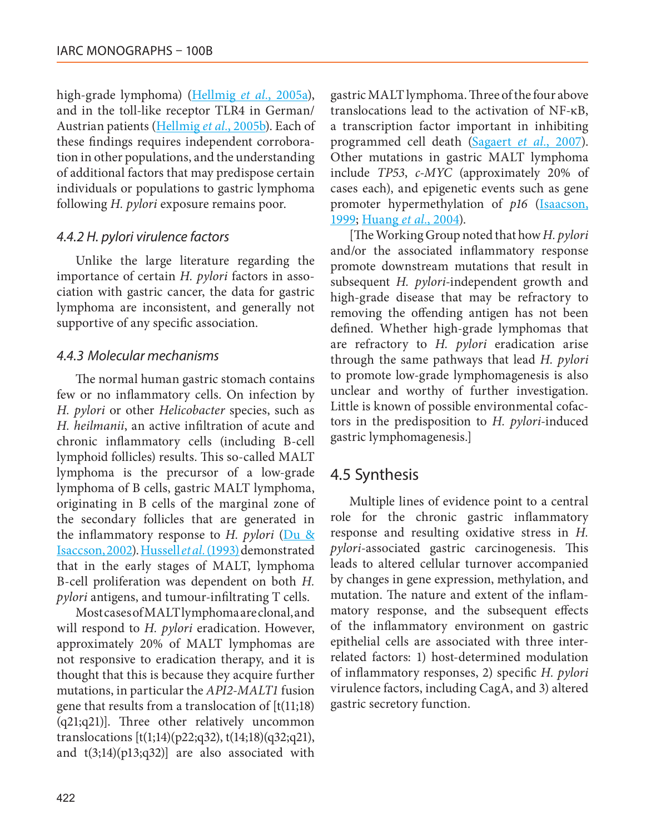high-grade lymphoma) (Hellmig *et al.*, 2005a), and in the toll-like receptor TLR4 in German/ Austrian patients (Hellmig *et al.*, 2005b). Each of these findings requires independent corroboration in other populations, and the understanding of additional factors that may predispose certain individuals or populations to gastric lymphoma following *H. pylori* exposure remains poor.

#### *4.4.2 H. pylori virulence factors*

Unlike the large literature regarding the importance of certain *H. pylori* factors in association with gastric cancer, the data for gastric lymphoma are inconsistent, and generally not supportive of any specific association.

#### *4.4.3 Molecular mechanisms*

The normal human gastric stomach contains few or no inflammatory cells. On infection by *H. pylori* or other *Helicobacter* species, such as *H. heilmanii*, an active infiltration of acute and chronic inflammatory cells (including B-cell lymphoid follicles) results. This so-called MALT lymphoma is the precursor of a low-grade lymphoma of B cells, gastric MALT lymphoma, originating in B cells of the marginal zone of the secondary follicles that are generated in the inflammatory response to *H. pylori* (Du & Isaccson, 2002). Hussell *et al.* (1993) demonstrated that in the early stages of MALT, lymphoma B-cell proliferation was dependent on both *H. pylori* antigens, and tumour-infiltrating T cells.

Most cases of MALT lymphoma are clonal, and will respond to *H. pylori* eradication. However, approximately 20% of MALT lymphomas are not responsive to eradication therapy, and it is thought that this is because they acquire further mutations, in particular the *API2-MALT1* fusion gene that results from a translocation of  $[t(11;18)]$ (q21;q21)]. Three other relatively uncommon translocations [t(1;14)(p22;q32), t(14;18)(q32;q21), and  $t(3;14)(p13;q32)$ ] are also associated with gastric MALT lymphoma. Three of the four above translocations lead to the activation of NF-κB, a transcription factor important in inhibiting programmed cell death (Sagaert *et al.*, 2007). Other mutations in gastric MALT lymphoma include *TP53*, *c-MYC* (approximately 20% of cases each), and epigenetic events such as gene promoter hypermethylation of p16 (*Isaacson*, 1999; Huang *et al.*, 2004).

[The Working Group noted that how *H. pylori* and/or the associated inflammatory response promote downstream mutations that result in subsequent *H. pylori*-independent growth and high-grade disease that may be refractory to removing the offending antigen has not been defined. Whether high-grade lymphomas that are refractory to *H. pylori* eradication arise through the same pathways that lead *H. pylori* to promote low-grade lymphomagenesis is also unclear and worthy of further investigation. Little is known of possible environmental cofactors in the predisposition to *H. pylori*-induced gastric lymphomagenesis.]

## 4.5 Synthesis

Multiple lines of evidence point to a central role for the chronic gastric inflammatory response and resulting oxidative stress in *H. pylori*-associated gastric carcinogenesis. This leads to altered cellular turnover accompanied by changes in gene expression, methylation, and mutation. The nature and extent of the inflammatory response, and the subsequent effects of the inflammatory environment on gastric epithelial cells are associated with three interrelated factors: 1) host-determined modulation of inflammatory responses, 2) specific *H. pylori* virulence factors, including CagA, and 3) altered gastric secretory function.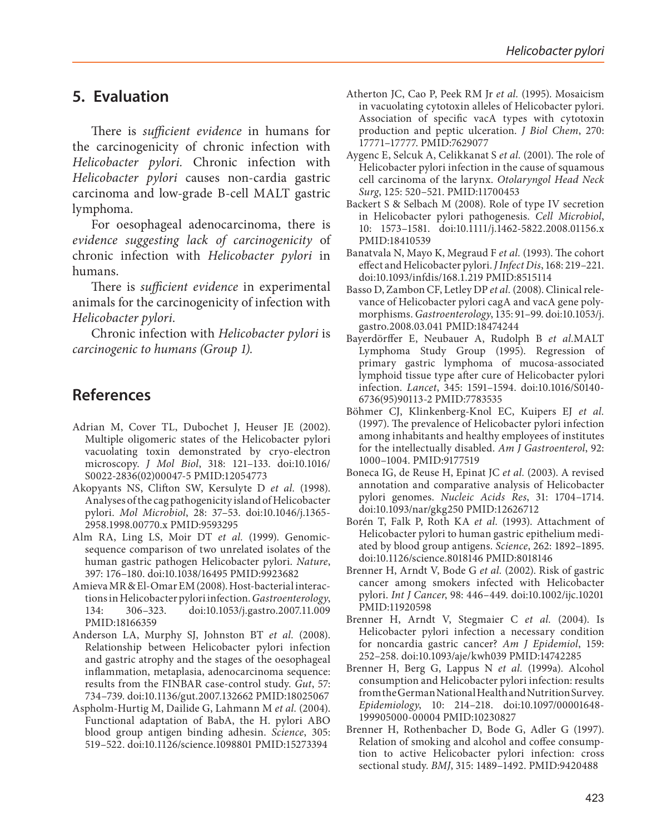### **5. Evaluation**

There is *sufficient evidence* in humans for the carcinogenicity of chronic infection with *Helicobacter pylori.* Chronic infection with *Helicobacter pylori* causes non-cardia gastric carcinoma and low-grade B-cell MALT gastric lymphoma.

For oesophageal adenocarcinoma, there is *evidence suggesting lack of carcinogenicity* of chronic infection with *Helicobacter pylori* in humans.

There is *sufficient evidence* in experimental animals for the carcinogenicity of infection with *Helicobacter pylori*.

Chronic infection with *Helicobacter pylori* is *carcinogenic to humans (Group 1).*

## **References**

- Adrian M, Cover TL, Dubochet J, Heuser JE (2002). Multiple oligomeric states of the Helicobacter pylori vacuolating toxin demonstrated by cryo-electron microscopy. *J Mol Biol*, 318: 121–133. doi[:10.1016/](http://dx.doi.org/10.1016/S0022-2836(02)00047-5) [S0022-2836\(02\)00047-5](http://dx.doi.org/10.1016/S0022-2836(02)00047-5) PMID[:12054773](http://www.ncbi.nlm.nih.gov/pubmed/12054773)
- Akopyants NS, Clifton SW, Kersulyte D *et al.* (1998). Analyses of the cag pathogenicity island of Helicobacter pylori. *Mol Microbiol*, 28: 37–53. doi:[10.1046/j.1365-](http://dx.doi.org/10.1046/j.1365-2958.1998.00770.x) [2958.1998.00770.x](http://dx.doi.org/10.1046/j.1365-2958.1998.00770.x) PMID[:9593295](http://www.ncbi.nlm.nih.gov/pubmed/9593295)
- Alm RA, Ling LS, Moir DT *et al.* (1999). Genomicsequence comparison of two unrelated isolates of the human gastric pathogen Helicobacter pylori. *Nature*, 397: 176–180. doi[:10.1038/16495](http://dx.doi.org/10.1038/16495) PMID[:9923682](http://www.ncbi.nlm.nih.gov/pubmed/9923682)
- Amieva MR & El-Omar EM (2008). Host-bacterial interactions in Helicobacter pylori infection. *Gastroenterology*, 134: 306–323. doi[:10.1053/j.gastro.2007.11.009](http://dx.doi.org/10.1053/j.gastro.2007.11.009)  PMID[:18166359](http://www.ncbi.nlm.nih.gov/pubmed/18166359)
- Anderson LA, Murphy SJ, Johnston BT *et al.* (2008). Relationship between Helicobacter pylori infection and gastric atrophy and the stages of the oesophageal inflammation, metaplasia, adenocarcinoma sequence: results from the FINBAR case-control study. *Gut*, 57: 734–739. doi[:10.1136/gut.2007.132662](http://dx.doi.org/10.1136/gut.2007.132662) PMID[:18025067](http://www.ncbi.nlm.nih.gov/pubmed/18025067)
- Aspholm-Hurtig M, Dailide G, Lahmann M *et al.* (2004). Functional adaptation of BabA, the H. pylori ABO blood group antigen binding adhesin. *Science*, 305: 519–522. doi[:10.1126/science.1098801](http://dx.doi.org/10.1126/science.1098801) PMID[:15273394](http://www.ncbi.nlm.nih.gov/pubmed/15273394)
- Atherton JC, Cao P, Peek RM Jr *et al.* (1995). Mosaicism in vacuolating cytotoxin alleles of Helicobacter pylori. Association of specific vacA types with cytotoxin production and peptic ulceration. *J Biol Chem*, 270: 17771–17777. PMID:[7629077](http://www.ncbi.nlm.nih.gov/pubmed/7629077)
- Aygenc E, Selcuk A, Celikkanat S *et al.* (2001). The role of Helicobacter pylori infection in the cause of squamous cell carcinoma of the larynx. *Otolaryngol Head Neck Surg*, 125: 520–521. PMID[:11700453](http://www.ncbi.nlm.nih.gov/pubmed/11700453)
- Backert S & Selbach M (2008). Role of type IV secretion in Helicobacter pylori pathogenesis. *Cell Microbiol*, 10: 1573–1581. doi:[10.1111/j.1462-5822.2008.01156.x](http://dx.doi.org/10.1111/j.1462-5822.2008.01156.x) PMID:[18410539](http://www.ncbi.nlm.nih.gov/pubmed/18410539)
- Banatvala N, Mayo K, Megraud F *et al.* (1993). The cohort effect and Helicobacter pylori. *J Infect Dis*, 168: 219–221. doi[:10.1093/infdis/168.1.219](http://dx.doi.org/10.1093/infdis/168.1.219) PMID[:8515114](http://www.ncbi.nlm.nih.gov/pubmed/8515114)
- Basso D, Zambon CF, Letley DP *et al.* (2008). Clinical relevance of Helicobacter pylori cagA and vacA gene polymorphisms. *Gastroenterology*, 135: 91–99. doi[:10.1053/j.](http://dx.doi.org/10.1053/j.gastro.2008.03.041) [gastro.2008.03.041](http://dx.doi.org/10.1053/j.gastro.2008.03.041) PMID[:18474244](http://www.ncbi.nlm.nih.gov/pubmed/18474244)
- Bayerdörffer E, Neubauer A, Rudolph B *et al.*MALT Lymphoma Study Group (1995). Regression of primary gastric lymphoma of mucosa-associated lymphoid tissue type after cure of Helicobacter pylori infection. *Lancet*, 345: 1591–1594. doi[:10.1016/S0140-](http://dx.doi.org/10.1016/S0140-6736(95)90113-2) [6736\(95\)90113-2](http://dx.doi.org/10.1016/S0140-6736(95)90113-2) PMID[:7783535](http://www.ncbi.nlm.nih.gov/pubmed/7783535)
- Böhmer CJ, Klinkenberg-Knol EC, Kuipers EJ *et al.* (1997). The prevalence of Helicobacter pylori infection among inhabitants and healthy employees of institutes for the intellectually disabled. *Am J Gastroenterol*, 92: 1000–1004. PMID:[9177519](http://www.ncbi.nlm.nih.gov/pubmed/9177519)
- Boneca IG, de Reuse H, Epinat JC *et al.* (2003). A revised annotation and comparative analysis of Helicobacter pylori genomes. *Nucleic Acids Res*, 31: 1704–1714. doi[:10.1093/nar/gkg250](http://dx.doi.org/10.1093/nar/gkg250) PMID[:12626712](http://www.ncbi.nlm.nih.gov/pubmed/12626712)
- Borén T, Falk P, Roth KA *et al.* (1993). Attachment of Helicobacter pylori to human gastric epithelium mediated by blood group antigens. *Science*, 262: 1892–1895. doi[:10.1126/science.8018146](http://dx.doi.org/10.1126/science.8018146) PMID[:8018146](http://www.ncbi.nlm.nih.gov/pubmed/8018146)
- Brenner H, Arndt V, Bode G *et al.* (2002). Risk of gastric cancer among smokers infected with Helicobacter pylori. *Int J Cancer*, 98: 446–449. doi:[10.1002/ijc.10201](http://dx.doi.org/10.1002/ijc.10201) PMID:[11920598](http://www.ncbi.nlm.nih.gov/pubmed/11920598)
- Brenner H, Arndt V, Stegmaier C *et al.* (2004). Is Helicobacter pylori infection a necessary condition for noncardia gastric cancer? *Am J Epidemiol*, 159: 252–258. doi:[10.1093/aje/kwh039](http://dx.doi.org/10.1093/aje/kwh039) PMID[:14742285](http://www.ncbi.nlm.nih.gov/pubmed/14742285)
- Brenner H, Berg G, Lappus N *et al.* (1999a). Alcohol consumption and Helicobacter pylori infection: results from the German National Health and Nutrition Survey. *Epidemiology*, 10: 214–218. doi[:10.1097/00001648-](http://dx.doi.org/10.1097/00001648-199905000-00004) [199905000-00004](http://dx.doi.org/10.1097/00001648-199905000-00004) PMID:[10230827](http://www.ncbi.nlm.nih.gov/pubmed/10230827)
- Brenner H, Rothenbacher D, Bode G, Adler G (1997). Relation of smoking and alcohol and coffee consumption to active Helicobacter pylori infection: cross sectional study. *BMJ*, 315: 1489–1492. PMID[:9420488](http://www.ncbi.nlm.nih.gov/pubmed/9420488)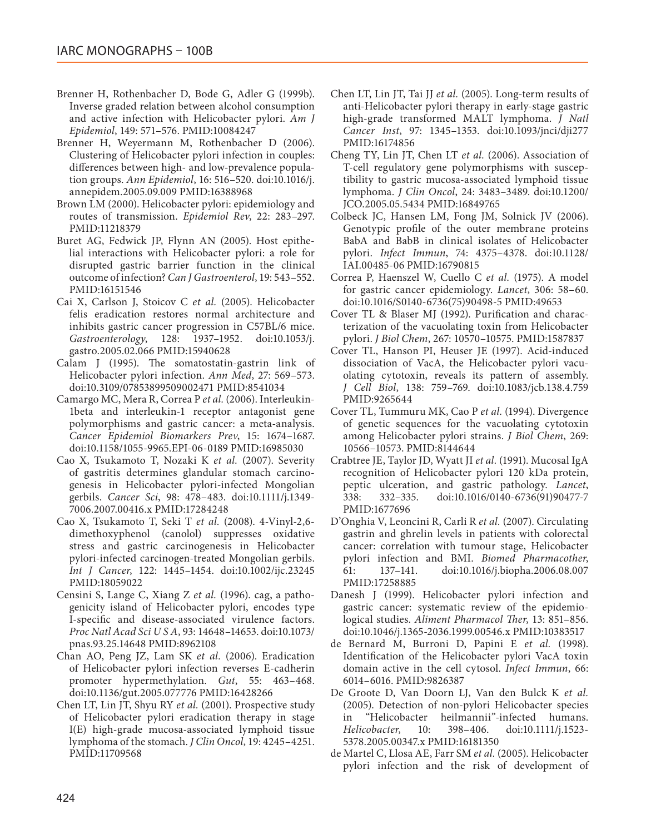- Brenner H, Rothenbacher D, Bode G, Adler G (1999b). Inverse graded relation between alcohol consumption and active infection with Helicobacter pylori. *Am J Epidemiol*, 149: 571–576. PMID:[10084247](http://www.ncbi.nlm.nih.gov/pubmed/10084247)
- Brenner H, Weyermann M, Rothenbacher D (2006). Clustering of Helicobacter pylori infection in couples: differences between high- and low-prevalence population groups. *Ann Epidemiol*, 16: 516–520. doi[:10.1016/j.](http://dx.doi.org/10.1016/j.annepidem.2005.09.009) [annepidem.2005.09.009](http://dx.doi.org/10.1016/j.annepidem.2005.09.009) PMID[:16388968](http://www.ncbi.nlm.nih.gov/pubmed/16388968)
- Brown LM (2000). Helicobacter pylori: epidemiology and routes of transmission. *Epidemiol Rev*, 22: 283–297. PMID[:11218379](http://www.ncbi.nlm.nih.gov/pubmed/11218379)
- Buret AG, Fedwick JP, Flynn AN (2005). Host epithelial interactions with Helicobacter pylori: a role for disrupted gastric barrier function in the clinical outcome of infection? *Can J Gastroenterol*, 19: 543–552. PMID[:16151546](http://www.ncbi.nlm.nih.gov/pubmed/16151546)
- Cai X, Carlson J, Stoicov C *et al.* (2005). Helicobacter felis eradication restores normal architecture and inhibits gastric cancer progression in C57BL/6 mice. *Gastroenterology*, 128: 1937–1952. doi:[10.1053/j.](http://dx.doi.org/10.1053/j.gastro.2005.02.066) [gastro.2005.02.066](http://dx.doi.org/10.1053/j.gastro.2005.02.066) PMID[:15940628](http://www.ncbi.nlm.nih.gov/pubmed/15940628)
- Calam J (1995). The somatostatin-gastrin link of Helicobacter pylori infection. *Ann Med*, 27: 569–573. doi[:10.3109/07853899509002471](http://dx.doi.org/10.3109/07853899509002471) PMID[:8541034](http://www.ncbi.nlm.nih.gov/pubmed/8541034)
- Camargo MC, Mera R, Correa P *et al.* (2006). Interleukin-1beta and interleukin-1 receptor antagonist gene polymorphisms and gastric cancer: a meta-analysis. *Cancer Epidemiol Biomarkers Prev*, 15: 1674–1687. doi[:10.1158/1055-9965.EPI-06-0189](http://dx.doi.org/10.1158/1055-9965.EPI-06-0189) PMID[:16985030](http://www.ncbi.nlm.nih.gov/pubmed/16985030)
- Cao X, Tsukamoto T, Nozaki K *et al.* (2007). Severity of gastritis determines glandular stomach carcinogenesis in Helicobacter pylori-infected Mongolian gerbils. *Cancer Sci*, 98: 478–483. doi[:10.1111/j.1349-](http://dx.doi.org/10.1111/j.1349-7006.2007.00416.x) [7006.2007.00416.x](http://dx.doi.org/10.1111/j.1349-7006.2007.00416.x) PMID[:17284248](http://www.ncbi.nlm.nih.gov/pubmed/17284248)
- Cao X, Tsukamoto T, Seki T *et al.* (2008). 4-Vinyl-2,6 dimethoxyphenol (canolol) suppresses oxidative stress and gastric carcinogenesis in Helicobacter pylori-infected carcinogen-treated Mongolian gerbils. *Int J Cancer*, 122: 1445–1454. doi:[10.1002/ijc.23245](http://dx.doi.org/10.1002/ijc.23245) PMID[:18059022](http://www.ncbi.nlm.nih.gov/pubmed/18059022)
- Censini S, Lange C, Xiang Z *et al.* (1996). cag, a pathogenicity island of Helicobacter pylori, encodes type I-specific and disease-associated virulence factors. *Proc Natl Acad Sci U S A*, 93: 14648–14653. doi[:10.1073/](http://dx.doi.org/10.1073/pnas.93.25.14648) [pnas.93.25.14648](http://dx.doi.org/10.1073/pnas.93.25.14648) PMID:[8962108](http://www.ncbi.nlm.nih.gov/pubmed/8962108)
- Chan AO, Peng JZ, Lam SK *et al.* (2006). Eradication of Helicobacter pylori infection reverses E-cadherin promoter hypermethylation. *Gut*, 55: 463–468. doi[:10.1136/gut.2005.077776](http://dx.doi.org/10.1136/gut.2005.077776) PMID[:16428266](http://www.ncbi.nlm.nih.gov/pubmed/16428266)
- Chen LT, Lin JT, Shyu RY *et al.* (2001). Prospective study of Helicobacter pylori eradication therapy in stage I(E) high-grade mucosa-associated lymphoid tissue lymphoma of the stomach. *J Clin Oncol*, 19: 4245–4251. PMID[:11709568](http://www.ncbi.nlm.nih.gov/pubmed/11709568)
- Chen LT, Lin JT, Tai JJ *et al.* (2005). Long-term results of anti-Helicobacter pylori therapy in early-stage gastric high-grade transformed MALT lymphoma. *J Natl Cancer Inst*, 97: 1345–1353. doi[:10.1093/jnci/dji277](http://dx.doi.org/10.1093/jnci/dji277) PMID[:16174856](http://www.ncbi.nlm.nih.gov/pubmed/16174856)
- Cheng TY, Lin JT, Chen LT *et al.* (2006). Association of T-cell regulatory gene polymorphisms with susceptibility to gastric mucosa-associated lymphoid tissue lymphoma. *J Clin Oncol*, 24: 3483–3489. doi[:10.1200/](http://dx.doi.org/10.1200/JCO.2005.05.5434) [JCO.2005.05.5434](http://dx.doi.org/10.1200/JCO.2005.05.5434) PMID[:16849765](http://www.ncbi.nlm.nih.gov/pubmed/16849765)
- Colbeck JC, Hansen LM, Fong JM, Solnick JV (2006). Genotypic profile of the outer membrane proteins BabA and BabB in clinical isolates of Helicobacter pylori. *Infect Immun*, 74: 4375–4378. doi[:10.1128/](http://dx.doi.org/10.1128/IAI.00485-06) [IAI.00485-06](http://dx.doi.org/10.1128/IAI.00485-06) PMID[:16790815](http://www.ncbi.nlm.nih.gov/pubmed/16790815)
- Correa P, Haenszel W, Cuello C *et al.* (1975). A model for gastric cancer epidemiology. *Lancet*, 306: 58–60. doi[:10.1016/S0140-6736\(75\)90498-5](http://dx.doi.org/10.1016/S0140-6736(75)90498-5) PMID[:49653](http://www.ncbi.nlm.nih.gov/pubmed/49653)
- Cover TL & Blaser MJ (1992). Purification and characterization of the vacuolating toxin from Helicobacter pylori. *J Biol Chem*, 267: 10570–10575. PMID[:1587837](http://www.ncbi.nlm.nih.gov/pubmed/1587837)
- Cover TL, Hanson PI, Heuser JE (1997). Acid-induced dissociation of VacA, the Helicobacter pylori vacuolating cytotoxin, reveals its pattern of assembly. *J Cell Biol*, 138: 759–769. doi[:10.1083/jcb.138.4.759](http://dx.doi.org/10.1083/jcb.138.4.759) PMID:[9265644](http://www.ncbi.nlm.nih.gov/pubmed/9265644)
- Cover TL, Tummuru MK, Cao P *et al.* (1994). Divergence of genetic sequences for the vacuolating cytotoxin among Helicobacter pylori strains. *J Biol Chem*, 269: 10566–10573. PMID:[8144644](http://www.ncbi.nlm.nih.gov/pubmed/8144644)
- Crabtree JE, Taylor JD, Wyatt JI *et al.* (1991). Mucosal IgA recognition of Helicobacter pylori 120 kDa protein, peptic ulceration, and gastric pathology. *Lancet*, 338: 332–335. doi:[10.1016/0140-6736\(91\)90477-7](http://dx.doi.org/10.1016/0140-6736(91)90477-7) PMID[:1677696](http://www.ncbi.nlm.nih.gov/pubmed/1677696)
- D'Onghia V, Leoncini R, Carli R *et al.* (2007). Circulating gastrin and ghrelin levels in patients with colorectal cancer: correlation with tumour stage, Helicobacter pylori infection and BMI. *Biomed Pharmacother*, 61: 137–141. doi[:10.1016/j.biopha.2006.08.007](http://dx.doi.org/10.1016/j.biopha.2006.08.007) PMID[:17258885](http://www.ncbi.nlm.nih.gov/pubmed/17258885)
- Danesh J (1999). Helicobacter pylori infection and gastric cancer: systematic review of the epidemiological studies. *Aliment Pharmacol Ther*, 13: 851–856. doi[:10.1046/j.1365-2036.1999.00546.x](http://dx.doi.org/10.1046/j.1365-2036.1999.00546.x) PMID:[10383517](http://www.ncbi.nlm.nih.gov/pubmed/10383517)
- de Bernard M, Burroni D, Papini E *et al.* (1998). Identification of the Helicobacter pylori VacA toxin domain active in the cell cytosol. *Infect Immun*, 66: 6014–6016. PMID:[9826387](http://www.ncbi.nlm.nih.gov/pubmed/9826387)
- De Groote D, Van Doorn LJ, Van den Bulck K *et al.* (2005). Detection of non-pylori Helicobacter species in "Helicobacter heilmannii"-infected humans.<br>Helicobacter. 10: 398–406. doi:10.1111/i.1523-*Helicobacter*, 10: 398–406. doi[:10.1111/j.1523-](http://dx.doi.org/10.1111/j.1523-5378.2005.00347.x) [5378.2005.00347.x](http://dx.doi.org/10.1111/j.1523-5378.2005.00347.x) PMID[:16181350](http://www.ncbi.nlm.nih.gov/pubmed/16181350)
- de Martel C, Llosa AE, Farr SM *et al.* (2005). Helicobacter pylori infection and the risk of development of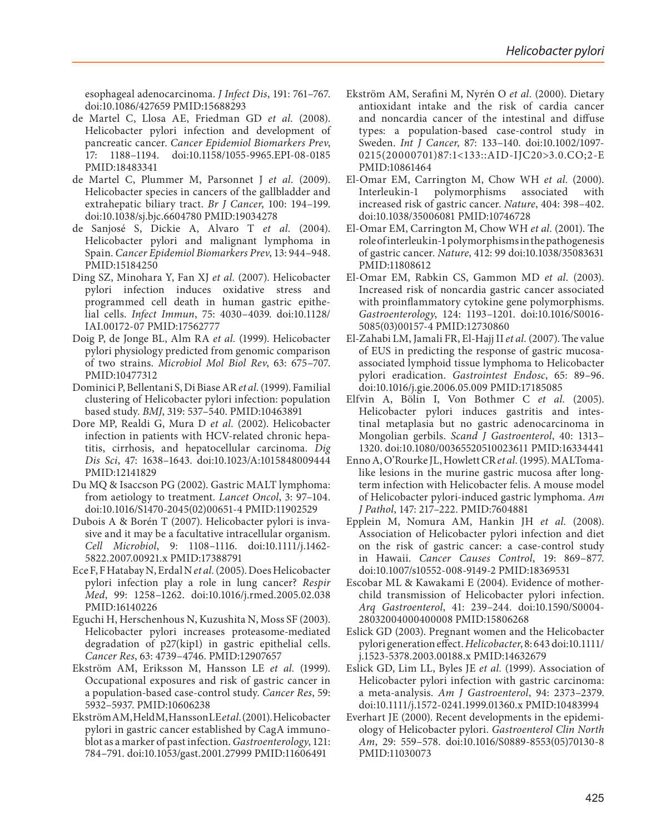esophageal adenocarcinoma. *J Infect Dis*, 191: 761–767. doi:[10.1086/427659](http://dx.doi.org/10.1086/427659) PMID[:15688293](http://www.ncbi.nlm.nih.gov/pubmed/15688293)

- de Martel C, Llosa AE, Friedman GD *et al.* (2008). Helicobacter pylori infection and development of pancreatic cancer. *Cancer Epidemiol Biomarkers Prev*, 17: 1188–1194. doi[:10.1158/1055-9965.EPI-08-0185](http://dx.doi.org/10.1158/1055-9965.EPI-08-0185)  PMID[:18483341](http://www.ncbi.nlm.nih.gov/pubmed/18483341)
- de Martel C, Plummer M, Parsonnet J *et al.* (2009). Helicobacter species in cancers of the gallbladder and extrahepatic biliary tract. *Br J Cancer*, 100: 194–199. doi:[10.1038/sj.bjc.6604780](http://dx.doi.org/10.1038/sj.bjc.6604780) PMID:[19034278](http://www.ncbi.nlm.nih.gov/pubmed/19034278)
- de Sanjosé S, Dickie A, Alvaro T *et al.* (2004). Helicobacter pylori and malignant lymphoma in Spain. *Cancer Epidemiol Biomarkers Prev*, 13: 944–948. PMID[:15184250](http://www.ncbi.nlm.nih.gov/pubmed/15184250)
- Ding SZ, Minohara Y, Fan XJ *et al.* (2007). Helicobacter pylori infection induces oxidative stress and programmed cell death in human gastric epithelial cells. *Infect Immun*, 75: 4030–4039. doi[:10.1128/](http://dx.doi.org/10.1128/IAI.00172-07) [IAI.00172-07](http://dx.doi.org/10.1128/IAI.00172-07) PMID[:17562777](http://www.ncbi.nlm.nih.gov/pubmed/17562777)
- Doig P, de Jonge BL, Alm RA *et al.* (1999). Helicobacter pylori physiology predicted from genomic comparison of two strains. *Microbiol Mol Biol Rev*, 63: 675–707. PMID[:10477312](http://www.ncbi.nlm.nih.gov/pubmed/10477312)
- Dominici P, Bellentani S, Di Biase AR *et al.* (1999). Familial clustering of Helicobacter pylori infection: population based study. *BMJ*, 319: 537–540. PMID:[10463891](http://www.ncbi.nlm.nih.gov/pubmed/10463891)
- Dore MP, Realdi G, Mura D *et al.* (2002). Helicobacter infection in patients with HCV-related chronic hepatitis, cirrhosis, and hepatocellular carcinoma. *Dig Dis Sci*, 47: 1638–1643. doi:[10.1023/A:1015848009444](http://dx.doi.org/10.1023/A:1015848009444)  PMID[:12141829](http://www.ncbi.nlm.nih.gov/pubmed/12141829)
- Du MQ & Isaccson PG (2002). Gastric MALT lymphoma: from aetiology to treatment. *Lancet Oncol*, 3: 97–104. doi:[10.1016/S1470-2045\(02\)00651-4](http://dx.doi.org/10.1016/S1470-2045(02)00651-4) PMID[:11902529](http://www.ncbi.nlm.nih.gov/pubmed/11902529)
- Dubois A & Borén T (2007). Helicobacter pylori is invasive and it may be a facultative intracellular organism. *Cell Microbiol*, 9: 1108–1116. doi:[10.1111/j.1462-](http://dx.doi.org/10.1111/j.1462-5822.2007.00921.x) [5822.2007.00921.x](http://dx.doi.org/10.1111/j.1462-5822.2007.00921.x) PMID[:17388791](http://www.ncbi.nlm.nih.gov/pubmed/17388791)
- Ece F, F Hatabay N, Erdal N *et al.* (2005). Does Helicobacter pylori infection play a role in lung cancer? *Respir Med*, 99: 1258–1262. doi[:10.1016/j.rmed.2005.02.038](http://dx.doi.org/10.1016/j.rmed.2005.02.038)  PMID[:16140226](http://www.ncbi.nlm.nih.gov/pubmed/16140226)
- Eguchi H, Herschenhous N, Kuzushita N, Moss SF (2003). Helicobacter pylori increases proteasome-mediated degradation of p27(kip1) in gastric epithelial cells. *Cancer Res*, 63: 4739–4746. PMID[:12907657](http://www.ncbi.nlm.nih.gov/pubmed/12907657)
- Ekström AM, Eriksson M, Hansson LE *et al.* (1999). Occupational exposures and risk of gastric cancer in a population-based case-control study. *Cancer Res*, 59: 5932–5937. PMID[:10606238](http://www.ncbi.nlm.nih.gov/pubmed/10606238)
- Ekström AM, Held M, Hansson LE *et al.* (2001). Helicobacter pylori in gastric cancer established by CagA immunoblot as a marker of past infection. *Gastroenterology*, 121: 784–791. doi:[10.1053/gast.2001.27999](http://dx.doi.org/10.1053/gast.2001.27999) PMID:[11606491](http://www.ncbi.nlm.nih.gov/pubmed/11606491)
- Ekström AM, Serafini M, Nyrén O *et al.* (2000). Dietary antioxidant intake and the risk of cardia cancer and noncardia cancer of the intestinal and diffuse types: a population-based case-control study in Sweden. *Int J Cancer*, 87: 133–140. doi:[10.1002/1097-](http://dx.doi.org/10.1002/1097-0215(20000701)87:1<133::AID-IJC20>3.0.CO;2-E) [0215\(20000701\)87:1<133::AID-IJC20>3.0.CO;2-E](http://dx.doi.org/10.1002/1097-0215(20000701)87:1<133::AID-IJC20>3.0.CO;2-E) PMID:[10861464](http://www.ncbi.nlm.nih.gov/pubmed/10861464)
- El-Omar EM, Carrington M, Chow WH *et al.* (2000). Interleukin-1 polymorphisms associated with increased risk of gastric cancer. *Nature*, 404: 398–402. doi[:10.1038/35006081](http://dx.doi.org/10.1038/35006081) PMID[:10746728](http://www.ncbi.nlm.nih.gov/pubmed/10746728)
- El-Omar EM, Carrington M, Chow WH *et al.* (2001). The role of interleukin-1 polymorphisms in the pathogenesis of gastric cancer. *Nature*, 412: 99 doi[:10.1038/35083631](http://dx.doi.org/10.1038/35083631) PMID:[11808612](http://www.ncbi.nlm.nih.gov/pubmed/11808612)
- El-Omar EM, Rabkin CS, Gammon MD *et al.* (2003). Increased risk of noncardia gastric cancer associated with proinflammatory cytokine gene polymorphisms. *Gastroenterology*, 124: 1193–1201. doi[:10.1016/S0016-](http://dx.doi.org/10.1016/S0016-5085(03)00157-4) [5085\(03\)00157-4](http://dx.doi.org/10.1016/S0016-5085(03)00157-4) PMID[:12730860](http://www.ncbi.nlm.nih.gov/pubmed/12730860)
- El-Zahabi LM, Jamali FR, El-Hajj II *et al.* (2007). The value of EUS in predicting the response of gastric mucosaassociated lymphoid tissue lymphoma to Helicobacter pylori eradication. *Gastrointest Endosc*, 65: 89–96. doi[:10.1016/j.gie.2006.05.009](http://dx.doi.org/10.1016/j.gie.2006.05.009) PMID[:17185085](http://www.ncbi.nlm.nih.gov/pubmed/17185085)
- Elfvin A, Bölin I, Von Bothmer C *et al.* (2005). Helicobacter pylori induces gastritis and intestinal metaplasia but no gastric adenocarcinoma in Mongolian gerbils. *Scand J Gastroenterol*, 40: 1313– 1320. doi[:10.1080/00365520510023611](http://dx.doi.org/10.1080/00365520510023611) PMID[:16334441](http://www.ncbi.nlm.nih.gov/pubmed/16334441)
- Enno A, O'Rourke JL, Howlett CR *et al.* (1995). MALTomalike lesions in the murine gastric mucosa after longterm infection with Helicobacter felis. A mouse model of Helicobacter pylori-induced gastric lymphoma. *Am J Pathol*, 147: 217–222. PMID:[7604881](http://www.ncbi.nlm.nih.gov/pubmed/7604881)
- Epplein M, Nomura AM, Hankin JH *et al.* (2008). Association of Helicobacter pylori infection and diet on the risk of gastric cancer: a case-control study in Hawaii. *Cancer Causes Control*, 19: 869–877. doi[:10.1007/s10552-008-9149-2](http://dx.doi.org/10.1007/s10552-008-9149-2) PMID:[18369531](http://www.ncbi.nlm.nih.gov/pubmed/18369531)
- Escobar ML & Kawakami E (2004). Evidence of motherchild transmission of Helicobacter pylori infection. *Arq Gastroenterol*, 41: 239–244. doi[:10.1590/S0004-](http://dx.doi.org/10.1590/S0004-28032004000400008) [28032004000400008](http://dx.doi.org/10.1590/S0004-28032004000400008) PMID:[15806268](http://www.ncbi.nlm.nih.gov/pubmed/15806268)
- Eslick GD (2003). Pregnant women and the Helicobacter pylori generation effect. *Helicobacter*, 8: 643 doi[:10.1111/](http://dx.doi.org/10.1111/j.1523-5378.2003.00188.x) [j.1523-5378.2003.00188.x](http://dx.doi.org/10.1111/j.1523-5378.2003.00188.x) PMID[:14632679](http://www.ncbi.nlm.nih.gov/pubmed/14632679)
- Eslick GD, Lim LL, Byles JE *et al.* (1999). Association of Helicobacter pylori infection with gastric carcinoma: a meta-analysis. *Am J Gastroenterol*, 94: 2373–2379. doi[:10.1111/j.1572-0241.1999.01360.x](http://dx.doi.org/10.1111/j.1572-0241.1999.01360.x) PMID[:10483994](http://www.ncbi.nlm.nih.gov/pubmed/10483994)
- Everhart JE (2000). Recent developments in the epidemiology of Helicobacter pylori. *Gastroenterol Clin North Am*, 29: 559–578. doi:[10.1016/S0889-8553\(05\)70130-8](http://dx.doi.org/10.1016/S0889-8553(05)70130-8) PMID:[11030073](http://www.ncbi.nlm.nih.gov/pubmed/11030073)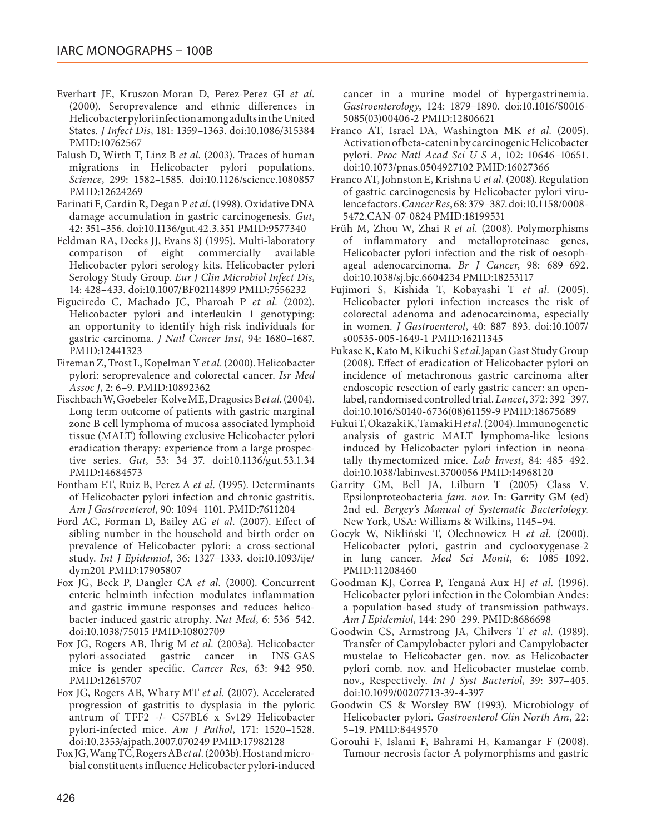- Everhart JE, Kruszon-Moran D, Perez-Perez GI *et al.* (2000). Seroprevalence and ethnic differences in Helicobacter pylori infection among adults in the United States. *J Infect Dis*, 181: 1359–1363. doi[:10.1086/315384](http://dx.doi.org/10.1086/315384) PMID[:10762567](http://www.ncbi.nlm.nih.gov/pubmed/10762567)
- Falush D, Wirth T, Linz B *et al.* (2003). Traces of human migrations in Helicobacter pylori populations. *Science*, 299: 1582–1585. doi:[10.1126/science.1080857](http://dx.doi.org/10.1126/science.1080857) PMID[:12624269](http://www.ncbi.nlm.nih.gov/pubmed/12624269)
- Farinati F, Cardin R, Degan P *et al.* (1998). Oxidative DNA damage accumulation in gastric carcinogenesis. *Gut*, 42: 351–356. doi:[10.1136/gut.42.3.351](http://dx.doi.org/10.1136/gut.42.3.351) PMID:[9577340](http://www.ncbi.nlm.nih.gov/pubmed/9577340)
- Feldman RA, Deeks JJ, Evans SJ (1995). Multi-laboratory comparison of eight commercially available Helicobacter pylori serology kits. Helicobacter pylori Serology Study Group. *Eur J Clin Microbiol Infect Dis*, 14: 428–433. doi:[10.1007/BF02114899](http://dx.doi.org/10.1007/BF02114899) PMID:[7556232](http://www.ncbi.nlm.nih.gov/pubmed/7556232)
- Figueiredo C, Machado JC, Pharoah P *et al.* (2002). Helicobacter pylori and interleukin 1 genotyping: an opportunity to identify high-risk individuals for gastric carcinoma. *J Natl Cancer Inst*, 94: 1680–1687. PMID[:12441323](http://www.ncbi.nlm.nih.gov/pubmed/12441323)
- Fireman Z, Trost L, Kopelman Y *et al.* (2000). Helicobacter pylori: seroprevalence and colorectal cancer. *Isr Med Assoc J*, 2: 6–9. PMID[:10892362](http://www.ncbi.nlm.nih.gov/pubmed/10892362)
- Fischbach W, Goebeler-Kolve ME, Dragosics B *et al.* (2004). Long term outcome of patients with gastric marginal zone B cell lymphoma of mucosa associated lymphoid tissue (MALT) following exclusive Helicobacter pylori eradication therapy: experience from a large prospective series. *Gut*, 53: 34–37. doi:[10.1136/gut.53.1.34](http://dx.doi.org/10.1136/gut.53.1.34) PMID[:14684573](http://www.ncbi.nlm.nih.gov/pubmed/14684573)
- Fontham ET, Ruiz B, Perez A *et al.* (1995). Determinants of Helicobacter pylori infection and chronic gastritis. *Am J Gastroenterol*, 90: 1094–1101. PMID[:7611204](http://www.ncbi.nlm.nih.gov/pubmed/7611204)
- Ford AC, Forman D, Bailey AG *et al.* (2007). Effect of sibling number in the household and birth order on prevalence of Helicobacter pylori: a cross-sectional study. *Int J Epidemiol*, 36: 1327–1333. doi:[10.1093/ije/](http://dx.doi.org/10.1093/ije/dym201) [dym201](http://dx.doi.org/10.1093/ije/dym201) PMID[:17905807](http://www.ncbi.nlm.nih.gov/pubmed/17905807)
- Fox JG, Beck P, Dangler CA *et al.* (2000). Concurrent enteric helminth infection modulates inflammation and gastric immune responses and reduces helicobacter-induced gastric atrophy. *Nat Med*, 6: 536–542. doi[:10.1038/75015](http://dx.doi.org/10.1038/75015) PMID[:10802709](http://www.ncbi.nlm.nih.gov/pubmed/10802709)
- Fox JG, Rogers AB, Ihrig M *et al.* (2003a). Helicobacter pylori-associated gastric cancer in INS-GAS mice is gender specific. *Cancer Res*, 63: 942–950. PMID[:12615707](http://www.ncbi.nlm.nih.gov/pubmed/12615707)
- Fox JG, Rogers AB, Whary MT *et al.* (2007). Accelerated progression of gastritis to dysplasia in the pyloric antrum of TFF2 -/- C57BL6 x Sv129 Helicobacter pylori-infected mice. *Am J Pathol*, 171: 1520–1528. doi[:10.2353/ajpath.2007.070249](http://dx.doi.org/10.2353/ajpath.2007.070249) PMID[:17982128](http://www.ncbi.nlm.nih.gov/pubmed/17982128)
- Fox JG, Wang TC, Rogers AB *et al.* (2003b). Host and microbial constituents influence Helicobacter pylori-induced

cancer in a murine model of hypergastrinemia. *Gastroenterology*, 124: 1879–1890. doi[:10.1016/S0016-](http://dx.doi.org/10.1016/S0016-5085(03)00406-2) [5085\(03\)00406-2](http://dx.doi.org/10.1016/S0016-5085(03)00406-2) PMID[:12806621](http://www.ncbi.nlm.nih.gov/pubmed/12806621)

- Franco AT, Israel DA, Washington MK *et al.* (2005). Activation of beta-catenin by carcinogenic Helicobacter pylori. *Proc Natl Acad Sci U S A*, 102: 10646–10651. doi[:10.1073/pnas.0504927102](http://dx.doi.org/10.1073/pnas.0504927102) PMID[:16027366](http://www.ncbi.nlm.nih.gov/pubmed/16027366)
- Franco AT, Johnston E, Krishna U *et al.* (2008). Regulation of gastric carcinogenesis by Helicobacter pylori virulence factors. *Cancer Res*, 68: 379–387. doi[:10.1158/0008-](http://dx.doi.org/10.1158/0008-5472.CAN-07-0824) [5472.CAN-07-0824](http://dx.doi.org/10.1158/0008-5472.CAN-07-0824) PMID[:18199531](http://www.ncbi.nlm.nih.gov/pubmed/18199531)
- Früh M, Zhou W, Zhai R *et al.* (2008). Polymorphisms of inflammatory and metalloproteinase genes, Helicobacter pylori infection and the risk of oesophageal adenocarcinoma. *Br J Cancer*, 98: 689–692. doi[:10.1038/sj.bjc.6604234](http://dx.doi.org/10.1038/sj.bjc.6604234) PMID[:18253117](http://www.ncbi.nlm.nih.gov/pubmed/18253117)
- Fujimori S, Kishida T, Kobayashi T *et al.* (2005). Helicobacter pylori infection increases the risk of colorectal adenoma and adenocarcinoma, especially in women. *J Gastroenterol*, 40: 887–893. doi[:10.1007/](http://dx.doi.org/10.1007/s00535-005-1649-1) [s00535-005-1649-1](http://dx.doi.org/10.1007/s00535-005-1649-1) PMID[:16211345](http://www.ncbi.nlm.nih.gov/pubmed/16211345)
- Fukase K, Kato M, Kikuchi S *et al.*Japan Gast Study Group (2008). Effect of eradication of Helicobacter pylori on incidence of metachronous gastric carcinoma after endoscopic resection of early gastric cancer: an openlabel, randomised controlled trial. *Lancet*, 372: 392–397. doi[:10.1016/S0140-6736\(08\)61159-9](http://dx.doi.org/10.1016/S0140-6736(08)61159-9) PMID[:18675689](http://www.ncbi.nlm.nih.gov/pubmed/18675689)
- Fukui T, Okazaki K, Tamaki H *et al.* (2004). Immunogenetic analysis of gastric MALT lymphoma-like lesions induced by Helicobacter pylori infection in neonatally thymectomized mice. *Lab Invest*, 84: 485–492. doi[:10.1038/labinvest.3700056](http://dx.doi.org/10.1038/labinvest.3700056) PMID[:14968120](http://www.ncbi.nlm.nih.gov/pubmed/14968120)
- Garrity GM, Bell JA, Lilburn T (2005) Class V. Epsilonproteobacteria *fam. nov*. In: Garrity GM (ed) 2nd ed. *Bergey's Manual of Systematic Bacteriology.* New York, USA: Williams & Wilkins, 1145–94.
- Gocyk W, Nikliński T, Olechnowicz H *et al.* (2000). Helicobacter pylori, gastrin and cyclooxygenase-2 in lung cancer. *Med Sci Monit*, 6: 1085–1092. PMID[:11208460](http://www.ncbi.nlm.nih.gov/pubmed/11208460)
- Goodman KJ, Correa P, Tenganá Aux HJ *et al.* (1996). Helicobacter pylori infection in the Colombian Andes: a population-based study of transmission pathways. *Am J Epidemiol*, 144: 290–299. PMID[:8686698](http://www.ncbi.nlm.nih.gov/pubmed/8686698)
- Goodwin CS, Armstrong JA, Chilvers T *et al.* (1989). Transfer of Campylobacter pylori and Campylobacter mustelae to Helicobacter gen. nov. as Helicobacter pylori comb. nov. and Helicobacter mustelae comb. nov., Respectively. *Int J Syst Bacteriol*, 39: 397–405. doi[:10.1099/00207713-39-4-397](http://dx.doi.org/10.1099/00207713-39-4-397)
- Goodwin CS & Worsley BW (1993). Microbiology of Helicobacter pylori. *Gastroenterol Clin North Am*, 22: 5–19. PMID[:8449570](http://www.ncbi.nlm.nih.gov/pubmed/8449570)
- Gorouhi F, Islami F, Bahrami H, Kamangar F (2008). Tumour-necrosis factor-A polymorphisms and gastric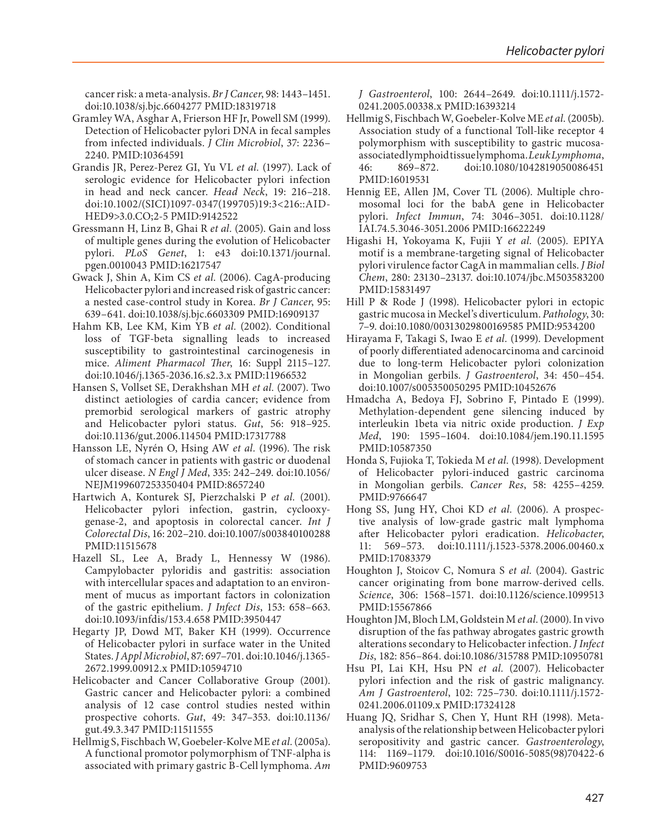cancer risk: a meta-analysis. *Br J Cancer*, 98: 1443–1451. doi:[10.1038/sj.bjc.6604277](http://dx.doi.org/10.1038/sj.bjc.6604277) PMID[:18319718](http://www.ncbi.nlm.nih.gov/pubmed/18319718)

- Gramley WA, Asghar A, Frierson HF Jr, Powell SM (1999). Detection of Helicobacter pylori DNA in fecal samples from infected individuals. *J Clin Microbiol*, 37: 2236– 2240. PMID[:10364591](http://www.ncbi.nlm.nih.gov/pubmed/10364591)
- Grandis JR, Perez-Perez GI, Yu VL *et al.* (1997). Lack of serologic evidence for Helicobacter pylori infection in head and neck cancer. *Head Neck*, 19: 216–218. doi:[10.1002/\(SICI\)1097-0347\(199705\)19:3<216::AID-](http://dx.doi.org/10.1002/(SICI)1097-0347(199705)19:3<216::AID-HED9>3.0.CO;2-5)[HED9>3.0.CO;2-5](http://dx.doi.org/10.1002/(SICI)1097-0347(199705)19:3<216::AID-HED9>3.0.CO;2-5) PMID:[9142522](http://www.ncbi.nlm.nih.gov/pubmed/9142522)
- Gressmann H, Linz B, Ghai R *et al.* (2005). Gain and loss of multiple genes during the evolution of Helicobacter pylori. *PLoS Genet*, 1: e43 doi[:10.1371/journal.](http://dx.doi.org/10.1371/journal.pgen.0010043) [pgen.0010043](http://dx.doi.org/10.1371/journal.pgen.0010043) PMID[:16217547](http://www.ncbi.nlm.nih.gov/pubmed/16217547)
- Gwack J, Shin A, Kim CS *et al.* (2006). CagA-producing Helicobacter pylori and increased risk of gastric cancer: a nested case-control study in Korea. *Br J Cancer*, 95: 639–641. doi:[10.1038/sj.bjc.6603309](http://dx.doi.org/10.1038/sj.bjc.6603309) PMID[:16909137](http://www.ncbi.nlm.nih.gov/pubmed/16909137)
- Hahm KB, Lee KM, Kim YB *et al.* (2002). Conditional loss of TGF-beta signalling leads to increased susceptibility to gastrointestinal carcinogenesis in mice. *Aliment Pharmacol Ther*, 16: Suppl 2115–127. doi:[10.1046/j.1365-2036.16.s2.3.x](http://dx.doi.org/10.1046/j.1365-2036.16.s2.3.x) PMID:[11966532](http://www.ncbi.nlm.nih.gov/pubmed/11966532)
- Hansen S, Vollset SE, Derakhshan MH *et al.* (2007). Two distinct aetiologies of cardia cancer; evidence from premorbid serological markers of gastric atrophy and Helicobacter pylori status. *Gut*, 56: 918–925. doi:[10.1136/gut.2006.114504](http://dx.doi.org/10.1136/gut.2006.114504) PMID:[17317788](http://www.ncbi.nlm.nih.gov/pubmed/17317788)
- Hansson LE, Nyrén O, Hsing AW *et al.* (1996). The risk of stomach cancer in patients with gastric or duodenal ulcer disease. *N Engl J Med*, 335: 242–249. doi[:10.1056/](http://dx.doi.org/10.1056/NEJM199607253350404) [NEJM199607253350404](http://dx.doi.org/10.1056/NEJM199607253350404) PMID:[8657240](http://www.ncbi.nlm.nih.gov/pubmed/8657240)
- Hartwich A, Konturek SJ, Pierzchalski P *et al.* (2001). Helicobacter pylori infection, gastrin, cyclooxygenase-2, and apoptosis in colorectal cancer. *Int J Colorectal Dis*, 16: 202–210. doi:[10.1007/s003840100288](http://dx.doi.org/10.1007/s003840100288)  PMID[:11515678](http://www.ncbi.nlm.nih.gov/pubmed/11515678)
- Hazell SL, Lee A, Brady L, Hennessy W (1986). Campylobacter pyloridis and gastritis: association with intercellular spaces and adaptation to an environment of mucus as important factors in colonization of the gastric epithelium. *J Infect Dis*, 153: 658–663. doi:[10.1093/infdis/153.4.658](http://dx.doi.org/10.1093/infdis/153.4.658) PMID:[3950447](http://www.ncbi.nlm.nih.gov/pubmed/3950447)
- Hegarty JP, Dowd MT, Baker KH (1999). Occurrence of Helicobacter pylori in surface water in the United States. *J Appl Microbiol*, 87: 697–701. doi:[10.1046/j.1365-](http://dx.doi.org/10.1046/j.1365-2672.1999.00912.x) [2672.1999.00912.x](http://dx.doi.org/10.1046/j.1365-2672.1999.00912.x) PMID:[10594710](http://www.ncbi.nlm.nih.gov/pubmed/10594710)
- Helicobacter and Cancer Collaborative Group (2001). Gastric cancer and Helicobacter pylori: a combined analysis of 12 case control studies nested within prospective cohorts. *Gut*, 49: 347–353. doi[:10.1136/](http://dx.doi.org/10.1136/gut.49.3.347) [gut.49.3.347](http://dx.doi.org/10.1136/gut.49.3.347) PMID:[11511555](http://www.ncbi.nlm.nih.gov/pubmed/11511555)
- Hellmig S, Fischbach W, Goebeler-Kolve ME *et al.* (2005a). A functional promotor polymorphism of TNF-alpha is associated with primary gastric B-Cell lymphoma. *Am*

*J Gastroenterol*, 100: 2644–2649. doi[:10.1111/j.1572-](http://dx.doi.org/10.1111/j.1572-0241.2005.00338.x) [0241.2005.00338.x](http://dx.doi.org/10.1111/j.1572-0241.2005.00338.x) PMID:[16393214](http://www.ncbi.nlm.nih.gov/pubmed/16393214)

- Hellmig S, Fischbach W, Goebeler-Kolve ME *et al.* (2005b). Association study of a functional Toll-like receptor 4 polymorphism with susceptibility to gastric mucosaassociatedlymphoid tissuelymphoma. *Leuk Lymphoma*,<br>46: 869-872. doi:10.1080/1042819050086451 46: 869–872. doi[:10.1080/1042819050086451](http://dx.doi.org/10.1080/1042819050086451) PMID:[16019531](http://www.ncbi.nlm.nih.gov/pubmed/16019531)
- Hennig EE, Allen JM, Cover TL (2006). Multiple chromosomal loci for the babA gene in Helicobacter pylori. *Infect Immun*, 74: 3046–3051. doi[:10.1128/](http://dx.doi.org/10.1128/IAI.74.5.3046-3051.2006) [IAI.74.5.3046-3051.2006](http://dx.doi.org/10.1128/IAI.74.5.3046-3051.2006) PMID[:16622249](http://www.ncbi.nlm.nih.gov/pubmed/16622249)
- Higashi H, Yokoyama K, Fujii Y *et al.* (2005). EPIYA motif is a membrane-targeting signal of Helicobacter pylori virulence factor CagA in mammalian cells. *J Biol Chem*, 280: 23130–23137. doi[:10.1074/jbc.M503583200](http://dx.doi.org/10.1074/jbc.M503583200) PMID:[15831497](http://www.ncbi.nlm.nih.gov/pubmed/15831497)
- Hill P & Rode J (1998). Helicobacter pylori in ectopic gastric mucosa in Meckel's diverticulum. *Pathology*, 30: 7–9. doi[:10.1080/00313029800169585](http://dx.doi.org/10.1080/00313029800169585) PMID:[9534200](http://www.ncbi.nlm.nih.gov/pubmed/9534200)
- Hirayama F, Takagi S, Iwao E *et al.* (1999). Development of poorly differentiated adenocarcinoma and carcinoid due to long-term Helicobacter pylori colonization in Mongolian gerbils. *J Gastroenterol*, 34: 450–454. doi[:10.1007/s005350050295](http://dx.doi.org/10.1007/s005350050295) PMID[:10452676](http://www.ncbi.nlm.nih.gov/pubmed/10452676)
- Hmadcha A, Bedoya FJ, Sobrino F, Pintado E (1999). Methylation-dependent gene silencing induced by interleukin 1beta via nitric oxide production. *J Exp Med*, 190: 1595–1604. doi[:10.1084/jem.190.11.1595](http://dx.doi.org/10.1084/jem.190.11.1595) PMID:[10587350](http://www.ncbi.nlm.nih.gov/pubmed/10587350)
- Honda S, Fujioka T, Tokieda M *et al.* (1998). Development of Helicobacter pylori-induced gastric carcinoma in Mongolian gerbils. *Cancer Res*, 58: 4255–4259. PMID:[9766647](http://www.ncbi.nlm.nih.gov/pubmed/9766647)
- Hong SS, Jung HY, Choi KD *et al.* (2006). A prospective analysis of low-grade gastric malt lymphoma after Helicobacter pylori eradication. *Helicobacter*, 11: 569–573. doi[:10.1111/j.1523-5378.2006.00460.x](http://dx.doi.org/10.1111/j.1523-5378.2006.00460.x) PMID:[17083379](http://www.ncbi.nlm.nih.gov/pubmed/17083379)
- Houghton J, Stoicov C, Nomura S *et al.* (2004). Gastric cancer originating from bone marrow-derived cells. *Science*, 306: 1568–1571. doi[:10.1126/science.1099513](http://dx.doi.org/10.1126/science.1099513) PMID:[15567866](http://www.ncbi.nlm.nih.gov/pubmed/15567866)
- Houghton JM, Bloch LM, Goldstein M *et al.* (2000). In vivo disruption of the fas pathway abrogates gastric growth alterations secondary to Helicobacter infection. *J Infect Dis*, 182: 856–864. doi[:10.1086/315788](http://dx.doi.org/10.1086/315788) PMID[:10950781](http://www.ncbi.nlm.nih.gov/pubmed/10950781)
- Hsu PI, Lai KH, Hsu PN *et al.* (2007). Helicobacter pylori infection and the risk of gastric malignancy. *Am J Gastroenterol*, 102: 725–730. doi[:10.1111/j.1572-](http://dx.doi.org/10.1111/j.1572-0241.2006.01109.x) [0241.2006.01109.x](http://dx.doi.org/10.1111/j.1572-0241.2006.01109.x) PMID:[17324128](http://www.ncbi.nlm.nih.gov/pubmed/17324128)
- Huang JQ, Sridhar S, Chen Y, Hunt RH (1998). Metaanalysis of the relationship between Helicobacter pylori seropositivity and gastric cancer. *Gastroenterology*, 114: 1169–1179. doi[:10.1016/S0016-5085\(98\)70422-6](http://dx.doi.org/10.1016/S0016-5085(98)70422-6) PMID:[9609753](http://www.ncbi.nlm.nih.gov/pubmed/9609753)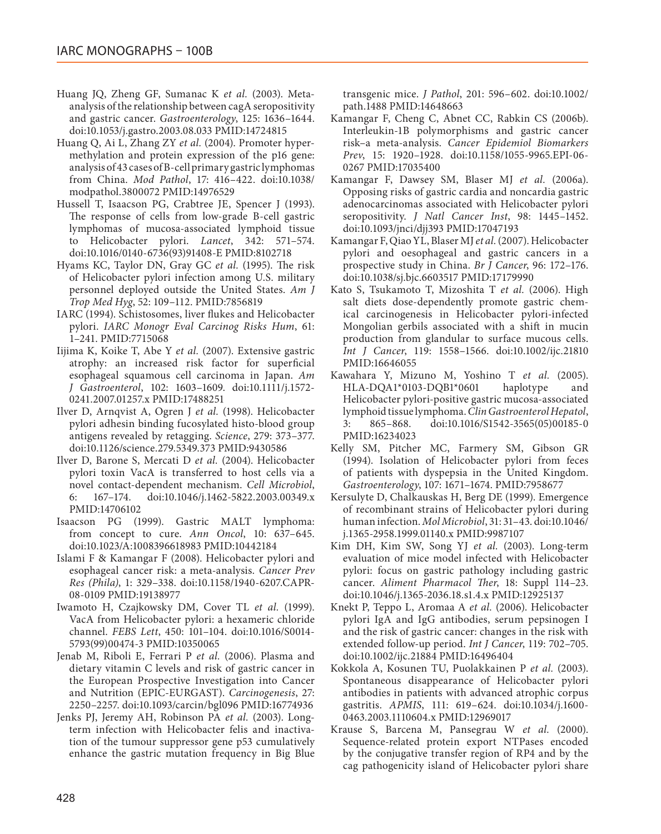- Huang JQ, Zheng GF, Sumanac K *et al.* (2003). Metaanalysis of the relationship between cagA seropositivity and gastric cancer. *Gastroenterology*, 125: 1636–1644. doi[:10.1053/j.gastro.2003.08.033](http://dx.doi.org/10.1053/j.gastro.2003.08.033) PMID[:14724815](http://www.ncbi.nlm.nih.gov/pubmed/14724815)
- Huang Q, Ai L, Zhang ZY *et al.* (2004). Promoter hypermethylation and protein expression of the p16 gene: analysis of 43 cases of B-cell primary gastric lymphomas from China. *Mod Pathol*, 17: 416–422. doi[:10.1038/](http://dx.doi.org/10.1038/modpathol.3800072) [modpathol.3800072](http://dx.doi.org/10.1038/modpathol.3800072) PMID[:14976529](http://www.ncbi.nlm.nih.gov/pubmed/14976529)
- Hussell T, Isaacson PG, Crabtree JE, Spencer J (1993). The response of cells from low-grade B-cell gastric lymphomas of mucosa-associated lymphoid tissue to Helicobacter pylori. *Lancet*, 342: 571–574. doi[:10.1016/0140-6736\(93\)91408-E](http://dx.doi.org/10.1016/0140-6736(93)91408-E) PMID:[8102718](http://www.ncbi.nlm.nih.gov/pubmed/8102718)
- Hyams KC, Taylor DN, Gray GC *et al.* (1995). The risk of Helicobacter pylori infection among U.S. military personnel deployed outside the United States. *Am J Trop Med Hyg*, 52: 109–112. PMID:[7856819](http://www.ncbi.nlm.nih.gov/pubmed/7856819)
- IARC (1994). Schistosomes, liver flukes and Helicobacter pylori. *IARC Monogr Eval Carcinog Risks Hum*, 61: 1–241. PMID[:7715068](http://www.ncbi.nlm.nih.gov/pubmed/7715068)
- Iijima K, Koike T, Abe Y *et al.* (2007). Extensive gastric atrophy: an increased risk factor for superficial esophageal squamous cell carcinoma in Japan. *Am J Gastroenterol*, 102: 1603–1609. doi[:10.1111/j.1572-](http://dx.doi.org/10.1111/j.1572-0241.2007.01257.x) [0241.2007.01257.x](http://dx.doi.org/10.1111/j.1572-0241.2007.01257.x) PMID[:17488251](http://www.ncbi.nlm.nih.gov/pubmed/17488251)
- Ilver D, Arnqvist A, Ogren J *et al.* (1998). Helicobacter pylori adhesin binding fucosylated histo-blood group antigens revealed by retagging. *Science*, 279: 373–377. doi[:10.1126/science.279.5349.373](http://dx.doi.org/10.1126/science.279.5349.373) PMID[:9430586](http://www.ncbi.nlm.nih.gov/pubmed/9430586)
- Ilver D, Barone S, Mercati D *et al.* (2004). Helicobacter pylori toxin VacA is transferred to host cells via a novel contact-dependent mechanism. *Cell Microbiol*, 6: 167–174. doi[:10.1046/j.1462-5822.2003.00349.x](http://dx.doi.org/10.1046/j.1462-5822.2003.00349.x) PMID[:14706102](http://www.ncbi.nlm.nih.gov/pubmed/14706102)
- Isaacson PG (1999). Gastric MALT lymphoma: from concept to cure. *Ann Oncol*, 10: 637–645. doi[:10.1023/A:1008396618983](http://dx.doi.org/10.1023/A:1008396618983) PMID[:10442184](http://www.ncbi.nlm.nih.gov/pubmed/10442184)
- Islami F & Kamangar F (2008). Helicobacter pylori and esophageal cancer risk: a meta-analysis. *Cancer Prev Res (Phila)*, 1: 329–338. doi:[10.1158/1940-6207.CAPR-](http://dx.doi.org/10.1158/1940-6207.CAPR-08-0109)[08-0109](http://dx.doi.org/10.1158/1940-6207.CAPR-08-0109) PMID:[19138977](http://www.ncbi.nlm.nih.gov/pubmed/19138977)
- Iwamoto H, Czajkowsky DM, Cover TL *et al.* (1999). VacA from Helicobacter pylori: a hexameric chloride channel. *FEBS Lett*, 450: 101–104. doi:[10.1016/S0014-](http://dx.doi.org/10.1016/S0014-5793(99)00474-3) [5793\(99\)00474-3](http://dx.doi.org/10.1016/S0014-5793(99)00474-3) PMID[:10350065](http://www.ncbi.nlm.nih.gov/pubmed/10350065)
- Jenab M, Riboli E, Ferrari P *et al.* (2006). Plasma and dietary vitamin C levels and risk of gastric cancer in the European Prospective Investigation into Cancer and Nutrition (EPIC-EURGAST). *Carcinogenesis*, 27: 2250–2257. doi[:10.1093/carcin/bgl096](http://dx.doi.org/10.1093/carcin/bgl096) PMID:[16774936](http://www.ncbi.nlm.nih.gov/pubmed/16774936)
- Jenks PJ, Jeremy AH, Robinson PA *et al.* (2003). Longterm infection with Helicobacter felis and inactivation of the tumour suppressor gene p53 cumulatively enhance the gastric mutation frequency in Big Blue

transgenic mice. *J Pathol*, 201: 596–602. doi[:10.1002/](http://dx.doi.org/10.1002/path.1488) [path.1488](http://dx.doi.org/10.1002/path.1488) PMID[:14648663](http://www.ncbi.nlm.nih.gov/pubmed/14648663)

- Kamangar F, Cheng C, Abnet CC, Rabkin CS (2006b). Interleukin-1B polymorphisms and gastric cancer risk–a meta-analysis. *Cancer Epidemiol Biomarkers Prev*, 15: 1920–1928. doi[:10.1158/1055-9965.EPI-06-](http://dx.doi.org/10.1158/1055-9965.EPI-06-0267) [0267](http://dx.doi.org/10.1158/1055-9965.EPI-06-0267) PMID[:17035400](http://www.ncbi.nlm.nih.gov/pubmed/17035400)
- Kamangar F, Dawsey SM, Blaser MJ *et al.* (2006a). Opposing risks of gastric cardia and noncardia gastric adenocarcinomas associated with Helicobacter pylori seropositivity. *J Natl Cancer Inst*, 98: 1445–1452. doi[:10.1093/jnci/djj393](http://dx.doi.org/10.1093/jnci/djj393) PMID:[17047193](http://www.ncbi.nlm.nih.gov/pubmed/17047193)
- Kamangar F, Qiao YL, Blaser MJ *et al.* (2007). Helicobacter pylori and oesophageal and gastric cancers in a prospective study in China. *Br J Cancer*, 96: 172–176. doi[:10.1038/sj.bjc.6603517](http://dx.doi.org/10.1038/sj.bjc.6603517) PMID[:17179990](http://www.ncbi.nlm.nih.gov/pubmed/17179990)
- Kato S, Tsukamoto T, Mizoshita T *et al.* (2006). High salt diets dose-dependently promote gastric chemical carcinogenesis in Helicobacter pylori-infected Mongolian gerbils associated with a shift in mucin production from glandular to surface mucous cells. *Int J Cancer*, 119: 1558–1566. doi[:10.1002/ijc.21810](http://dx.doi.org/10.1002/ijc.21810) PMID[:16646055](http://www.ncbi.nlm.nih.gov/pubmed/16646055)
- Kawahara Y, Mizuno M, Yoshino T *et al.* (2005). HLA-DQA1\*0103-DQB1\*0601 haplotype and Helicobacter pylori-positive gastric mucosa-associated lymphoid tissue lymphoma. *Clin Gastroenterol Hepatol*, 3: 865–868. doi[:10.1016/S1542-3565\(05\)00185-0](http://dx.doi.org/10.1016/S1542-3565(05)00185-0) PMID[:16234023](http://www.ncbi.nlm.nih.gov/pubmed/16234023)
- Kelly SM, Pitcher MC, Farmery SM, Gibson GR (1994). Isolation of Helicobacter pylori from feces of patients with dyspepsia in the United Kingdom. *Gastroenterology*, 107: 1671–1674. PMID:[7958677](http://www.ncbi.nlm.nih.gov/pubmed/7958677)
- Kersulyte D, Chalkauskas H, Berg DE (1999). Emergence of recombinant strains of Helicobacter pylori during human infection. *Mol Microbiol*, 31: 31–43. doi[:10.1046/](http://dx.doi.org/10.1046/j.1365-2958.1999.01140.x) [j.1365-2958.1999.01140.x](http://dx.doi.org/10.1046/j.1365-2958.1999.01140.x) PMID:[9987107](http://www.ncbi.nlm.nih.gov/pubmed/9987107)
- Kim DH, Kim SW, Song YJ *et al.* (2003). Long-term evaluation of mice model infected with Helicobacter pylori: focus on gastric pathology including gastric cancer. *Aliment Pharmacol Ther*, 18: Suppl 114–23. doi[:10.1046/j.1365-2036.18.s1.4.x](http://dx.doi.org/10.1046/j.1365-2036.18.s1.4.x) PMID[:12925137](http://www.ncbi.nlm.nih.gov/pubmed/12925137)
- Knekt P, Teppo L, Aromaa A *et al.* (2006). Helicobacter pylori IgA and IgG antibodies, serum pepsinogen I and the risk of gastric cancer: changes in the risk with extended follow-up period. *Int J Cancer*, 119: 702–705. doi[:10.1002/ijc.21884](http://dx.doi.org/10.1002/ijc.21884) PMID[:16496404](http://www.ncbi.nlm.nih.gov/pubmed/16496404)
- Kokkola A, Kosunen TU, Puolakkainen P *et al.* (2003). Spontaneous disappearance of Helicobacter pylori antibodies in patients with advanced atrophic corpus gastritis. *APMIS*, 111: 619–624. doi[:10.1034/j.1600-](http://dx.doi.org/10.1034/j.1600-0463.2003.1110604.x) [0463.2003.1110604.x](http://dx.doi.org/10.1034/j.1600-0463.2003.1110604.x) PMID:[12969017](http://www.ncbi.nlm.nih.gov/pubmed/12969017)
- Krause S, Barcena M, Pansegrau W *et al.* (2000). Sequence-related protein export NTPases encoded by the conjugative transfer region of RP4 and by the cag pathogenicity island of Helicobacter pylori share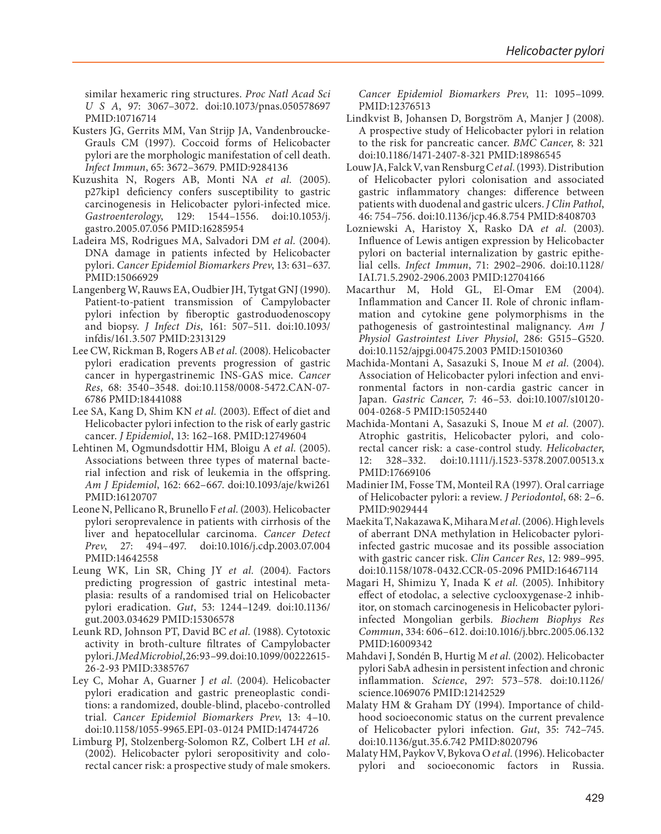similar hexameric ring structures. *Proc Natl Acad Sci U S A*, 97: 3067–3072. doi[:10.1073/pnas.050578697](http://dx.doi.org/10.1073/pnas.050578697)  PMID[:10716714](http://www.ncbi.nlm.nih.gov/pubmed/10716714)

- Kusters JG, Gerrits MM, Van Strijp JA, Vandenbroucke-Grauls CM (1997). Coccoid forms of Helicobacter pylori are the morphologic manifestation of cell death. *Infect Immun*, 65: 3672–3679. PMID:[9284136](http://www.ncbi.nlm.nih.gov/pubmed/9284136)
- Kuzushita N, Rogers AB, Monti NA *et al.* (2005). p27kip1 deficiency confers susceptibility to gastric carcinogenesis in Helicobacter pylori-infected mice. *Gastroenterology*, 129: 1544–1556. doi[:10.1053/j.](http://dx.doi.org/10.1053/j.gastro.2005.07.056) [gastro.2005.07.056](http://dx.doi.org/10.1053/j.gastro.2005.07.056) PMID:[16285954](http://www.ncbi.nlm.nih.gov/pubmed/16285954)
- Ladeira MS, Rodrigues MA, Salvadori DM *et al.* (2004). DNA damage in patients infected by Helicobacter pylori. *Cancer Epidemiol Biomarkers Prev*, 13: 631–637. PMID[:15066929](http://www.ncbi.nlm.nih.gov/pubmed/15066929)
- Langenberg W, Rauws EA, Oudbier JH, Tytgat GNJ (1990). Patient-to-patient transmission of Campylobacter pylori infection by fiberoptic gastroduodenoscopy and biopsy. *J Infect Dis*, 161: 507–511. doi[:10.1093/](http://dx.doi.org/10.1093/infdis/161.3.507) [infdis/161.3.507](http://dx.doi.org/10.1093/infdis/161.3.507) PMID:[2313129](http://www.ncbi.nlm.nih.gov/pubmed/2313129)
- Lee CW, Rickman B, Rogers AB *et al.* (2008). Helicobacter pylori eradication prevents progression of gastric cancer in hypergastrinemic INS-GAS mice. *Cancer Res*, 68: 3540–3548. doi[:10.1158/0008-5472.CAN-07-](http://dx.doi.org/10.1158/0008-5472.CAN-07-6786) [6786](http://dx.doi.org/10.1158/0008-5472.CAN-07-6786) PMID:[18441088](http://www.ncbi.nlm.nih.gov/pubmed/18441088)
- Lee SA, Kang D, Shim KN *et al.* (2003). Effect of diet and Helicobacter pylori infection to the risk of early gastric cancer. *J Epidemiol*, 13: 162–168. PMID[:12749604](http://www.ncbi.nlm.nih.gov/pubmed/12749604)
- Lehtinen M, Ogmundsdottir HM, Bloigu A *et al.* (2005). Associations between three types of maternal bacterial infection and risk of leukemia in the offspring. *Am J Epidemiol*, 162: 662–667. doi[:10.1093/aje/kwi261](http://dx.doi.org/10.1093/aje/kwi261)  PMID[:16120707](http://www.ncbi.nlm.nih.gov/pubmed/16120707)
- Leone N, Pellicano R, Brunello F *et al.* (2003). Helicobacter pylori seroprevalence in patients with cirrhosis of the liver and hepatocellular carcinoma. *Cancer Detect Prev*, 27: 494–497. doi[:10.1016/j.cdp.2003.07.004](http://dx.doi.org/10.1016/j.cdp.2003.07.004)  PMID[:14642558](http://www.ncbi.nlm.nih.gov/pubmed/14642558)
- Leung WK, Lin SR, Ching JY *et al.* (2004). Factors predicting progression of gastric intestinal metaplasia: results of a randomised trial on Helicobacter pylori eradication. *Gut*, 53: 1244–1249. doi[:10.1136/](http://dx.doi.org/10.1136/gut.2003.034629) [gut.2003.034629](http://dx.doi.org/10.1136/gut.2003.034629) PMID[:15306578](http://www.ncbi.nlm.nih.gov/pubmed/15306578)
- Leunk RD, Johnson PT, David BC *et al.* (1988). Cytotoxic activity in broth-culture filtrates of Campylobacter pylori. *J Med Microbiol*, 26: 93–99. doi[:10.1099/00222615-](http://dx.doi.org/10.1099/00222615-26-2-93) [26-2-93](http://dx.doi.org/10.1099/00222615-26-2-93) PMID:[3385767](http://www.ncbi.nlm.nih.gov/pubmed/3385767)
- Ley C, Mohar A, Guarner J *et al.* (2004). Helicobacter pylori eradication and gastric preneoplastic conditions: a randomized, double-blind, placebo-controlled trial. *Cancer Epidemiol Biomarkers Prev*, 13: 4–10. doi:[10.1158/1055-9965.EPI-03-0124](http://dx.doi.org/10.1158/1055-9965.EPI-03-0124) PMID[:14744726](http://www.ncbi.nlm.nih.gov/pubmed/14744726)
- Limburg PJ, Stolzenberg-Solomon RZ, Colbert LH *et al.* (2002). Helicobacter pylori seropositivity and colorectal cancer risk: a prospective study of male smokers.

*Cancer Epidemiol Biomarkers Prev*, 11: 1095–1099. PMID:[12376513](http://www.ncbi.nlm.nih.gov/pubmed/12376513)

- Lindkvist B, Johansen D, Borgström A, Manjer J (2008). A prospective study of Helicobacter pylori in relation to the risk for pancreatic cancer. *BMC Cancer*, 8: 321 doi[:10.1186/1471-2407-8-321](http://dx.doi.org/10.1186/1471-2407-8-321) PMID[:18986545](http://www.ncbi.nlm.nih.gov/pubmed/18986545)
- Louw JA, Falck V, van Rensburg C *et al.* (1993). Distribution of Helicobacter pylori colonisation and associated gastric inflammatory changes: difference between patients with duodenal and gastric ulcers. *J Clin Pathol*, 46: 754–756. doi[:10.1136/jcp.46.8.754](http://dx.doi.org/10.1136/jcp.46.8.754) PMID:[8408703](http://www.ncbi.nlm.nih.gov/pubmed/8408703)
- Lozniewski A, Haristoy X, Rasko DA *et al.* (2003). Influence of Lewis antigen expression by Helicobacter pylori on bacterial internalization by gastric epithelial cells. *Infect Immun*, 71: 2902–2906. doi[:10.1128/](http://dx.doi.org/10.1128/IAI.71.5.2902-2906.2003) [IAI.71.5.2902-2906.2003](http://dx.doi.org/10.1128/IAI.71.5.2902-2906.2003) PMID[:12704166](http://www.ncbi.nlm.nih.gov/pubmed/12704166)
- Macarthur M, Hold GL, El-Omar EM (2004). Inflammation and Cancer II. Role of chronic inflammation and cytokine gene polymorphisms in the pathogenesis of gastrointestinal malignancy. *Am J Physiol Gastrointest Liver Physiol*, 286: G515–G520. doi[:10.1152/ajpgi.00475.2003](http://dx.doi.org/10.1152/ajpgi.00475.2003) PMID[:15010360](http://www.ncbi.nlm.nih.gov/pubmed/15010360)
- Machida-Montani A, Sasazuki S, Inoue M *et al.* (2004). Association of Helicobacter pylori infection and environmental factors in non-cardia gastric cancer in Japan. *Gastric Cancer*, 7: 46–53. doi[:10.1007/s10120-](http://dx.doi.org/10.1007/s10120-004-0268-5) [004-0268-5](http://dx.doi.org/10.1007/s10120-004-0268-5) PMID[:15052440](http://www.ncbi.nlm.nih.gov/pubmed/15052440)
- Machida-Montani A, Sasazuki S, Inoue M *et al.* (2007). Atrophic gastritis, Helicobacter pylori, and colorectal cancer risk: a case-control study. *Helicobacter*, 12: 328–332. doi:[10.1111/j.1523-5378.2007.00513.x](http://dx.doi.org/10.1111/j.1523-5378.2007.00513.x) PMID:[17669106](http://www.ncbi.nlm.nih.gov/pubmed/17669106)
- Madinier IM, Fosse TM, Monteil RA (1997). Oral carriage of Helicobacter pylori: a review. *J Periodontol*, 68: 2–6. PMID:[9029444](http://www.ncbi.nlm.nih.gov/pubmed/9029444)
- Maekita T, Nakazawa K, Mihara M *et al.* (2006). High levels of aberrant DNA methylation in Helicobacter pyloriinfected gastric mucosae and its possible association with gastric cancer risk. *Clin Cancer Res*, 12: 989–995. doi[:10.1158/1078-0432.CCR-05-2096](http://dx.doi.org/10.1158/1078-0432.CCR-05-2096) PMID:[16467114](http://www.ncbi.nlm.nih.gov/pubmed/16467114)
- Magari H, Shimizu Y, Inada K *et al.* (2005). Inhibitory effect of etodolac, a selective cyclooxygenase-2 inhibitor, on stomach carcinogenesis in Helicobacter pyloriinfected Mongolian gerbils. *Biochem Biophys Res Commun*, 334: 606–612. doi[:10.1016/j.bbrc.2005.06.132](http://dx.doi.org/10.1016/j.bbrc.2005.06.132) PMID:[16009342](http://www.ncbi.nlm.nih.gov/pubmed/16009342)
- Mahdavi J, Sondén B, Hurtig M *et al.* (2002). Helicobacter pylori SabA adhesin in persistent infection and chronic inflammation. *Science*, 297: 573–578. doi[:10.1126/](http://dx.doi.org/10.1126/science.1069076) [science.1069076](http://dx.doi.org/10.1126/science.1069076) PMID:[12142529](http://www.ncbi.nlm.nih.gov/pubmed/12142529)
- Malaty HM & Graham DY (1994). Importance of childhood socioeconomic status on the current prevalence of Helicobacter pylori infection. *Gut*, 35: 742–745. doi[:10.1136/gut.35.6.742](http://dx.doi.org/10.1136/gut.35.6.742) PMID[:8020796](http://www.ncbi.nlm.nih.gov/pubmed/8020796)
- Malaty HM, Paykov V, Bykova O *et al.* (1996). Helicobacter pylori and socioeconomic factors in Russia.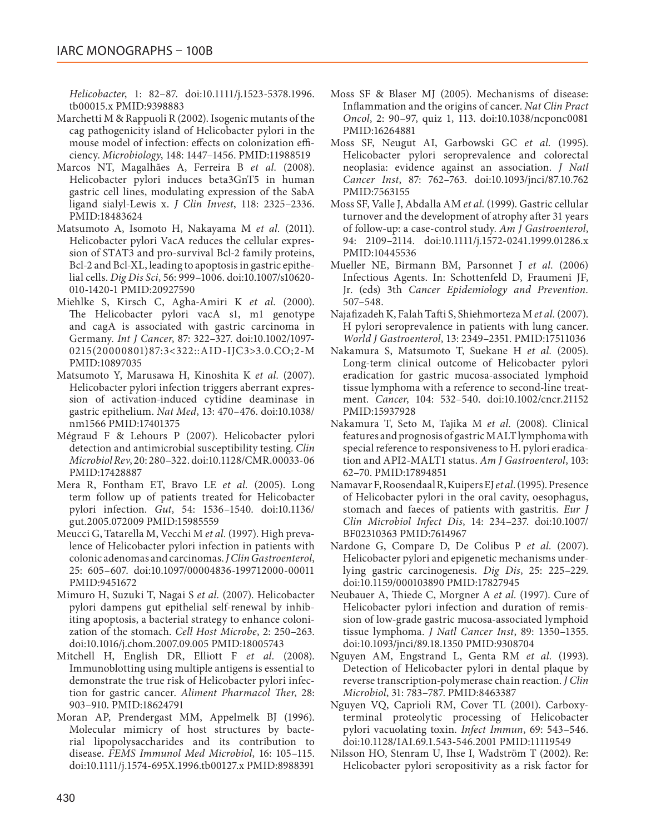*Helicobacter*, 1: 82–87. doi[:10.1111/j.1523-5378.1996.](http://dx.doi.org/10.1111/j.1523-5378.1996.tb00015.x) [tb00015.x](http://dx.doi.org/10.1111/j.1523-5378.1996.tb00015.x) PMID[:9398883](http://www.ncbi.nlm.nih.gov/pubmed/9398883)

- Marchetti M & Rappuoli R (2002). Isogenic mutants of the cag pathogenicity island of Helicobacter pylori in the mouse model of infection: effects on colonization efficiency. *Microbiology*, 148: 1447–1456. PMID[:11988519](http://www.ncbi.nlm.nih.gov/pubmed/11988519)
- Marcos NT, Magalhães A, Ferreira B *et al.* (2008). Helicobacter pylori induces beta3GnT5 in human gastric cell lines, modulating expression of the SabA ligand sialyl-Lewis x. *J Clin Invest*, 118: 2325–2336. PMID[:18483624](http://www.ncbi.nlm.nih.gov/pubmed/18483624)
- Matsumoto A, Isomoto H, Nakayama M *et al.* (2011). Helicobacter pylori VacA reduces the cellular expression of STAT3 and pro-survival Bcl-2 family proteins, Bcl-2 and Bcl-XL, leading to apoptosis in gastric epithelial cells. *Dig Dis Sci*, 56: 999–1006. doi:[10.1007/s10620-](http://dx.doi.org/10.1007/s10620-010-1420-1) [010-1420-1](http://dx.doi.org/10.1007/s10620-010-1420-1) PMID:[20927590](http://www.ncbi.nlm.nih.gov/pubmed/20927590)
- Miehlke S, Kirsch C, Agha-Amiri K *et al.* (2000). The Helicobacter pylori vacA s1, m1 genotype and cagA is associated with gastric carcinoma in Germany. *Int J Cancer*, 87: 322–327. doi[:10.1002/1097-](http://dx.doi.org/10.1002/1097-0215(20000801)87:3<322::AID-IJC3>3.0.CO;2-M) [0215\(20000801\)87:3<322::AID-IJC3>3.0.CO;2-M](http://dx.doi.org/10.1002/1097-0215(20000801)87:3<322::AID-IJC3>3.0.CO;2-M) PMID[:10897035](http://www.ncbi.nlm.nih.gov/pubmed/10897035)
- Matsumoto Y, Marusawa H, Kinoshita K *et al.* (2007). Helicobacter pylori infection triggers aberrant expression of activation-induced cytidine deaminase in gastric epithelium. *Nat Med*, 13: 470–476. doi[:10.1038/](http://dx.doi.org/10.1038/nm1566) [nm1566](http://dx.doi.org/10.1038/nm1566) PMID[:17401375](http://www.ncbi.nlm.nih.gov/pubmed/17401375)
- Mégraud F & Lehours P (2007). Helicobacter pylori detection and antimicrobial susceptibility testing. *Clin Microbiol Rev*, 20: 280–322. doi[:10.1128/CMR.00033-06](http://dx.doi.org/10.1128/CMR.00033-06) PMID[:17428887](http://www.ncbi.nlm.nih.gov/pubmed/17428887)
- Mera R, Fontham ET, Bravo LE *et al.* (2005). Long term follow up of patients treated for Helicobacter pylori infection. *Gut*, 54: 1536–1540. doi[:10.1136/](http://dx.doi.org/10.1136/gut.2005.072009) [gut.2005.072009](http://dx.doi.org/10.1136/gut.2005.072009) PMID:[15985559](http://www.ncbi.nlm.nih.gov/pubmed/15985559)
- Meucci G, Tatarella M, Vecchi M *et al.* (1997). High prevalence of Helicobacter pylori infection in patients with colonic adenomas and carcinomas. *J Clin Gastroenterol*, 25: 605–607. doi:[10.1097/00004836-199712000-00011](http://dx.doi.org/10.1097/00004836-199712000-00011) PMID[:9451672](http://www.ncbi.nlm.nih.gov/pubmed/9451672)
- Mimuro H, Suzuki T, Nagai S *et al.* (2007). Helicobacter pylori dampens gut epithelial self-renewal by inhibiting apoptosis, a bacterial strategy to enhance colonization of the stomach. *Cell Host Microbe*, 2: 250–263. doi[:10.1016/j.chom.2007.09.005](http://dx.doi.org/10.1016/j.chom.2007.09.005) PMID[:18005743](http://www.ncbi.nlm.nih.gov/pubmed/18005743)
- Mitchell H, English DR, Elliott F *et al.* (2008). Immunoblotting using multiple antigens is essential to demonstrate the true risk of Helicobacter pylori infection for gastric cancer. *Aliment Pharmacol Ther*, 28: 903–910. PMID[:18624791](http://www.ncbi.nlm.nih.gov/pubmed/18624791)
- Moran AP, Prendergast MM, Appelmelk BJ (1996). Molecular mimicry of host structures by bacterial lipopolysaccharides and its contribution to disease. *FEMS Immunol Med Microbiol*, 16: 105–115. doi[:10.1111/j.1574-695X.1996.tb00127.x](http://dx.doi.org/10.1111/j.1574-695X.1996.tb00127.x) PMID[:8988391](http://www.ncbi.nlm.nih.gov/pubmed/8988391)
- Moss SF & Blaser MJ (2005). Mechanisms of disease: Inflammation and the origins of cancer. *Nat Clin Pract Oncol*, 2: 90–97, quiz 1, 113. doi:[10.1038/ncponc0081](http://dx.doi.org/10.1038/ncponc0081) PMID[:16264881](http://www.ncbi.nlm.nih.gov/pubmed/16264881)
- Moss SF, Neugut AI, Garbowski GC *et al.* (1995). Helicobacter pylori seroprevalence and colorectal neoplasia: evidence against an association. *J Natl Cancer Inst*, 87: 762–763. doi[:10.1093/jnci/87.10.762](http://dx.doi.org/10.1093/jnci/87.10.762) PMID:[7563155](http://www.ncbi.nlm.nih.gov/pubmed/7563155)
- Moss SF, Valle J, Abdalla AM *et al.* (1999). Gastric cellular turnover and the development of atrophy after 31 years of follow-up: a case-control study. *Am J Gastroenterol*, 94: 2109–2114. doi[:10.1111/j.1572-0241.1999.01286.x](http://dx.doi.org/10.1111/j.1572-0241.1999.01286.x) PMID[:10445536](http://www.ncbi.nlm.nih.gov/pubmed/10445536)
- Mueller NE, Birmann BM, Parsonnet J *et al.* (2006) Infectious Agents. In: Schottenfeld D, Fraumeni JF, Jr. (eds) 3th *Cancer Epidemiology and Prevention.* 507–548.
- Najafizadeh K, Falah Tafti S, Shiehmorteza M *et al.* (2007). H pylori seroprevalence in patients with lung cancer. *World J Gastroenterol*, 13: 2349–2351. PMID[:17511036](http://www.ncbi.nlm.nih.gov/pubmed/17511036)
- Nakamura S, Matsumoto T, Suekane H *et al.* (2005). Long-term clinical outcome of Helicobacter pylori eradication for gastric mucosa-associated lymphoid tissue lymphoma with a reference to second-line treatment. *Cancer*, 104: 532–540. doi[:10.1002/cncr.21152](http://dx.doi.org/10.1002/cncr.21152) PMID[:15937928](http://www.ncbi.nlm.nih.gov/pubmed/15937928)
- Nakamura T, Seto M, Tajika M *et al.* (2008). Clinical features and prognosis of gastric MALT lymphoma with special reference to responsiveness to H. pylori eradication and API2-MALT1 status. *Am J Gastroenterol*, 103: 62–70. PMID[:17894851](http://www.ncbi.nlm.nih.gov/pubmed/17894851)
- Namavar F, Roosendaal R, Kuipers EJ *et al.* (1995). Presence of Helicobacter pylori in the oral cavity, oesophagus, stomach and faeces of patients with gastritis. *Eur J Clin Microbiol Infect Dis*, 14: 234–237. doi[:10.1007/](http://dx.doi.org/10.1007/BF02310363) [BF02310363](http://dx.doi.org/10.1007/BF02310363) PMID:[7614967](http://www.ncbi.nlm.nih.gov/pubmed/7614967)
- Nardone G, Compare D, De Colibus P *et al.* (2007). Helicobacter pylori and epigenetic mechanisms underlying gastric carcinogenesis. *Dig Dis*, 25: 225–229. doi[:10.1159/000103890](http://dx.doi.org/10.1159/000103890) PMID[:17827945](http://www.ncbi.nlm.nih.gov/pubmed/17827945)
- Neubauer A, Thiede C, Morgner A *et al.* (1997). Cure of Helicobacter pylori infection and duration of remission of low-grade gastric mucosa-associated lymphoid tissue lymphoma. *J Natl Cancer Inst*, 89: 1350–1355. doi[:10.1093/jnci/89.18.1350](http://dx.doi.org/10.1093/jnci/89.18.1350) PMID[:9308704](http://www.ncbi.nlm.nih.gov/pubmed/9308704)
- Nguyen AM, Engstrand L, Genta RM *et al.* (1993). Detection of Helicobacter pylori in dental plaque by reverse transcription-polymerase chain reaction. *J Clin Microbiol*, 31: 783–787. PMID[:8463387](http://www.ncbi.nlm.nih.gov/pubmed/8463387)
- Nguyen VQ, Caprioli RM, Cover TL (2001). Carboxyterminal proteolytic processing of Helicobacter pylori vacuolating toxin. *Infect Immun*, 69: 543–546. doi[:10.1128/IAI.69.1.543-546.2001](http://dx.doi.org/10.1128/IAI.69.1.543-546.2001) PMID[:11119549](http://www.ncbi.nlm.nih.gov/pubmed/11119549)
- Nilsson HO, Stenram U, Ihse I, Wadström T (2002). Re: Helicobacter pylori seropositivity as a risk factor for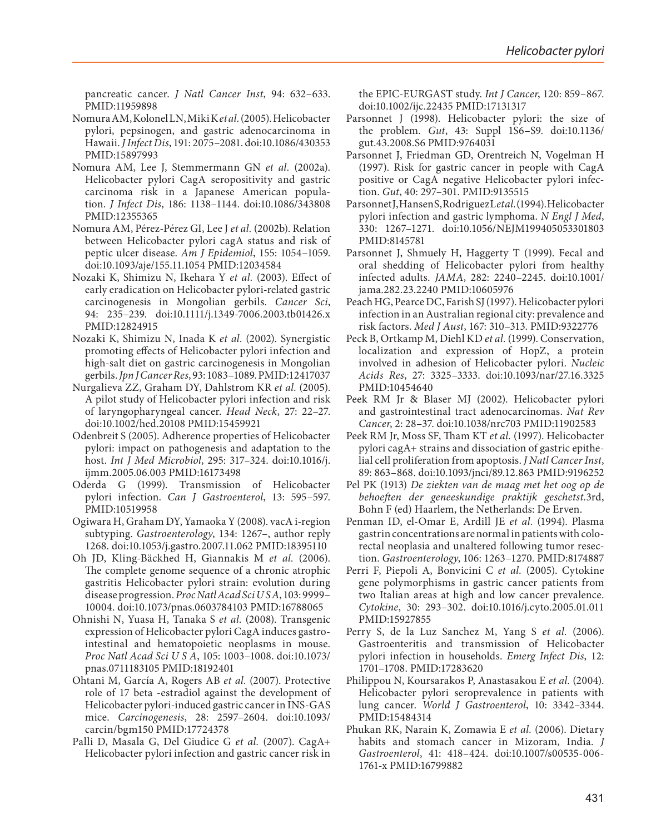pancreatic cancer. *J Natl Cancer Inst*, 94: 632–633. PMID[:11959898](http://www.ncbi.nlm.nih.gov/pubmed/11959898)

- Nomura AM, Kolonel LN, Miki K *et al.* (2005). Helicobacter pylori, pepsinogen, and gastric adenocarcinoma in Hawaii. *J Infect Dis*, 191: 2075–2081. doi[:10.1086/430353](http://dx.doi.org/10.1086/430353)  PMID[:15897993](http://www.ncbi.nlm.nih.gov/pubmed/15897993)
- Nomura AM, Lee J, Stemmermann GN *et al.* (2002a). Helicobacter pylori CagA seropositivity and gastric carcinoma risk in a Japanese American population. *J Infect Dis*, 186: 1138–1144. doi:[10.1086/343808](http://dx.doi.org/10.1086/343808)  PMID[:12355365](http://www.ncbi.nlm.nih.gov/pubmed/12355365)
- Nomura AM, Pérez-Pérez GI, Lee J *et al.* (2002b). Relation between Helicobacter pylori cagA status and risk of peptic ulcer disease. *Am J Epidemiol*, 155: 1054–1059. doi:[10.1093/aje/155.11.1054](http://dx.doi.org/10.1093/aje/155.11.1054) PMID[:12034584](http://www.ncbi.nlm.nih.gov/pubmed/12034584)
- Nozaki K, Shimizu N, Ikehara Y *et al.* (2003). Effect of early eradication on Helicobacter pylori-related gastric carcinogenesis in Mongolian gerbils. *Cancer Sci*, 94: 235–239. doi[:10.1111/j.1349-7006.2003.tb01426.x](http://dx.doi.org/10.1111/j.1349-7006.2003.tb01426.x)  PMID[:12824915](http://www.ncbi.nlm.nih.gov/pubmed/12824915)
- Nozaki K, Shimizu N, Inada K *et al.* (2002). Synergistic promoting effects of Helicobacter pylori infection and high-salt diet on gastric carcinogenesis in Mongolian gerbils. *Jpn J Cancer Res*, 93: 1083–1089. PMID[:12417037](http://www.ncbi.nlm.nih.gov/pubmed/12417037)
- Nurgalieva ZZ, Graham DY, Dahlstrom KR *et al.* (2005). A pilot study of Helicobacter pylori infection and risk of laryngopharyngeal cancer. *Head Neck*, 27: 22–27. doi:[10.1002/hed.20108](http://dx.doi.org/10.1002/hed.20108) PMID[:15459921](http://www.ncbi.nlm.nih.gov/pubmed/15459921)
- Odenbreit S (2005). Adherence properties of Helicobacter pylori: impact on pathogenesis and adaptation to the host. *Int J Med Microbiol*, 295: 317–324. doi[:10.1016/j.](http://dx.doi.org/10.1016/j.ijmm.2005.06.003) [ijmm.2005.06.003](http://dx.doi.org/10.1016/j.ijmm.2005.06.003) PMID:[16173498](http://www.ncbi.nlm.nih.gov/pubmed/16173498)
- Oderda G (1999). Transmission of Helicobacter pylori infection. *Can J Gastroenterol*, 13: 595–597. PMID[:10519958](http://www.ncbi.nlm.nih.gov/pubmed/10519958)
- Ogiwara H, Graham DY, Yamaoka Y (2008). vacA i-region subtyping. *Gastroenterology*, 134: 1267–, author reply 1268. doi[:10.1053/j.gastro.2007.11.062](http://dx.doi.org/10.1053/j.gastro.2007.11.062) PMID:[18395110](http://www.ncbi.nlm.nih.gov/pubmed/18395110)
- Oh JD, Kling-Bäckhed H, Giannakis M *et al.* (2006). The complete genome sequence of a chronic atrophic gastritis Helicobacter pylori strain: evolution during disease progression. *Proc Natl Acad Sci U S A*, 103: 9999– 10004. doi[:10.1073/pnas.0603784103](http://dx.doi.org/10.1073/pnas.0603784103) PMID[:16788065](http://www.ncbi.nlm.nih.gov/pubmed/16788065)
- Ohnishi N, Yuasa H, Tanaka S *et al.* (2008). Transgenic expression of Helicobacter pylori CagA induces gastrointestinal and hematopoietic neoplasms in mouse. *Proc Natl Acad Sci U S A*, 105: 1003–1008. doi[:10.1073/](http://dx.doi.org/10.1073/pnas.0711183105) [pnas.0711183105](http://dx.doi.org/10.1073/pnas.0711183105) PMID:[18192401](http://www.ncbi.nlm.nih.gov/pubmed/18192401)
- Ohtani M, García A, Rogers AB *et al.* (2007). Protective role of 17 beta -estradiol against the development of Helicobacter pylori-induced gastric cancer in INS-GAS mice. *Carcinogenesis*, 28: 2597–2604. doi[:10.1093/](http://dx.doi.org/10.1093/carcin/bgm150) [carcin/bgm150](http://dx.doi.org/10.1093/carcin/bgm150) PMID[:17724378](http://www.ncbi.nlm.nih.gov/pubmed/17724378)
- Palli D, Masala G, Del Giudice G *et al.* (2007). CagA+ Helicobacter pylori infection and gastric cancer risk in

the EPIC-EURGAST study. *Int J Cancer*, 120: 859–867. doi[:10.1002/ijc.22435](http://dx.doi.org/10.1002/ijc.22435) PMID[:17131317](http://www.ncbi.nlm.nih.gov/pubmed/17131317)

- Parsonnet J (1998). Helicobacter pylori: the size of the problem. *Gut*, 43: Suppl 1S6–S9. doi[:10.1136/](http://dx.doi.org/10.1136/gut.43.2008.S6) [gut.43.2008.S6](http://dx.doi.org/10.1136/gut.43.2008.S6) PMID[:9764031](http://www.ncbi.nlm.nih.gov/pubmed/9764031)
- Parsonnet J, Friedman GD, Orentreich N, Vogelman H (1997). Risk for gastric cancer in people with CagA positive or CagA negative Helicobacter pylori infection. *Gut*, 40: 297–301. PMID[:9135515](http://www.ncbi.nlm.nih.gov/pubmed/9135515)
- ParsonnetJ, Hansen S, Rodriguez Letal. (1994). Helicobacter pylori infection and gastric lymphoma. *N Engl J Med*, 330: 1267–1271. doi[:10.1056/NEJM199405053301803](http://dx.doi.org/10.1056/NEJM199405053301803) PMID:[8145781](http://www.ncbi.nlm.nih.gov/pubmed/8145781)
- Parsonnet J, Shmuely H, Haggerty T (1999). Fecal and oral shedding of Helicobacter pylori from healthy infected adults. *JAMA*, 282: 2240–2245. doi[:10.1001/](http://dx.doi.org/10.1001/jama.282.23.2240) [jama.282.23.2240](http://dx.doi.org/10.1001/jama.282.23.2240) PMID[:10605976](http://www.ncbi.nlm.nih.gov/pubmed/10605976)
- Peach HG, Pearce DC, Farish SJ (1997). Helicobacter pylori infection in an Australian regional city: prevalence and risk factors. *Med J Aust*, 167: 310–313. PMID:[9322776](http://www.ncbi.nlm.nih.gov/pubmed/9322776)
- Peck B, Ortkamp M, Diehl KD *et al.* (1999). Conservation, localization and expression of HopZ, a protein involved in adhesion of Helicobacter pylori. *Nucleic Acids Res*, 27: 3325–3333. doi[:10.1093/nar/27.16.3325](http://dx.doi.org/10.1093/nar/27.16.3325) PMID:[10454640](http://www.ncbi.nlm.nih.gov/pubmed/10454640)
- Peek RM Jr & Blaser MJ (2002). Helicobacter pylori and gastrointestinal tract adenocarcinomas. *Nat Rev Cancer*, 2: 28–37. doi:[10.1038/nrc703](http://dx.doi.org/10.1038/nrc703) PMID[:11902583](http://www.ncbi.nlm.nih.gov/pubmed/11902583)
- Peek RM Jr, Moss SF, Tham KT *et al.* (1997). Helicobacter pylori cagA+ strains and dissociation of gastric epithelial cell proliferation from apoptosis. *J Natl Cancer Inst*, 89: 863–868. doi[:10.1093/jnci/89.12.863](http://dx.doi.org/10.1093/jnci/89.12.863) PMID[:9196252](http://www.ncbi.nlm.nih.gov/pubmed/9196252)
- Pel PK (1913) *De ziekten van de maag met het oog op de behoeften der geneeskundige praktijk geschetst.*3rd, Bohn F (ed) Haarlem, the Netherlands: De Erven.
- Penman ID, el-Omar E, Ardill JE *et al.* (1994). Plasma gastrin concentrations are normal in patients with colorectal neoplasia and unaltered following tumor resection. *Gastroenterology*, 106: 1263–1270. PMID:[8174887](http://www.ncbi.nlm.nih.gov/pubmed/8174887)
- Perri F, Piepoli A, Bonvicini C *et al.* (2005). Cytokine gene polymorphisms in gastric cancer patients from two Italian areas at high and low cancer prevalence. *Cytokine*, 30: 293–302. doi[:10.1016/j.cyto.2005.01.011](http://dx.doi.org/10.1016/j.cyto.2005.01.011) PMID:[15927855](http://www.ncbi.nlm.nih.gov/pubmed/15927855)
- Perry S, de la Luz Sanchez M, Yang S *et al.* (2006). Gastroenteritis and transmission of Helicobacter pylori infection in households. *Emerg Infect Dis*, 12: 1701–1708. PMID[:17283620](http://www.ncbi.nlm.nih.gov/pubmed/17283620)
- Philippou N, Koursarakos P, Anastasakou E *et al.* (2004). Helicobacter pylori seroprevalence in patients with lung cancer. *World J Gastroenterol*, 10: 3342–3344. PMID:[15484314](http://www.ncbi.nlm.nih.gov/pubmed/15484314)
- Phukan RK, Narain K, Zomawia E *et al.* (2006). Dietary habits and stomach cancer in Mizoram, India. *J Gastroenterol*, 41: 418–424. doi:[10.1007/s00535-006-](http://dx.doi.org/10.1007/s00535-006-1761-x) [1761-x](http://dx.doi.org/10.1007/s00535-006-1761-x) PMID:[16799882](http://www.ncbi.nlm.nih.gov/pubmed/16799882)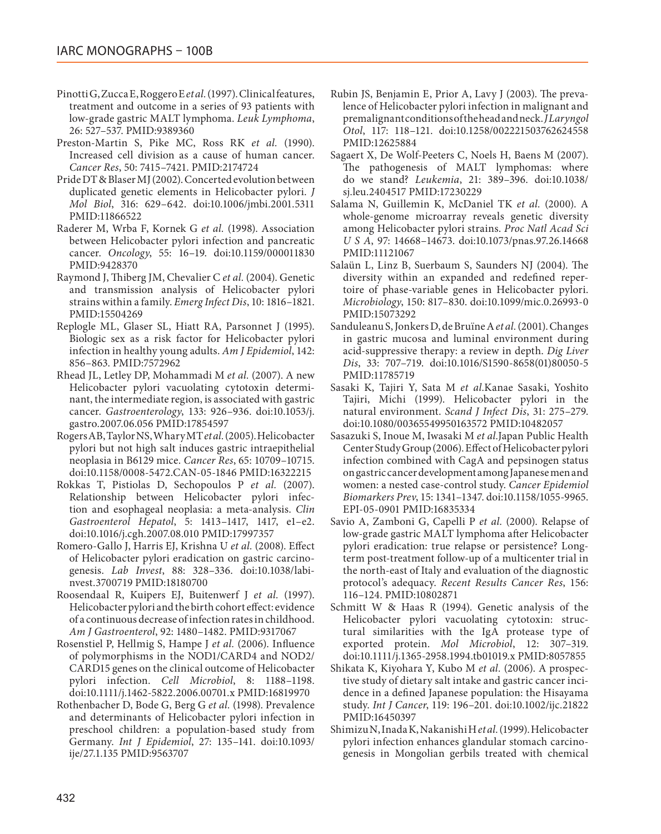- Pinotti G, Zucca E, Roggero E *et al.* (1997). Clinical features, treatment and outcome in a series of 93 patients with low-grade gastric MALT lymphoma. *Leuk Lymphoma*, 26: 527–537. PMID[:9389360](http://www.ncbi.nlm.nih.gov/pubmed/9389360)
- Preston-Martin S, Pike MC, Ross RK *et al.* (1990). Increased cell division as a cause of human cancer. *Cancer Res*, 50: 7415–7421. PMID[:2174724](http://www.ncbi.nlm.nih.gov/pubmed/2174724)
- Pride DT & Blaser MJ (2002). Concerted evolution between duplicated genetic elements in Helicobacter pylori. *J Mol Biol*, 316: 629–642. doi[:10.1006/jmbi.2001.5311](http://dx.doi.org/10.1006/jmbi.2001.5311) PMID[:11866522](http://www.ncbi.nlm.nih.gov/pubmed/11866522)
- Raderer M, Wrba F, Kornek G *et al.* (1998). Association between Helicobacter pylori infection and pancreatic cancer. *Oncology*, 55: 16–19. doi:[10.1159/000011830](http://dx.doi.org/10.1159/000011830) PMID[:9428370](http://www.ncbi.nlm.nih.gov/pubmed/9428370)
- Raymond J, Thiberg JM, Chevalier C *et al.* (2004). Genetic and transmission analysis of Helicobacter pylori strains within a family. *Emerg Infect Dis*, 10: 1816–1821. PMID[:15504269](http://www.ncbi.nlm.nih.gov/pubmed/15504269)
- Replogle ML, Glaser SL, Hiatt RA, Parsonnet J (1995). Biologic sex as a risk factor for Helicobacter pylori infection in healthy young adults. *Am J Epidemiol*, 142: 856–863. PMID[:7572962](http://www.ncbi.nlm.nih.gov/pubmed/7572962)
- Rhead JL, Letley DP, Mohammadi M *et al.* (2007). A new Helicobacter pylori vacuolating cytotoxin determinant, the intermediate region, is associated with gastric cancer. *Gastroenterology*, 133: 926–936. doi:[10.1053/j.](http://dx.doi.org/10.1053/j.gastro.2007.06.056) [gastro.2007.06.056](http://dx.doi.org/10.1053/j.gastro.2007.06.056) PMID[:17854597](http://www.ncbi.nlm.nih.gov/pubmed/17854597)
- Rogers AB, Taylor NS, Whary MT *et al.* (2005). Helicobacter pylori but not high salt induces gastric intraepithelial neoplasia in B6129 mice. *Cancer Res*, 65: 10709–10715. doi[:10.1158/0008-5472.CAN-05-1846](http://dx.doi.org/10.1158/0008-5472.CAN-05-1846) PMID[:16322215](http://www.ncbi.nlm.nih.gov/pubmed/16322215)
- Rokkas T, Pistiolas D, Sechopoulos P *et al.* (2007). Relationship between Helicobacter pylori infection and esophageal neoplasia: a meta-analysis. *Clin Gastroenterol Hepatol*, 5: 1413–1417, 1417, e1–e2. doi[:10.1016/j.cgh.2007.08.010](http://dx.doi.org/10.1016/j.cgh.2007.08.010) PMID[:17997357](http://www.ncbi.nlm.nih.gov/pubmed/17997357)
- Romero-Gallo J, Harris EJ, Krishna U *et al.* (2008). Effect of Helicobacter pylori eradication on gastric carcinogenesis. *Lab Invest*, 88: 328–336. doi:[10.1038/labi](http://dx.doi.org/10.1038/labinvest.3700719)[nvest.3700719](http://dx.doi.org/10.1038/labinvest.3700719) PMID[:18180700](http://www.ncbi.nlm.nih.gov/pubmed/18180700)
- Roosendaal R, Kuipers EJ, Buitenwerf J *et al.* (1997). Helicobacter pylori and the birth cohort effect: evidence of a continuous decrease of infection rates in childhood. *Am J Gastroenterol*, 92: 1480–1482. PMID:[9317067](http://www.ncbi.nlm.nih.gov/pubmed/9317067)
- Rosenstiel P, Hellmig S, Hampe J *et al.* (2006). Influence of polymorphisms in the NOD1/CARD4 and NOD2/ CARD15 genes on the clinical outcome of Helicobacter pylori infection. *Cell Microbiol*, 8: 1188–1198. doi[:10.1111/j.1462-5822.2006.00701.x](http://dx.doi.org/10.1111/j.1462-5822.2006.00701.x) PMID[:16819970](http://www.ncbi.nlm.nih.gov/pubmed/16819970)
- Rothenbacher D, Bode G, Berg G *et al.* (1998). Prevalence and determinants of Helicobacter pylori infection in preschool children: a population-based study from Germany. *Int J Epidemiol*, 27: 135–141. doi[:10.1093/](http://dx.doi.org/10.1093/ije/27.1.135) [ije/27.1.135](http://dx.doi.org/10.1093/ije/27.1.135) PMID:[9563707](http://www.ncbi.nlm.nih.gov/pubmed/9563707)
- Rubin JS, Benjamin E, Prior A, Lavy J (2003). The prevalence of Helicobacter pylori infection in malignant and premalignant conditions of the head and neck. *J Laryngol Otol*, 117: 118–121. doi:[10.1258/002221503762624558](http://dx.doi.org/10.1258/002221503762624558) PMID[:12625884](http://www.ncbi.nlm.nih.gov/pubmed/12625884)
- Sagaert X, De Wolf-Peeters C, Noels H, Baens M (2007). The pathogenesis of MALT lymphomas: where do we stand? *Leukemia*, 21: 389–396. doi:[10.1038/](http://dx.doi.org/10.1038/sj.leu.2404517) [sj.leu.2404517](http://dx.doi.org/10.1038/sj.leu.2404517) PMID[:17230229](http://www.ncbi.nlm.nih.gov/pubmed/17230229)
- Salama N, Guillemin K, McDaniel TK *et al.* (2000). A whole-genome microarray reveals genetic diversity among Helicobacter pylori strains. *Proc Natl Acad Sci U S A*, 97: 14668–14673. doi[:10.1073/pnas.97.26.14668](http://dx.doi.org/10.1073/pnas.97.26.14668) PMID[:11121067](http://www.ncbi.nlm.nih.gov/pubmed/11121067)
- Salaün L, Linz B, Suerbaum S, Saunders NJ (2004). The diversity within an expanded and redefined repertoire of phase-variable genes in Helicobacter pylori. *Microbiology*, 150: 817–830. doi:[10.1099/mic.0.26993-0](http://dx.doi.org/10.1099/mic.0.26993-0) PMID[:15073292](http://www.ncbi.nlm.nih.gov/pubmed/15073292)
- Sanduleanu S, Jonkers D, de Bruïne A *et al.* (2001). Changes in gastric mucosa and luminal environment during acid-suppressive therapy: a review in depth. *Dig Liver Dis*, 33: 707–719. doi[:10.1016/S1590-8658\(01\)80050-5](http://dx.doi.org/10.1016/S1590-8658(01)80050-5) PMID[:11785719](http://www.ncbi.nlm.nih.gov/pubmed/11785719)
- Sasaki K, Tajiri Y, Sata M *et al.*Kanae Sasaki, Yoshito Tajiri, Michi (1999). Helicobacter pylori in the natural environment. *Scand J Infect Dis*, 31: 275–279. doi[:10.1080/00365549950163572](http://dx.doi.org/10.1080/00365549950163572) PMID[:10482057](http://www.ncbi.nlm.nih.gov/pubmed/10482057)
- Sasazuki S, Inoue M, Iwasaki M *et al.*Japan Public Health Center Study Group (2006). Effect of Helicobacter pylori infection combined with CagA and pepsinogen status on gastric cancer development among Japanese men and women: a nested case-control study. *Cancer Epidemiol Biomarkers Prev*, 15: 1341–1347. doi[:10.1158/1055-9965.](http://dx.doi.org/10.1158/1055-9965.EPI-05-0901) [EPI-05-0901](http://dx.doi.org/10.1158/1055-9965.EPI-05-0901) PMID[:16835334](http://www.ncbi.nlm.nih.gov/pubmed/16835334)
- Savio A, Zamboni G, Capelli P *et al.* (2000). Relapse of low-grade gastric MALT lymphoma after Helicobacter pylori eradication: true relapse or persistence? Longterm post-treatment follow-up of a multicenter trial in the north-east of Italy and evaluation of the diagnostic protocol's adequacy. *Recent Results Cancer Res*, 156: 116–124. PMID[:10802871](http://www.ncbi.nlm.nih.gov/pubmed/10802871)
- Schmitt W & Haas R (1994). Genetic analysis of the Helicobacter pylori vacuolating cytotoxin: structural similarities with the IgA protease type of exported protein. *Mol Microbiol*, 12: 307–319. doi[:10.1111/j.1365-2958.1994.tb01019.x](http://dx.doi.org/10.1111/j.1365-2958.1994.tb01019.x) PMID[:8057855](http://www.ncbi.nlm.nih.gov/pubmed/8057855)
- Shikata K, Kiyohara Y, Kubo M *et al.* (2006). A prospective study of dietary salt intake and gastric cancer incidence in a defined Japanese population: the Hisayama study. *Int J Cancer*, 119: 196–201. doi[:10.1002/ijc.21822](http://dx.doi.org/10.1002/ijc.21822) PMID[:16450397](http://www.ncbi.nlm.nih.gov/pubmed/16450397)
- Shimizu N, Inada K, Nakanishi H *et al.* (1999). Helicobacter pylori infection enhances glandular stomach carcinogenesis in Mongolian gerbils treated with chemical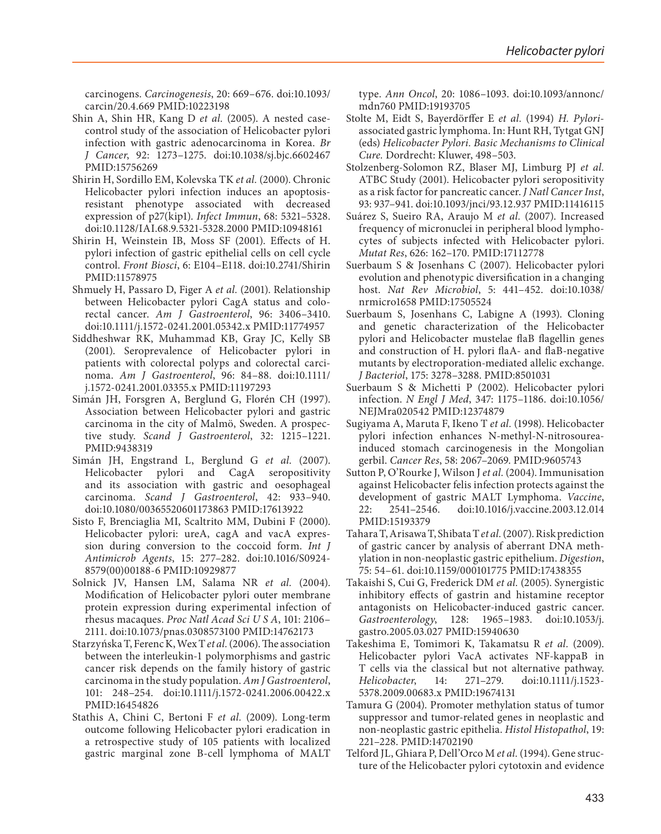carcinogens. *Carcinogenesis*, 20: 669–676. doi[:10.1093/](http://dx.doi.org/10.1093/carcin/20.4.669) [carcin/20.4.669](http://dx.doi.org/10.1093/carcin/20.4.669) PMID[:10223198](http://www.ncbi.nlm.nih.gov/pubmed/10223198)

- Shin A, Shin HR, Kang D *et al.* (2005). A nested casecontrol study of the association of Helicobacter pylori infection with gastric adenocarcinoma in Korea. *Br J Cancer*, 92: 1273–1275. doi[:10.1038/sj.bjc.6602467](http://dx.doi.org/10.1038/sj.bjc.6602467)  PMID[:15756269](http://www.ncbi.nlm.nih.gov/pubmed/15756269)
- Shirin H, Sordillo EM, Kolevska TK *et al.* (2000). Chronic Helicobacter pylori infection induces an apoptosisresistant phenotype associated with decreased expression of p27(kip1). *Infect Immun*, 68: 5321–5328. doi:[10.1128/IAI.68.9.5321-5328.2000](http://dx.doi.org/10.1128/IAI.68.9.5321-5328.2000) PMID[:10948161](http://www.ncbi.nlm.nih.gov/pubmed/10948161)
- Shirin H, Weinstein IB, Moss SF (2001). Effects of H. pylori infection of gastric epithelial cells on cell cycle control. *Front Biosci*, 6: E104–E118. doi[:10.2741/Shirin](http://dx.doi.org/10.2741/Shirin)  PMID[:11578975](http://www.ncbi.nlm.nih.gov/pubmed/11578975)
- Shmuely H, Passaro D, Figer A *et al.* (2001). Relationship between Helicobacter pylori CagA status and colorectal cancer. *Am J Gastroenterol*, 96: 3406–3410. doi:[10.1111/j.1572-0241.2001.05342.x](http://dx.doi.org/10.1111/j.1572-0241.2001.05342.x) PMID[:11774957](http://www.ncbi.nlm.nih.gov/pubmed/11774957)
- Siddheshwar RK, Muhammad KB, Gray JC, Kelly SB (2001). Seroprevalence of Helicobacter pylori in patients with colorectal polyps and colorectal carcinoma. *Am J Gastroenterol*, 96: 84–88. doi[:10.1111/](http://dx.doi.org/10.1111/j.1572-0241.2001.03355.x) [j.1572-0241.2001.03355.x](http://dx.doi.org/10.1111/j.1572-0241.2001.03355.x) PMID[:11197293](http://www.ncbi.nlm.nih.gov/pubmed/11197293)
- Simán JH, Forsgren A, Berglund G, Florén CH (1997). Association between Helicobacter pylori and gastric carcinoma in the city of Malmö, Sweden. A prospective study. *Scand J Gastroenterol*, 32: 1215–1221. PMID[:9438319](http://www.ncbi.nlm.nih.gov/pubmed/9438319)
- Simán JH, Engstrand L, Berglund G *et al.* (2007). Helicobacter pylori and CagA seropositivity and its association with gastric and oesophageal carcinoma. *Scand J Gastroenterol*, 42: 933–940. doi:[10.1080/00365520601173863](http://dx.doi.org/10.1080/00365520601173863) PMID[:17613922](http://www.ncbi.nlm.nih.gov/pubmed/17613922)
- Sisto F, Brenciaglia MI, Scaltrito MM, Dubini F (2000). Helicobacter pylori: ureA, cagA and vacA expression during conversion to the coccoid form. *Int J Antimicrob Agents*, 15: 277–282. doi[:10.1016/S0924-](http://dx.doi.org/10.1016/S0924-8579(00)00188-6) [8579\(00\)00188-6](http://dx.doi.org/10.1016/S0924-8579(00)00188-6) PMID[:10929877](http://www.ncbi.nlm.nih.gov/pubmed/10929877)
- Solnick JV, Hansen LM, Salama NR *et al.* (2004). Modification of Helicobacter pylori outer membrane protein expression during experimental infection of rhesus macaques. *Proc Natl Acad Sci U S A*, 101: 2106– 2111. doi[:10.1073/pnas.0308573100](http://dx.doi.org/10.1073/pnas.0308573100) PMID[:14762173](http://www.ncbi.nlm.nih.gov/pubmed/14762173)
- Starzyńska T, Ferenc K, Wex T *et al.* (2006). The association between the interleukin-1 polymorphisms and gastric cancer risk depends on the family history of gastric carcinoma in the study population. *Am J Gastroenterol*, 101: 248–254. doi[:10.1111/j.1572-0241.2006.00422.x](http://dx.doi.org/10.1111/j.1572-0241.2006.00422.x)  PMID[:16454826](http://www.ncbi.nlm.nih.gov/pubmed/16454826)
- Stathis A, Chini C, Bertoni F *et al.* (2009). Long-term outcome following Helicobacter pylori eradication in a retrospective study of 105 patients with localized gastric marginal zone B-cell lymphoma of MALT

type. *Ann Oncol*, 20: 1086–1093. doi[:10.1093/annonc/](http://dx.doi.org/10.1093/annonc/mdn760) [mdn760](http://dx.doi.org/10.1093/annonc/mdn760) PMID[:19193705](http://www.ncbi.nlm.nih.gov/pubmed/19193705)

- Stolte M, Eidt S, Bayerdörffer E *et al.* (1994) *H. Pylori*associated gastric lymphoma. In: Hunt RH, Tytgat GNJ (eds) *Helicobacter Pylori. Basic Mechanisms to Clinical Cure.* Dordrecht: Kluwer, 498–503.
- Stolzenberg-Solomon RZ, Blaser MJ, Limburg PJ *et al.* ATBC Study (2001). Helicobacter pylori seropositivity as a risk factor for pancreatic cancer. *J Natl Cancer Inst*, 93: 937–941. doi:[10.1093/jnci/93.12.937](http://dx.doi.org/10.1093/jnci/93.12.937) PMID[:11416115](http://www.ncbi.nlm.nih.gov/pubmed/11416115)
- Suárez S, Sueiro RA, Araujo M *et al.* (2007). Increased frequency of micronuclei in peripheral blood lymphocytes of subjects infected with Helicobacter pylori. *Mutat Res*, 626: 162–170. PMID[:17112778](http://www.ncbi.nlm.nih.gov/pubmed/17112778)
- Suerbaum S & Josenhans C (2007). Helicobacter pylori evolution and phenotypic diversification in a changing host. *Nat Rev Microbiol*, 5: 441–452. doi[:10.1038/](http://dx.doi.org/10.1038/nrmicro1658) [nrmicro1658](http://dx.doi.org/10.1038/nrmicro1658) PMID[:17505524](http://www.ncbi.nlm.nih.gov/pubmed/17505524)
- Suerbaum S, Josenhans C, Labigne A (1993). Cloning and genetic characterization of the Helicobacter pylori and Helicobacter mustelae flaB flagellin genes and construction of H. pylori flaA- and flaB-negative mutants by electroporation-mediated allelic exchange. *J Bacteriol*, 175: 3278–3288. PMID[:8501031](http://www.ncbi.nlm.nih.gov/pubmed/8501031)
- Suerbaum S & Michetti P (2002). Helicobacter pylori infection. *N Engl J Med*, 347: 1175–1186. doi:[10.1056/](http://dx.doi.org/10.1056/NEJMra020542) [NEJMra020542](http://dx.doi.org/10.1056/NEJMra020542) PMID:[12374879](http://www.ncbi.nlm.nih.gov/pubmed/12374879)
- Sugiyama A, Maruta F, Ikeno T *et al.* (1998). Helicobacter pylori infection enhances N-methyl-N-nitrosoureainduced stomach carcinogenesis in the Mongolian gerbil. *Cancer Res*, 58: 2067–2069. PMID[:9605743](http://www.ncbi.nlm.nih.gov/pubmed/9605743)
- Sutton P, O'Rourke J, Wilson J *et al.* (2004). Immunisation against Helicobacter felis infection protects against the development of gastric MALT Lymphoma. *Vaccine*, 22: 2541–2546. doi[:10.1016/j.vaccine.2003.12.014](http://dx.doi.org/10.1016/j.vaccine.2003.12.014) PMID:[15193379](http://www.ncbi.nlm.nih.gov/pubmed/15193379)
- Tahara T, Arisawa T, Shibata T *et al.* (2007). Risk prediction of gastric cancer by analysis of aberrant DNA methylation in non-neoplastic gastric epithelium. *Digestion*, 75: 54–61. doi:[10.1159/000101775](http://dx.doi.org/10.1159/000101775) PMID:[17438355](http://www.ncbi.nlm.nih.gov/pubmed/17438355)
- Takaishi S, Cui G, Frederick DM *et al.* (2005). Synergistic inhibitory effects of gastrin and histamine receptor antagonists on Helicobacter-induced gastric cancer. *Gastroenterology*, 128: 1965–1983. doi[:10.1053/j.](http://dx.doi.org/10.1053/j.gastro.2005.03.027) [gastro.2005.03.027](http://dx.doi.org/10.1053/j.gastro.2005.03.027) PMID:[15940630](http://www.ncbi.nlm.nih.gov/pubmed/15940630)
- Takeshima E, Tomimori K, Takamatsu R *et al.* (2009). Helicobacter pylori VacA activates NF-kappaB in T cells via the classical but not alternative pathway. *Helicobacter*, 14: 271–279. doi[:10.1111/j.1523-](http://dx.doi.org/10.1111/j.1523-5378.2009.00683.x) [5378.2009.00683.x](http://dx.doi.org/10.1111/j.1523-5378.2009.00683.x) PMID[:19674131](http://www.ncbi.nlm.nih.gov/pubmed/19674131)
- Tamura G (2004). Promoter methylation status of tumor suppressor and tumor-related genes in neoplastic and non-neoplastic gastric epithelia. *Histol Histopathol*, 19: 221–228. PMID:[14702190](http://www.ncbi.nlm.nih.gov/pubmed/14702190)
- Telford JL, Ghiara P, Dell'Orco M *et al.* (1994). Gene structure of the Helicobacter pylori cytotoxin and evidence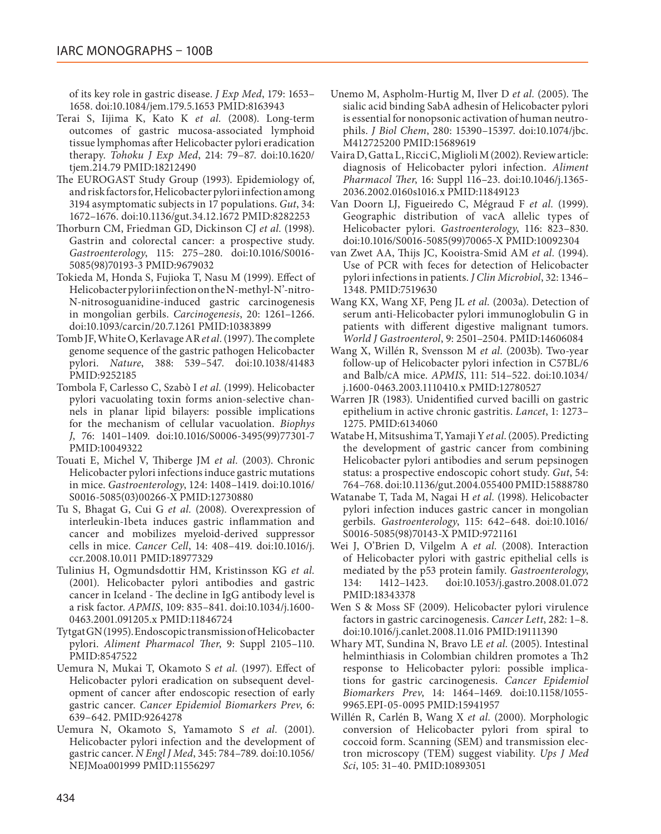of its key role in gastric disease. *J Exp Med*, 179: 1653– 1658. doi[:10.1084/jem.179.5.1653](http://dx.doi.org/10.1084/jem.179.5.1653) PMID:[8163943](http://www.ncbi.nlm.nih.gov/pubmed/8163943)

- Terai S, Iijima K, Kato K *et al.* (2008). Long-term outcomes of gastric mucosa-associated lymphoid tissue lymphomas after Helicobacter pylori eradication therapy. *Tohoku J Exp Med*, 214: 79–87. doi[:10.1620/](http://dx.doi.org/10.1620/tjem.214.79) [tjem.214.79](http://dx.doi.org/10.1620/tjem.214.79) PMID:[18212490](http://www.ncbi.nlm.nih.gov/pubmed/18212490)
- The EUROGAST Study Group (1993). Epidemiology of, and risk factors for, Helicobacter pylori infection among 3194 asymptomatic subjects in 17 populations. *Gut*, 34: 1672–1676. doi[:10.1136/gut.34.12.1672](http://dx.doi.org/10.1136/gut.34.12.1672) PMID:[8282253](http://www.ncbi.nlm.nih.gov/pubmed/8282253)
- Thorburn CM, Friedman GD, Dickinson CJ *et al.* (1998). Gastrin and colorectal cancer: a prospective study. *Gastroenterology*, 115: 275–280. doi[:10.1016/S0016-](http://dx.doi.org/10.1016/S0016-5085(98)70193-3) [5085\(98\)70193-3](http://dx.doi.org/10.1016/S0016-5085(98)70193-3) PMID:[9679032](http://www.ncbi.nlm.nih.gov/pubmed/9679032)
- Tokieda M, Honda S, Fujioka T, Nasu M (1999). Effect of Helicobacter pylori infection on the N-methyl-N'-nitro-N-nitrosoguanidine-induced gastric carcinogenesis in mongolian gerbils. *Carcinogenesis*, 20: 1261–1266. doi[:10.1093/carcin/20.7.1261](http://dx.doi.org/10.1093/carcin/20.7.1261) PMID[:10383899](http://www.ncbi.nlm.nih.gov/pubmed/10383899)
- Tomb JF, White O, Kerlavage AR *et al.* (1997). The complete genome sequence of the gastric pathogen Helicobacter pylori. *Nature*, 388: 539–547. doi[:10.1038/41483](http://dx.doi.org/10.1038/41483) PMID[:9252185](http://www.ncbi.nlm.nih.gov/pubmed/9252185)
- Tombola F, Carlesso C, Szabò I *et al.* (1999). Helicobacter pylori vacuolating toxin forms anion-selective channels in planar lipid bilayers: possible implications for the mechanism of cellular vacuolation. *Biophys J*, 76: 1401–1409. doi[:10.1016/S0006-3495\(99\)77301-7](http://dx.doi.org/10.1016/S0006-3495(99)77301-7) PMID[:10049322](http://www.ncbi.nlm.nih.gov/pubmed/10049322)
- Touati E, Michel V, Thiberge JM *et al.* (2003). Chronic Helicobacter pylori infections induce gastric mutations in mice. *Gastroenterology*, 124: 1408–1419. doi[:10.1016/](http://dx.doi.org/10.1016/S0016-5085(03)00266-X) [S0016-5085\(03\)00266-X](http://dx.doi.org/10.1016/S0016-5085(03)00266-X) PMID[:12730880](http://www.ncbi.nlm.nih.gov/pubmed/12730880)
- Tu S, Bhagat G, Cui G *et al.* (2008). Overexpression of interleukin-1beta induces gastric inflammation and cancer and mobilizes myeloid-derived suppressor cells in mice. *Cancer Cell*, 14: 408–419. doi[:10.1016/j.](http://dx.doi.org/10.1016/j.ccr.2008.10.011) [ccr.2008.10.011](http://dx.doi.org/10.1016/j.ccr.2008.10.011) PMID[:18977329](http://www.ncbi.nlm.nih.gov/pubmed/18977329)
- Tulinius H, Ogmundsdottir HM, Kristinsson KG *et al.* (2001). Helicobacter pylori antibodies and gastric cancer in Iceland - The decline in IgG antibody level is a risk factor. *APMIS*, 109: 835–841. doi[:10.1034/j.1600-](http://dx.doi.org/10.1034/j.1600-0463.2001.091205.x) [0463.2001.091205.x](http://dx.doi.org/10.1034/j.1600-0463.2001.091205.x) PMID[:11846724](http://www.ncbi.nlm.nih.gov/pubmed/11846724)
- Tytgat GN (1995). Endoscopic transmission of Helicobacter pylori. *Aliment Pharmacol Ther*, 9: Suppl 2105–110. PMID[:8547522](http://www.ncbi.nlm.nih.gov/pubmed/8547522)
- Uemura N, Mukai T, Okamoto S *et al.* (1997). Effect of Helicobacter pylori eradication on subsequent development of cancer after endoscopic resection of early gastric cancer. *Cancer Epidemiol Biomarkers Prev*, 6: 639–642. PMID:[9264278](http://www.ncbi.nlm.nih.gov/pubmed/9264278)
- Uemura N, Okamoto S, Yamamoto S *et al.* (2001). Helicobacter pylori infection and the development of gastric cancer. *N Engl J Med*, 345: 784–789. doi[:10.1056/](http://dx.doi.org/10.1056/NEJMoa001999) [NEJMoa001999](http://dx.doi.org/10.1056/NEJMoa001999) PMID[:11556297](http://www.ncbi.nlm.nih.gov/pubmed/11556297)
- Unemo M, Aspholm-Hurtig M, Ilver D *et al.* (2005). The sialic acid binding SabA adhesin of Helicobacter pylori is essential for nonopsonic activation of human neutrophils. *J Biol Chem*, 280: 15390–15397. doi:[10.1074/jbc.](http://dx.doi.org/10.1074/jbc.M412725200) [M412725200](http://dx.doi.org/10.1074/jbc.M412725200) PMID:[15689619](http://www.ncbi.nlm.nih.gov/pubmed/15689619)
- Vaira D, Gatta L, Ricci C, Miglioli M (2002). Review article: diagnosis of Helicobacter pylori infection. *Aliment Pharmacol Ther*, 16: Suppl 116–23. doi[:10.1046/j.1365-](http://dx.doi.org/10.1046/j.1365-2036.2002.0160s1016.x) [2036.2002.0160s1016.x](http://dx.doi.org/10.1046/j.1365-2036.2002.0160s1016.x) PMID:[11849123](http://www.ncbi.nlm.nih.gov/pubmed/11849123)
- Van Doorn LJ, Figueiredo C, Mégraud F *et al.* (1999). Geographic distribution of vacA allelic types of Helicobacter pylori. *Gastroenterology*, 116: 823–830. doi[:10.1016/S0016-5085\(99\)70065-X](http://dx.doi.org/10.1016/S0016-5085(99)70065-X) PMID[:10092304](http://www.ncbi.nlm.nih.gov/pubmed/10092304)
- van Zwet AA, Thijs JC, Kooistra-Smid AM *et al.* (1994). Use of PCR with feces for detection of Helicobacter pylori infections in patients. *J Clin Microbiol*, 32: 1346– 1348. PMID:[7519630](http://www.ncbi.nlm.nih.gov/pubmed/7519630)
- Wang KX, Wang XF, Peng JL *et al.* (2003a). Detection of serum anti-Helicobacter pylori immunoglobulin G in patients with different digestive malignant tumors. *World J Gastroenterol*, 9: 2501–2504. PMID[:14606084](http://www.ncbi.nlm.nih.gov/pubmed/14606084)
- Wang X, Willén R, Svensson M *et al.* (2003b). Two-year follow-up of Helicobacter pylori infection in C57BL/6 and Balb/cA mice. *APMIS*, 111: 514–522. doi[:10.1034/](http://dx.doi.org/10.1034/j.1600-0463.2003.1110410.x) [j.1600-0463.2003.1110410.x](http://dx.doi.org/10.1034/j.1600-0463.2003.1110410.x) PMID:[12780527](http://www.ncbi.nlm.nih.gov/pubmed/12780527)
- Warren JR (1983). Unidentified curved bacilli on gastric epithelium in active chronic gastritis. *Lancet*, 1: 1273– 1275. PMID[:6134060](http://www.ncbi.nlm.nih.gov/pubmed/6134060)
- Watabe H, Mitsushima T, Yamaji Y *et al.* (2005). Predicting the development of gastric cancer from combining Helicobacter pylori antibodies and serum pepsinogen status: a prospective endoscopic cohort study. *Gut*, 54: 764–768. doi[:10.1136/gut.2004.055400](http://dx.doi.org/10.1136/gut.2004.055400) PMID:[15888780](http://www.ncbi.nlm.nih.gov/pubmed/15888780)
- Watanabe T, Tada M, Nagai H *et al.* (1998). Helicobacter pylori infection induces gastric cancer in mongolian gerbils. *Gastroenterology*, 115: 642–648. doi[:10.1016/](http://dx.doi.org/10.1016/S0016-5085(98)70143-X) [S0016-5085\(98\)70143-X](http://dx.doi.org/10.1016/S0016-5085(98)70143-X) PMID[:9721161](http://www.ncbi.nlm.nih.gov/pubmed/9721161)
- Wei J, O'Brien D, Vilgelm A *et al.* (2008). Interaction of Helicobacter pylori with gastric epithelial cells is mediated by the p53 protein family. *Gastroenterology*, 134: 1412–1423. doi:[10.1053/j.gastro.2008.01.072](http://dx.doi.org/10.1053/j.gastro.2008.01.072) PMID[:18343378](http://www.ncbi.nlm.nih.gov/pubmed/18343378)
- Wen S & Moss SF (2009). Helicobacter pylori virulence factors in gastric carcinogenesis. *Cancer Lett*, 282: 1–8. doi[:10.1016/j.canlet.2008.11.016](http://dx.doi.org/10.1016/j.canlet.2008.11.016) PMID[:19111390](http://www.ncbi.nlm.nih.gov/pubmed/19111390)
- Whary MT, Sundina N, Bravo LE *et al.* (2005). Intestinal helminthiasis in Colombian children promotes a Th2 response to Helicobacter pylori: possible implications for gastric carcinogenesis. *Cancer Epidemiol Biomarkers Prev*, 14: 1464–1469. doi[:10.1158/1055-](http://dx.doi.org/10.1158/1055-9965.EPI-05-0095) [9965.EPI-05-0095](http://dx.doi.org/10.1158/1055-9965.EPI-05-0095) PMID[:15941957](http://www.ncbi.nlm.nih.gov/pubmed/15941957)
- Willén R, Carlén B, Wang X *et al.* (2000). Morphologic conversion of Helicobacter pylori from spiral to coccoid form. Scanning (SEM) and transmission electron microscopy (TEM) suggest viability. *Ups J Med Sci*, 105: 31–40. PMID[:10893051](http://www.ncbi.nlm.nih.gov/pubmed/10893051)